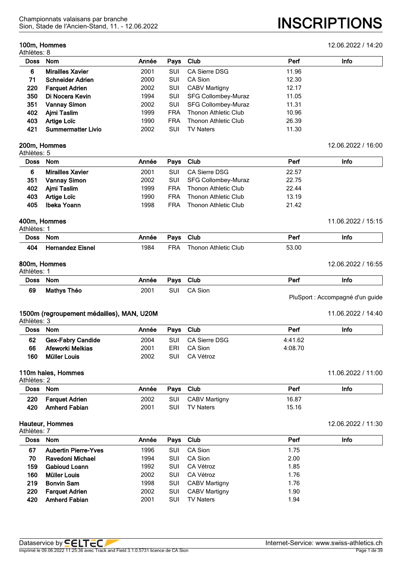#### **100m, Hommes** 12.06.2022 / 14:20

Athlètes: 8

Sion, Stade de l'Ancien-Stand, 11. - 12.06.2022 **INSCRIPTIONS**

| <b>Doss</b> | <b>Nom</b>                | Année | Pays       | <b>Club</b>                 | Perf  | Info |
|-------------|---------------------------|-------|------------|-----------------------------|-------|------|
| 6           | <b>Mirailles Xavier</b>   | 2001  | SUI        | CA Sierre DSG               | 11.96 |      |
| 71          | <b>Schneider Adrien</b>   | 2000  | SUI        | CA Sion                     | 12.30 |      |
| 220         | <b>Farquet Adrien</b>     | 2002  | SUI        | <b>CABV Martigny</b>        | 12.17 |      |
| 350         | Di Nocera Kevin           | 1994  | SUI        | <b>SFG Collombey-Muraz</b>  | 11.05 |      |
| 351         | <b>Vannay Simon</b>       | 2002  | SUI        | SFG Collombey-Muraz         | 11.31 |      |
| 402         | Aimi Taslim               | 1999  | <b>FRA</b> | <b>Thonon Athletic Club</b> | 10.96 |      |
| 403         | Artige Loïc               | 1990  | <b>FRA</b> | Thonon Athletic Club        | 26.39 |      |
| 421         | <b>Summermatter Livio</b> | 2002  | SUI        | TV Naters                   | 11.30 |      |

#### **200m, Hommes** 12.06.2022 / 16:00 Athlètes: 5

| Doss Nom                     | Info |
|------------------------------|------|
| <b>Mirailles Xavier</b><br>6 |      |
| 351<br><b>Vannay Simon</b>   |      |
| Ajmi Taslim<br>402           |      |
| Artige Loïc<br>403           |      |
| Ibeka Yoann<br>405           |      |
|                              |      |

#### **400m, Hommes** 11.06.2022 / 15:15 Athlètes: 1

| Aulicico.   |                         |       |      |                      |       |      |  |  |  |
|-------------|-------------------------|-------|------|----------------------|-------|------|--|--|--|
| <b>Doss</b> | Nom                     | Année | Pays | Club                 | Per   | Info |  |  |  |
| 404         | <b>Hernandez Eisnel</b> | 1984  | FRA  | Thonon Athletic Club | 53.00 |      |  |  |  |

#### **800m, Hommes** 12.06.2022 / 16:55 Athlètes: 1

| ט ווטגעס.   |             |                  |      |      |     |      |
|-------------|-------------|------------------|------|------|-----|------|
| <b>Doss</b> | <b>Nom</b>  | Année            | Pavs | Club | Pen | Info |
| 69          | Mathys Théo | 200 <sup>-</sup> | SUI  | Sion |     |      |

PluSport : Accompagné d'un guide

#### **1500m (regroupement médailles), MAN, U20M** 1500m 11.06.2022 / 14:40 Athlètes: 3

| .        |                          |       |            |               |         |      |
|----------|--------------------------|-------|------------|---------------|---------|------|
| Doss Nom |                          | Année | Pavs Club  |               | Perf    | Info |
| 62       | <b>Gex-Fabry Candide</b> | 2004  | SUI.       | CA Sierre DSG | 4:41.62 |      |
| 66       | Afeworki Melkias         | 2001  | ERI        | CA Sion       | 4:08.70 |      |
| 160      | Müller Louis             | 2002  | <b>SUI</b> | CA Vétroz     |         |      |

#### **110m haies, Hommes** 11.06.2022 / 11:00 Athlètes: 2

| .   |                      |       |           |                  |       |      |
|-----|----------------------|-------|-----------|------------------|-------|------|
|     | Doss Nom             | Année | Pavs Club |                  | Perf  | Info |
| 220 | Farquet Adrien       | 2002  | SUI       | CABV Martigny    | 16.87 |      |
| 420 | <b>Amherd Fabian</b> | 2001  | SUI       | <b>TV Naters</b> | 15.16 |      |

| Athlètes: 7 |                             |       |     |                      |      |      |  |
|-------------|-----------------------------|-------|-----|----------------------|------|------|--|
| <b>Doss</b> | <b>Nom</b>                  | Année |     | Pays Club            | Perf | Info |  |
| 67          | <b>Aubertin Pierre-Yves</b> | 1996  | SUI | CA Sion              | 1.75 |      |  |
| 70          | Ravedoni Michael            | 1994  | SUI | CA Sion              | 2.00 |      |  |
| 159         | <b>Gabioud Loann</b>        | 1992  | SUI | CA Vétroz            | 1.85 |      |  |
| 160         | Müller Louis                | 2002  | SUI | CA Vétroz            | 1.76 |      |  |
| 219         | <b>Bonvin Sam</b>           | 1998  | SUI | <b>CABV Martigny</b> | 1.76 |      |  |
| 220         | <b>Farquet Adrien</b>       | 2002  | SUI | <b>CABV Martigny</b> | 1.90 |      |  |
| 420         | <b>Amherd Fabian</b>        | 2001  | SUI | <b>TV Naters</b>     | 1.94 |      |  |

# **Hauteur, Hommes** 12.06.2022 / 11:30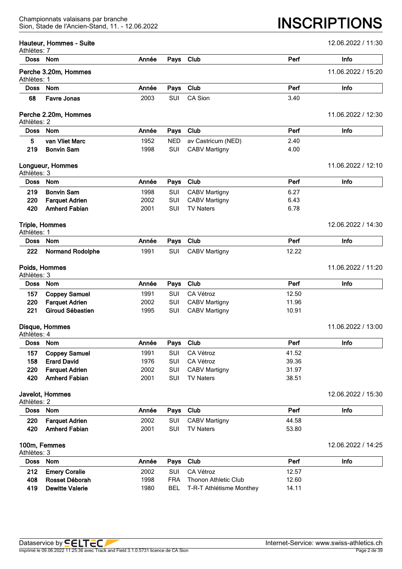| Athlètes: 7 | Hauteur, Hommes - Suite |       |            |                          |       | 12.06.2022 / 11:30 |
|-------------|-------------------------|-------|------------|--------------------------|-------|--------------------|
| Doss Nom    |                         | Année | Pays       | Club                     | Perf  | Info               |
| Athlètes: 1 | Perche 3.20m, Hommes    |       |            |                          |       | 11.06.2022 / 15:20 |
| <b>Doss</b> | <b>Nom</b>              | Année | Pays       | Club                     | Perf  | Info               |
| 68          | <b>Favre Jonas</b>      | 2003  | <b>SUI</b> | CA Sion                  | 3.40  |                    |
| Athlètes: 2 | Perche 2.20m, Hommes    |       |            |                          |       | 11.06.2022 / 12:30 |
| <b>Doss</b> | Nom                     | Année | Pays       | Club                     | Perf  | Info               |
| 5           | van Vliet Marc          | 1952  | <b>NED</b> | av Castricum (NED)       | 2.40  |                    |
| 219         | <b>Bonvin Sam</b>       | 1998  | SUI        | <b>CABV Martigny</b>     | 4.00  |                    |
| Athlètes: 3 | Longueur, Hommes        |       |            |                          |       | 11.06.2022 / 12:10 |
| <b>Doss</b> | <b>Nom</b>              | Année | Pays       | Club                     | Perf  | Info               |
| 219         | <b>Bonvin Sam</b>       | 1998  | SUI        | <b>CABV Martigny</b>     | 6.27  |                    |
| 220         | <b>Farquet Adrien</b>   | 2002  | SUI        | <b>CABV Martigny</b>     | 6.43  |                    |
| 420         | <b>Amherd Fabian</b>    | 2001  | <b>SUI</b> | <b>TV Naters</b>         | 6.78  |                    |
| Athlètes: 1 | <b>Triple, Hommes</b>   |       |            |                          |       | 12.06.2022 / 14:30 |
| <b>Doss</b> | <b>Nom</b>              | Année | Pays       | Club                     | Perf  | Info               |
| 222         | <b>Normand Rodolphe</b> | 1991  | SUI        | <b>CABV Martigny</b>     | 12.22 |                    |
| Athlètes: 3 | Poids, Hommes           |       |            |                          |       | 11.06.2022 / 11:20 |
| Doss        | <b>Nom</b>              | Année | Pays       | Club                     | Perf  | Info               |
| 157         | <b>Coppey Samuel</b>    | 1991  | SUI        | CA Vétroz                | 12.50 |                    |
| 220         | <b>Farquet Adrien</b>   | 2002  | <b>SUI</b> | <b>CABV Martigny</b>     | 11.96 |                    |
| 221         | <b>Giroud Sébastien</b> | 1995  | SUI        | <b>CABV Martigny</b>     | 10.91 |                    |
| Athlètes: 4 | Disque, Hommes          |       |            |                          |       | 11.06.2022 / 13:00 |
| <b>Doss</b> | Nom                     | Année | Pays       | Club                     | Perf  | Info               |
| 157         | <b>Coppey Samuel</b>    | 1991  | SUI        | CA Vétroz                | 41.52 |                    |
| 158         | <b>Erard David</b>      | 1976  | SUI        | CA Vétroz                | 39.36 |                    |
| 220         | <b>Farquet Adrien</b>   | 2002  | SUI        | <b>CABV Martigny</b>     | 31.97 |                    |
| 420         | <b>Amherd Fabian</b>    | 2001  | SUI        | <b>TV Naters</b>         | 38.51 |                    |
| Athlètes: 2 | Javelot, Hommes         |       |            |                          |       | 12.06.2022 / 15:30 |
| <b>Doss</b> | Nom                     | Année | Pays       | Club                     | Perf  | Info               |
| 220         | <b>Farquet Adrien</b>   | 2002  | SUI        | <b>CABV Martigny</b>     | 44.58 |                    |
| 420         | <b>Amherd Fabian</b>    | 2001  | SUI        | <b>TV Naters</b>         | 53.80 |                    |
| Athlètes: 3 | 100m, Femmes            |       |            |                          |       | 12.06.2022 / 14:25 |
| <b>Doss</b> | Nom                     | Année | Pays       | Club                     | Perf  | Info               |
| 212         | <b>Emery Coralie</b>    | 2002  | SUI        | CA Vétroz                | 12.57 |                    |
| 408         | Rosset Déborah          | 1998  | <b>FRA</b> | Thonon Athletic Club     | 12.60 |                    |
| 419         | <b>Dewitte Valerie</b>  | 1980  | <b>BEL</b> | T-R-T Athlétisme Monthey | 14.11 |                    |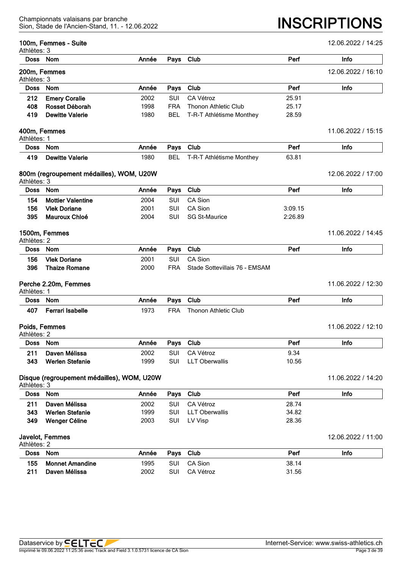#### **100m, Femmes - Suite** 12.06.2022 / 14:25

| Athlètes: 3 | <b>IVUIII, I GIIIIIIGS - JUIIG</b>         |       |            |                               |         | 12.00.2022 / 14.20 |
|-------------|--------------------------------------------|-------|------------|-------------------------------|---------|--------------------|
|             | Doss Nom                                   | Année | Pays       | Club                          | Perf    | Info               |
| Athlètes: 3 | 200m, Femmes                               |       |            |                               |         | 12.06.2022 / 16:10 |
| <b>Doss</b> | <b>Nom</b>                                 | Année | Pays       | Club                          | Perf    | Info               |
| 212         | <b>Emery Coralie</b>                       | 2002  | <b>SUI</b> | CA Vétroz                     | 25.91   |                    |
| 408         | Rosset Déborah                             | 1998  | <b>FRA</b> | <b>Thonon Athletic Club</b>   | 25.17   |                    |
| 419         | <b>Dewitte Valerie</b>                     | 1980  | <b>BEL</b> | T-R-T Athlétisme Monthey      | 28.59   |                    |
| Athlètes: 1 | 400m, Femmes                               |       |            |                               |         | 11.06.2022 / 15:15 |
| <b>Doss</b> | Nom                                        | Année | Pays       | Club                          | Perf    | Info               |
| 419         | <b>Dewitte Valerie</b>                     | 1980  | <b>BEL</b> | T-R-T Athlétisme Monthey      | 63.81   |                    |
| Athlètes: 3 | 800m (regroupement médailles), WOM, U20W   |       |            |                               |         | 12.06.2022 / 17:00 |
| <b>Doss</b> | Nom                                        | Année | Pays       | Club                          | Perf    | Info               |
| 154         | <b>Mottier Valentine</b>                   | 2004  | SUI        | CA Sion                       |         |                    |
| 156         | <b>Vlek Doriane</b>                        | 2001  | <b>SUI</b> | CA Sion                       | 3:09.15 |                    |
| 395         | <b>Mauroux Chloé</b>                       | 2004  | <b>SUI</b> | <b>SG St-Maurice</b>          | 2:26.89 |                    |
| Athlètes: 2 | 1500m, Femmes                              |       |            |                               |         | 11.06.2022 / 14:45 |
| <b>Doss</b> | Nom                                        | Année | Pays       | Club                          | Perf    | Info               |
| 156         | <b>Vlek Doriane</b>                        | 2001  | SUI        | CA Sion                       |         |                    |
| 396         | <b>Thaize Romane</b>                       | 2000  | <b>FRA</b> | Stade Sottevillais 76 - EMSAM |         |                    |
| Athlètes: 1 | Perche 2.20m, Femmes                       |       |            |                               |         | 11.06.2022 / 12:30 |
| <b>Doss</b> | Nom                                        | Année | Pays       | Club                          | Perf    | Info               |
| 407         | <b>Ferrari Isabelle</b>                    | 1973  | <b>FRA</b> | <b>Thonon Athletic Club</b>   |         |                    |
| Athlètes: 2 | Poids, Femmes                              |       |            |                               |         | 11.06.2022 / 12:10 |
|             | Doss Nom                                   | Année |            | Pays Club                     | Perf    | Info               |
| 211         | Daven Mélissa                              | 2002  | SUI        | CA Vétroz                     | 9.34    |                    |
| 343         | <b>Werlen Stefanie</b>                     | 1999  | SUI        | <b>LLT Oberwallis</b>         | 10.56   |                    |
| Athlètes: 3 | Disque (regroupement médailles), WOM, U20W |       |            |                               |         | 11.06.2022 / 14:20 |
| <b>Doss</b> | Nom                                        | Année | Pays       | Club                          | Perf    | Info               |
| 211         | Daven Mélissa                              | 2002  | SUI        | CA Vétroz                     | 28.74   |                    |
| 343         | <b>Werlen Stefanie</b>                     | 1999  | SUI        | <b>LLT Oberwallis</b>         | 34.82   |                    |
| 349         | Wenger Céline                              | 2003  | SUI        | LV Visp                       | 28.36   |                    |
| Athlètes: 2 | Javelot, Femmes                            |       |            |                               |         | 12.06.2022 / 11:00 |
| <b>Doss</b> | Nom                                        | Année | Pays       | Club                          | Perf    | Info               |
| 155         | <b>Monnet Amandine</b>                     | 1995  | SUI        | CA Sion                       | 38.14   |                    |
| 211         | Daven Mélissa                              | 2002  | SUI        | CA Vétroz                     | 31.56   |                    |
|             |                                            |       |            |                               |         |                    |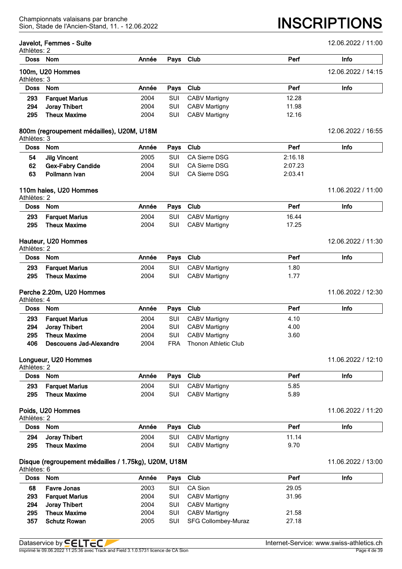| Athlètes: 2 | Javelot, Femmes - Suite                              |       |            |                             |         | 12.06.2022 / 11:00 |
|-------------|------------------------------------------------------|-------|------------|-----------------------------|---------|--------------------|
| <b>Doss</b> | Nom                                                  | Année | Pays       | Club                        | Perf    | Info               |
| Athlètes: 3 | 100m, U20 Hommes                                     |       |            |                             |         | 12.06.2022 / 14:15 |
| <b>Doss</b> | <b>Nom</b>                                           | Année | Pays       | Club                        | Perf    | Info               |
| 293         | <b>Farquet Marius</b>                                | 2004  | <b>SUI</b> | <b>CABV Martigny</b>        | 12.28   |                    |
| 294         | Joray Thibert                                        | 2004  | SUI        | <b>CABV Martigny</b>        | 11.98   |                    |
| 295         | <b>Theux Maxime</b>                                  | 2004  | SUI        | <b>CABV Martigny</b>        | 12.16   |                    |
| Athlètes: 3 | 800m (regroupement médailles), U20M, U18M            |       |            |                             |         | 12.06.2022 / 16:55 |
| <b>Doss</b> | Nom                                                  | Année | Pays       | Club                        | Perf    | Info               |
| 54          | <b>Jilg Vincent</b>                                  | 2005  | SUI        | <b>CA Sierre DSG</b>        | 2:16.18 |                    |
| 62          | <b>Gex-Fabry Candide</b>                             | 2004  | SUI        | <b>CA Sierre DSG</b>        | 2:07.23 |                    |
| 63          | Pollmann Ivan                                        | 2004  | SUI        | <b>CA Sierre DSG</b>        | 2:03.41 |                    |
| Athlètes: 2 | 110m haies, U20 Hommes                               |       |            |                             |         | 11.06.2022 / 11:00 |
| <b>Doss</b> | <b>Nom</b>                                           | Année | Pays       | Club                        | Perf    | Info               |
| 293         | <b>Farquet Marius</b>                                | 2004  | SUI        | <b>CABV Martigny</b>        | 16.44   |                    |
| 295         | <b>Theux Maxime</b>                                  | 2004  | SUI        | <b>CABV Martigny</b>        | 17.25   |                    |
| Athlètes: 2 | Hauteur, U20 Hommes                                  |       |            |                             |         | 12.06.2022 / 11:30 |
| <b>Doss</b> | Nom                                                  | Année | Pays       | Club                        | Perf    | Info               |
| 293         | <b>Farquet Marius</b>                                | 2004  | SUI        | <b>CABV Martigny</b>        | 1.80    |                    |
| 295         | <b>Theux Maxime</b>                                  | 2004  | SUI        | <b>CABV Martigny</b>        | 1.77    |                    |
| Athlètes: 4 | Perche 2.20m, U20 Hommes                             |       |            |                             |         | 11.06.2022 / 12:30 |
| <b>Doss</b> | Nom                                                  | Année | Pays       | Club                        | Perf    | Info               |
| 293         | <b>Farquet Marius</b>                                | 2004  | SUI        | <b>CABV Martigny</b>        | 4.10    |                    |
| 294         | <b>Joray Thibert</b>                                 | 2004  | SUI        | <b>CABV Martigny</b>        | 4.00    |                    |
| 295         | <b>Theux Maxime</b>                                  | 2004  | SUI        | <b>CABV Martigny</b>        | 3.60    |                    |
| 406         | <b>Descouens Jad-Alexandre</b>                       | 2004  | <b>FRA</b> | <b>Thonon Athletic Club</b> |         |                    |
| Athlètes: 2 | Longueur, U20 Hommes                                 |       |            |                             |         | 11.06.2022 / 12:10 |
| <b>Doss</b> | Nom                                                  | Année | Pays       | Club                        | Perf    | Info               |
| 293         | <b>Farquet Marius</b>                                | 2004  | SUI        | <b>CABV Martigny</b>        | 5.85    |                    |
| 295         | <b>Theux Maxime</b>                                  | 2004  | SUI        | <b>CABV Martigny</b>        | 5.89    |                    |
| Athlètes: 2 | Poids, U20 Hommes                                    |       |            |                             |         | 11.06.2022 / 11:20 |
| <b>Doss</b> | Nom                                                  | Année | Pays       | Club                        | Perf    | Info               |
| 294         | Joray Thibert                                        | 2004  | SUI        | <b>CABV Martigny</b>        | 11.14   |                    |
| 295         | <b>Theux Maxime</b>                                  | 2004  | SUI        | <b>CABV Martigny</b>        | 9.70    |                    |
| Athlètes: 6 | Disque (regroupement médailles / 1.75kg), U20M, U18M |       |            |                             |         | 11.06.2022 / 13:00 |
| <b>Doss</b> | Nom                                                  | Année | Pays       | Club                        | Perf    | Info               |
| 68          | <b>Favre Jonas</b>                                   | 2003  | SUI        | CA Sion                     | 29.05   |                    |
| 293         | <b>Farquet Marius</b>                                | 2004  | SUI        | CABV Martigny               | 31.96   |                    |
| 294         | Joray Thibert                                        | 2004  | SUI        | <b>CABV Martigny</b>        |         |                    |
| 295         | <b>Theux Maxime</b>                                  | 2004  | SUI        | <b>CABV Martigny</b>        | 21.58   |                    |
| 357         | <b>Schutz Rowan</b>                                  | 2005  | SUI        | SFG Collombey-Muraz         | 27.18   |                    |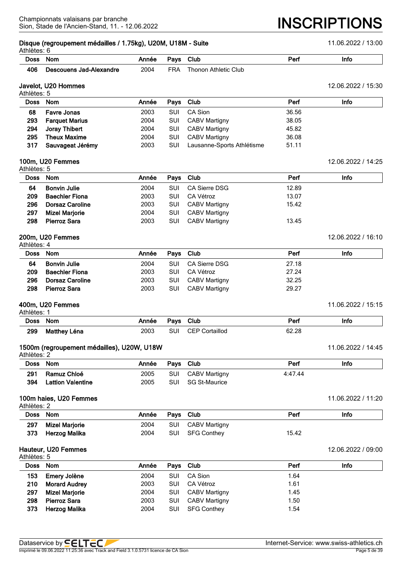# **Disque (regroupement médailles / 1.75kg), U20M, U18M - Suite** 11.06.2022 / 13:00

| Athlètes: 6 |                         |       |            |                      |      |      |  |  |
|-------------|-------------------------|-------|------------|----------------------|------|------|--|--|
| <b>Doss</b> | <b>Nom</b>              | Année | Pays Club  |                      | Perf | Info |  |  |
| 406         | Descouens Jad-Alexandre | 2004  | <b>FRA</b> | Thonon Athletic Club |      |      |  |  |
|             |                         |       |            |                      |      |      |  |  |

#### **Javelot, U20 Hommes** 12.06.2022 / 15:30 Athlètes: 5

|             | Athletes: 5           |       |            |                            |       |      |  |  |  |
|-------------|-----------------------|-------|------------|----------------------------|-------|------|--|--|--|
| <b>Doss</b> | Nom                   | Année |            | Pays Club                  | Perf  | Info |  |  |  |
| 68          | <b>Favre Jonas</b>    | 2003  | <b>SUI</b> | CA Sion                    | 36.56 |      |  |  |  |
| 293         | <b>Farquet Marius</b> | 2004  | <b>SUI</b> | <b>CABV Martigny</b>       | 38.05 |      |  |  |  |
| 294         | Joray Thibert         | 2004  | <b>SUI</b> | <b>CABV Martigny</b>       | 45.82 |      |  |  |  |
| 295         | <b>Theux Maxime</b>   | 2004  | <b>SUI</b> | <b>CABV Martigny</b>       | 36.08 |      |  |  |  |
| 317         | Sauvageat Jérémy      | 2003  | SUI        | Lausanne-Sports Athlétisme | 51.11 |      |  |  |  |
|             |                       |       |            |                            |       |      |  |  |  |

#### **100m, U20 Femmes** 12.06.2022 / 14:25

| Athlètes: 5 |                        |       |            |                      |       |      |  |
|-------------|------------------------|-------|------------|----------------------|-------|------|--|
| <b>Doss</b> | Nom                    | Année | Pays Club  |                      | Perf  | Info |  |
| 64          | <b>Bonvin Julie</b>    | 2004  | <b>SUI</b> | CA Sierre DSG        | 12.89 |      |  |
| 209         | <b>Baechler Fiona</b>  | 2003  | <b>SUI</b> | CA Vétroz            | 13.07 |      |  |
| 296         | <b>Dorsaz Caroline</b> | 2003  | <b>SUI</b> | <b>CABV Martigny</b> | 15.42 |      |  |
| 297         | <b>Mizel Marjorie</b>  | 2004  | SUI        | <b>CABV Martigny</b> |       |      |  |
| 298         | <b>Pierroz Sara</b>    | 2003  | <b>SUI</b> | <b>CABV Martigny</b> | 13.45 |      |  |

#### **200m, U20 Femmes** 12.06.2022 / 16:10

 $A$ thlàtes:  $A$ 

| Doss Nom |                        | Année |            | Pays Club            | Perf  | Info               |
|----------|------------------------|-------|------------|----------------------|-------|--------------------|
| 64       | <b>Bonvin Julie</b>    | 2004  | <b>SUI</b> | CA Sierre DSG        | 27.18 |                    |
| 209      | <b>Baechler Fiona</b>  | 2003  | <b>SUI</b> | CA Vétroz            | 27.24 |                    |
| 296      | <b>Dorsaz Caroline</b> | 2003  | <b>SUI</b> | <b>CABV Martigny</b> | 32.25 |                    |
| 298      | <b>Pierroz Sara</b>    | 2003  | <b>SUI</b> | CABV Martigny        | 29.27 |                    |
|          | 400m, U20 Femmes       |       |            |                      |       | 11.06.2022 / 15:15 |

#### Athlètes: 1

| AU 11969. I |              |       |      |            |       |      |  |  |  |
|-------------|--------------|-------|------|------------|-------|------|--|--|--|
| <b>Doss</b> | Nom          | Année | Pays | Club       | Pen   | Info |  |  |  |
| 299         | Matthey Léna | 2003  | SU   | Cortaillod | 62.28 |      |  |  |  |

# **1500m (regroupement médailles), U20W, U18W** 1500m 11.06.2022 / 14:45

|          | Athlètes: 2              |       |           |               |         |      |  |  |  |  |
|----------|--------------------------|-------|-----------|---------------|---------|------|--|--|--|--|
| Doss Nom |                          | Année | Pays Club |               | Perf    | Info |  |  |  |  |
| 291      | Ramuz Chloé              | 2005  | SUI       | CABV Martigny | 4:47.44 |      |  |  |  |  |
| 394      | <b>Lattion Valentine</b> | 2005  | SUI       | SG St-Maurice |         |      |  |  |  |  |

#### **100m haies, U20 Femmes** 11.06.2022 / 11:20

|          | Athlètes: 2           |       |            |               |       |      |  |  |  |  |
|----------|-----------------------|-------|------------|---------------|-------|------|--|--|--|--|
| Doss Nom |                       | Année | Pays Club  |               | Perf  | Info |  |  |  |  |
| 297      | <b>Mizel Marjorie</b> | 2004  | SUI        | CABV Martigny |       |      |  |  |  |  |
| 373      | Herzog Malika         | 2004  | <b>SUI</b> | SFG Conthey   | 15.42 |      |  |  |  |  |

# **Hauteur, U20 Femmes** 12.06.2022 / 09:00

| Athlètes: 5 |                       |       |     |                      |      |      |
|-------------|-----------------------|-------|-----|----------------------|------|------|
| Doss        | <b>Nom</b>            | Année |     | Pays Club            | Perf | Info |
| 153         | Emery Jolène          | 2004  | SUI | CA Sion              | 1.64 |      |
| 210         | <b>Morard Audrey</b>  | 2003  | SUI | CA Vétroz            | 1.61 |      |
| 297         | <b>Mizel Marjorie</b> | 2004  | SUI | <b>CABV Martigny</b> | 1.45 |      |
| 298         | <b>Pierroz Sara</b>   | 2003  | SUI | <b>CABV Martigny</b> | 1.50 |      |
| 373         | Herzog Malika         | 2004  | SUI | <b>SFG Conthey</b>   | 1.54 |      |

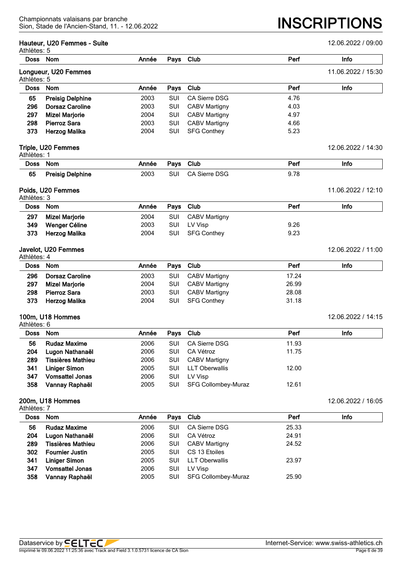|                            | Hauteur, U20 Femmes - Suite |       |            |                       |       | 12.06.2022 / 09:00 |
|----------------------------|-----------------------------|-------|------------|-----------------------|-------|--------------------|
| Athlètes: 5<br><b>Doss</b> | <b>Nom</b>                  | Année | Pays       | Club                  | Perf  | Info               |
|                            | Longueur, U20 Femmes        |       |            |                       |       | 11.06.2022 / 15:30 |
| Athlètes: 5                |                             |       |            |                       |       |                    |
| <b>Doss</b>                | <b>Nom</b>                  | Année | Pays       | Club                  | Perf  | Info               |
| 65                         | <b>Preisig Delphine</b>     | 2003  | SUI        | <b>CA Sierre DSG</b>  | 4.76  |                    |
| 296                        | <b>Dorsaz Caroline</b>      | 2003  | SUI        | <b>CABV Martigny</b>  | 4.03  |                    |
| 297                        | <b>Mizel Marjorie</b>       | 2004  | SUI        | <b>CABV Martigny</b>  | 4.97  |                    |
| 298                        | <b>Pierroz Sara</b>         | 2003  | SUI        | <b>CABV Martigny</b>  | 4.66  |                    |
| 373                        | <b>Herzog Malika</b>        | 2004  | SUI        | <b>SFG Conthey</b>    | 5.23  |                    |
|                            | Triple, U20 Femmes          |       |            |                       |       | 12.06.2022 / 14:30 |
| Athlètes: 1<br><b>Doss</b> | <b>Nom</b>                  | Année | Pays       | Club                  | Perf  | Info               |
|                            |                             |       |            |                       |       |                    |
| 65                         | <b>Preisig Delphine</b>     | 2003  | <b>SUI</b> | CA Sierre DSG         | 9.78  |                    |
| Athlètes: 3                | Poids, U20 Femmes           |       |            |                       |       | 11.06.2022 / 12:10 |
| <b>Doss</b>                | Nom                         | Année | Pays       | Club                  | Perf  | Info               |
| 297                        | <b>Mizel Marjorie</b>       | 2004  | <b>SUI</b> | <b>CABV Martigny</b>  |       |                    |
| 349                        | Wenger Céline               | 2003  | <b>SUI</b> | LV Visp               | 9.26  |                    |
| 373                        | <b>Herzog Malika</b>        | 2004  | SUI        | <b>SFG Conthey</b>    | 9.23  |                    |
| Athlètes: 4                | Javelot, U20 Femmes         |       |            |                       |       | 12.06.2022 / 11:00 |
| <b>Doss</b>                | Nom                         | Année | Pays       | Club                  | Perf  | <b>Info</b>        |
| 296                        | <b>Dorsaz Caroline</b>      | 2003  | SUI        | <b>CABV Martigny</b>  | 17.24 |                    |
| 297                        | <b>Mizel Marjorie</b>       | 2004  | SUI        | <b>CABV Martigny</b>  | 26.99 |                    |
| 298                        | <b>Pierroz Sara</b>         | 2003  | SUI        | <b>CABV Martigny</b>  | 28.08 |                    |
| 373                        | <b>Herzog Malika</b>        | 2004  | SUI        | <b>SFG Conthey</b>    | 31.18 |                    |
|                            | 100m, U18 Hommes            |       |            |                       |       | 12.06.2022 / 14:15 |
| Athlètes: 6                |                             |       |            |                       |       |                    |
| <b>Doss</b>                | Nom                         | Année | Pays       | Club                  | Perf  | Info               |
| 56                         | <b>Rudaz Maxime</b>         | 2006  | <b>SUI</b> | CA Sierre DSG         | 11.93 |                    |
| 204                        | Lugon Nathanaël             | 2006  | SUI        | CA Vétroz             | 11.75 |                    |
| 289                        | <b>Tissières Mathieu</b>    | 2006  | SUI        | <b>CABV Martigny</b>  |       |                    |
| 341                        | <b>Liniger Simon</b>        | 2005  | SUI        | <b>LLT Oberwallis</b> | 12.00 |                    |
| 347                        | <b>Vomsattel Jonas</b>      | 2006  | SUI        | LV Visp               |       |                    |
| 358                        | Vannay Raphaël              | 2005  | SUI        | SFG Collombey-Muraz   | 12.61 |                    |
| Athlètes: 7                | 200m, U18 Hommes            |       |            |                       |       | 12.06.2022 / 16:05 |
| <b>Doss</b>                | Nom                         | Année | Pays       | Club                  | Perf  | Info               |
| 56                         | <b>Rudaz Maxime</b>         | 2006  | SUI        | <b>CA Sierre DSG</b>  | 25.33 |                    |
| 204                        | Lugon Nathanaël             | 2006  | SUI        | CA Vétroz             | 24.91 |                    |
| 289                        | <b>Tissières Mathieu</b>    | 2006  | SUI        | CABV Martigny         | 24.52 |                    |
| 302                        | <b>Fournier Justin</b>      | 2005  | SUI        | CS 13 Etoiles         |       |                    |
| 341                        | <b>Liniger Simon</b>        | 2005  | SUI        | <b>LLT Oberwallis</b> | 23.97 |                    |
| 347                        | <b>Vomsattel Jonas</b>      | 2006  | SUI        | LV Visp               |       |                    |
| 358                        | Vannay Raphaël              | 2005  | SUI        | SFG Collombey-Muraz   | 25.90 |                    |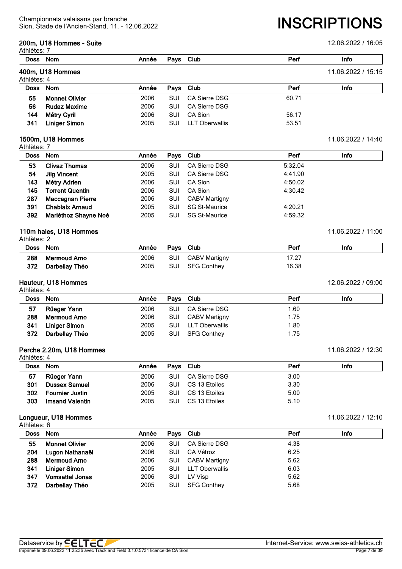|                            | 200m, U18 Hommes - Suite |       |            |                       |         | 12.06.2022 / 16:05 |
|----------------------------|--------------------------|-------|------------|-----------------------|---------|--------------------|
| Athlètes: 7                | Doss Nom                 | Année | Pays       | Club                  | Perf    | Info               |
|                            | 400m, U18 Hommes         |       |            |                       |         | 11.06.2022 / 15:15 |
| Athlètes: 4                |                          |       |            |                       |         |                    |
| <b>Doss</b>                | Nom                      | Année | Pays       | Club                  | Perf    | Info               |
| 55                         | <b>Monnet Olivier</b>    | 2006  | <b>SUI</b> | <b>CA Sierre DSG</b>  | 60.71   |                    |
| 56                         | <b>Rudaz Maxime</b>      | 2006  | SUI        | <b>CA Sierre DSG</b>  |         |                    |
| 144                        | Métry Cyril              | 2006  | SUI        | CA Sion               | 56.17   |                    |
| 341                        | <b>Liniger Simon</b>     | 2005  | SUI        | <b>LLT Oberwallis</b> | 53.51   |                    |
|                            | 1500m, U18 Hommes        |       |            |                       |         | 11.06.2022 / 14:40 |
| Athlètes: 7<br><b>Doss</b> | Nom                      | Année | Pays       | Club                  | Perf    | Info               |
| 53                         | <b>Clivaz Thomas</b>     | 2006  | SUI        | <b>CA Sierre DSG</b>  | 5:32.04 |                    |
| 54                         | <b>Jilg Vincent</b>      | 2005  | SUI        | <b>CA Sierre DSG</b>  | 4:41.90 |                    |
| 143                        | Métry Adrien             | 2006  | SUI        | CA Sion               | 4:50.02 |                    |
| 145                        | <b>Torrent Quentin</b>   | 2006  | SUI        | CA Sion               | 4:30.42 |                    |
| 287                        | <b>Maccagnan Pierre</b>  | 2006  | SUI        | <b>CABV Martigny</b>  |         |                    |
| 391                        | <b>Chablaix Arnaud</b>   | 2005  | SUI        | <b>SG St-Maurice</b>  | 4:20.21 |                    |
| 392                        | Mariéthoz Shayne Noé     | 2005  | SUI        | <b>SG St-Maurice</b>  | 4:59.32 |                    |
|                            | 110m haies, U18 Hommes   |       |            |                       |         | 11.06.2022 / 11:00 |
| Athlètes: 2                |                          |       |            |                       |         |                    |
| <b>Doss</b>                | Nom                      | Année | Pays       | Club                  | Perf    | Info               |
| 288                        | <b>Mermoud Arno</b>      | 2006  | SUI        | <b>CABV Martigny</b>  | 17.27   |                    |
| 372                        | Darbellay Théo           | 2005  | SUI        | <b>SFG Conthey</b>    | 16.38   |                    |
|                            | Hauteur, U18 Hommes      |       |            |                       |         | 12.06.2022 / 09:00 |
| Athlètes: 4                |                          |       |            |                       |         |                    |
| <b>Doss</b>                | Nom                      | Année | Pays       | Club                  | Perf    | Info               |
| 57                         | Rüeger Yann              | 2006  | SUI        | <b>CA Sierre DSG</b>  | 1.60    |                    |
| 288                        | <b>Mermoud Arno</b>      | 2006  | SUI        | <b>CABV Martigny</b>  | 1.75    |                    |
| 341                        | <b>Liniger Simon</b>     | 2005  | SUI        | <b>LLT Oberwallis</b> | 1.80    |                    |
| 372                        | Darbellay Théo           | 2005  | SUI        | <b>SFG Conthey</b>    | 1.75    |                    |
| Athlètes: 4                | Perche 2.20m, U18 Hommes |       |            |                       |         | 11.06.2022 / 12:30 |
| <b>Doss</b>                | Nom                      | Année | Pays       | Club                  | Perf    | Info               |
| 57                         | Rüeger Yann              | 2006  | SUI        | CA Sierre DSG         | 3.00    |                    |
| 301                        | <b>Dussex Samuel</b>     | 2006  | SUI        | CS 13 Etoiles         | 3.30    |                    |
| 302                        | <b>Fournier Justin</b>   | 2005  | SUI        | CS 13 Etoiles         | 5.00    |                    |
| 303                        | <b>Imsand Valentin</b>   | 2005  | SUI        | CS 13 Etoiles         | 5.10    |                    |
|                            | Longueur, U18 Hommes     |       |            |                       |         | 11.06.2022 / 12:10 |
| Athlètes: 6                |                          |       |            |                       |         |                    |
| <b>Doss</b>                | Nom                      | Année | Pays       | Club                  | Perf    | Info               |
| 55                         | <b>Monnet Olivier</b>    | 2006  | SUI        | CA Sierre DSG         | 4.38    |                    |
| 204                        | Lugon Nathanaël          | 2006  | SUI        | CA Vétroz             | 6.25    |                    |
| 288                        | <b>Mermoud Arno</b>      | 2006  | SUI        | <b>CABV Martigny</b>  | 5.62    |                    |
| 341                        | <b>Liniger Simon</b>     | 2005  | SUI        | <b>LLT Oberwallis</b> | 6.03    |                    |
| 347                        | <b>Vomsattel Jonas</b>   | 2006  | SUI        | LV Visp               | 5.62    |                    |
| 372                        | Darbellay Théo           | 2005  | SUI        | <b>SFG Conthey</b>    | 5.68    |                    |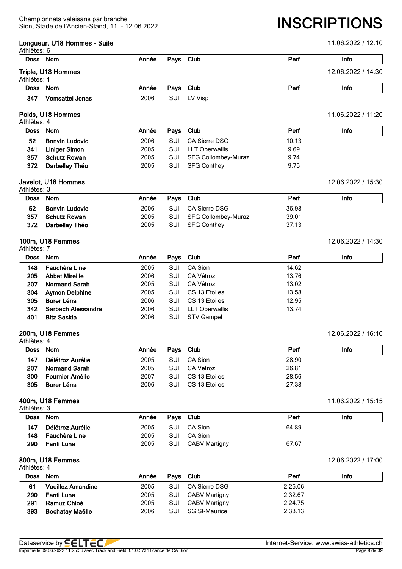#### **Longueur, U18 Hommes - Suite** 12:10

| Athlètes: 6 |                        |       |            |         |      |                    |
|-------------|------------------------|-------|------------|---------|------|--------------------|
| Doss Nom    |                        | Année | Pays Club  |         | Perf | Info               |
| Athlètes: 1 | Triple, U18 Hommes     |       |            |         |      | 12.06.2022 / 14:30 |
| Doss Nom    |                        | Année | Pays Club  |         | Perf | Info               |
| 347         | <b>Vomsattel Jonas</b> | 2006  | <b>SUI</b> | LV Visp |      |                    |

#### **Poids, U18 Hommes** 11.06.2022 / 11:20 Athlètes: 4

| Doss Nom |                       | Année | Pays Club  |                     | Perf  | Info |  |  |  |  |
|----------|-----------------------|-------|------------|---------------------|-------|------|--|--|--|--|
| 52       | <b>Bonvin Ludovic</b> | 2006  | <b>SUI</b> | CA Sierre DSG       | 10.13 |      |  |  |  |  |
| 341      | Liniger Simon         | 2005  | <b>SUI</b> | LLT Oberwallis      | 9.69  |      |  |  |  |  |
| 357      | <b>Schutz Rowan</b>   | 2005  | SUI        | SFG Collombey-Muraz | 9.74  |      |  |  |  |  |
| 372      | Darbellay Théo        | 2005  | <b>SUI</b> | <b>SFG Conthey</b>  | 9.75  |      |  |  |  |  |

#### **Javelot, U18 Hommes** 12.06.2022 / 15:30 Athlètes: 3

| Doss Nom |                       | Année | Pays Club |                     | Perf  | Info |
|----------|-----------------------|-------|-----------|---------------------|-------|------|
| 52       | <b>Bonvin Ludovic</b> | 2006  | SUI       | CA Sierre DSG       | 36.98 |      |
| 357      | <b>Schutz Rowan</b>   | 2005  | SUI       | SFG Collombey-Muraz | 39.01 |      |
| 372      | Darbellay Théo        | 2005  | SUI       | SFG Conthey         | 37.13 |      |

### **100m, U18 Femmes** 12.06.2022 / 14:30

| Athlètes: 7 |                       |       |            |                   |       |      |  |
|-------------|-----------------------|-------|------------|-------------------|-------|------|--|
|             | Doss Nom              | Année |            | Pays Club         | Perf  | Info |  |
| 148         | <b>Fauchère Line</b>  | 2005  | <b>SUI</b> | CA Sion           | 14.62 |      |  |
| 205         | <b>Abbet Mireille</b> | 2006  | SUI        | CA Vétroz         | 13.76 |      |  |
| 207         | <b>Normand Sarah</b>  | 2005  | <b>SUI</b> | CA Vétroz         | 13.02 |      |  |
| 304         | <b>Aymon Delphine</b> | 2005  | <b>SUI</b> | CS 13 Etoiles     | 13.58 |      |  |
| 305         | Borer Léna            | 2006  | <b>SUI</b> | CS 13 Etoiles     | 12.95 |      |  |
| 342         | Sarbach Alessandra    | 2006  | <b>SUI</b> | LLT Oberwallis    | 13.74 |      |  |
| 401         | <b>Bitz Saskia</b>    | 2006  | SUI        | <b>STV Gampel</b> |       |      |  |

## **200m, U18 Femmes** 12.06.2022 / 16:10

| Athlètes: 4 |                      |       |            |               |       |      |
|-------------|----------------------|-------|------------|---------------|-------|------|
| Doss Nom    |                      | Année |            | Pays Club     | Perf  | Info |
| 147         | Délétroz Aurélie     | 2005  |            | SUI CA Sion   | 28.90 |      |
| 207         | <b>Normand Sarah</b> | 2005  | <b>SUI</b> | CA Vétroz     | 26.81 |      |
| 300         | Fournier Amélie      | 2007  | <b>SUI</b> | CS 13 Etoiles | 28.56 |      |
| 305         | Borer Léna           | 2006  | <b>SUI</b> | CS 13 Etoiles | 27.38 |      |

#### **400m, U18 Femmes** 11.06.2022 / 15:15

| Athlètes: 3 |  |
|-------------|--|
|-------------|--|

| .   |                      |                 |  |                   |       |      |  |  |  |  |
|-----|----------------------|-----------------|--|-------------------|-------|------|--|--|--|--|
|     | Doss Nom             | Année Pays Club |  |                   | Perf  | Info |  |  |  |  |
|     | 147 Délétroz Aurélie | 2005            |  | SUI CA Sion       | 64.89 |      |  |  |  |  |
|     | 148 Fauchère Line    | 2005            |  | SUI CA Sion       |       |      |  |  |  |  |
| 290 | Fanti Luna           | 2005            |  | SUI CABV Martigny | 67.67 |      |  |  |  |  |

#### **800m, U18 Femmes** 12.06.2022 / 17:00

| Athlètes: 4 |                          |       |           |                      |         |      |
|-------------|--------------------------|-------|-----------|----------------------|---------|------|
| Doss Nom    |                          | Année | Pays Club |                      | Perf    | Info |
| 61          | <b>Vouilloz Amandine</b> | 2005  | SUI       | CA Sierre DSG        | 2:25.06 |      |
| 290         | Fanti Luna               | 2005  | SUI       | CABV Martigny        | 2:32.67 |      |
| 291         | Ramuz Chloé              | 2005  | SUI       | CABV Martigny        | 2:24.75 |      |
| 393         | <b>Bochatay Maëlle</b>   | 2006  | SUI       | <b>SG St-Maurice</b> | 2:33.13 |      |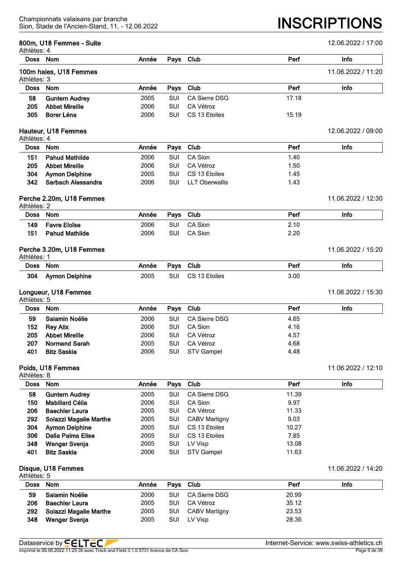| Athlètes: 4 | 800m, U18 Femmes - Suite |       |            |                       |       | 12.06.2022 / 17:00 |
|-------------|--------------------------|-------|------------|-----------------------|-------|--------------------|
|             | Doss Nom                 | Année | Pays       | Club                  | Perf  | Info               |
| Athlètes: 3 | 100m haies, U18 Femmes   |       |            |                       |       | 11.06.2022 / 11:20 |
| <b>Doss</b> | Nom                      | Année | Pays       | Club                  | Perf  | Info               |
| 58          | <b>Guntern Audrey</b>    | 2005  | SUI        | CA Sierre DSG         | 17.18 |                    |
| 205         | <b>Abbet Mireille</b>    | 2006  | SUI        | CA Vétroz             |       |                    |
| 305         | Borer Léna               | 2006  | SUI        | CS 13 Etoiles         | 15.19 |                    |
| Athlètes: 4 | Hauteur, U18 Femmes      |       |            |                       |       | 12.06.2022 / 09:00 |
| <b>Doss</b> | <b>Nom</b>               | Année | Pays       | Club                  | Perf  | Info               |
| 151         | <b>Pahud Mathilde</b>    | 2006  | SUI        | CA Sion               | 1.40  |                    |
| 205         | <b>Abbet Mireille</b>    | 2006  | SUI        | CA Vétroz             | 1.50  |                    |
| 304         | <b>Aymon Delphine</b>    | 2005  | SUI        | CS 13 Etoiles         | 1.45  |                    |
| 342         | Sarbach Alessandra       | 2006  | SUI        | <b>LLT Oberwallis</b> | 1.43  |                    |
| Athlètes: 2 | Perche 2.20m, U18 Femmes |       |            |                       |       | 11.06.2022 / 12:30 |
| <b>Doss</b> | Nom                      | Année | Pays       | Club                  | Perf  | Info               |
| 149         | <b>Favre Eloïse</b>      | 2006  | SUI        | CA Sion               | 2.10  |                    |
| 151         | <b>Pahud Mathilde</b>    | 2006  | SUI        | <b>CA Sion</b>        | 2.20  |                    |
| Athlètes: 1 | Perche 3.20m, U18 Femmes |       |            |                       |       | 11.06.2022 / 15:20 |
| <b>Doss</b> | <b>Nom</b>               | Année | Pays       | Club                  | Perf  | Info               |
| 304         | <b>Aymon Delphine</b>    | 2005  | <b>SUI</b> | CS 13 Etoiles         | 3.00  |                    |
| Athlètes: 5 | Longueur, U18 Femmes     |       |            |                       |       | 11.06.2022 / 15:30 |
| <b>Doss</b> | <b>Nom</b>               | Année | Pays       | Club                  | Perf  | Info               |
| 59          | Salamin Noélie           | 2006  | <b>SUI</b> | <b>CA Sierre DSG</b>  | 4.65  |                    |
| 152         | <b>Rey Alix</b>          | 2006  | SUI        | CA Sion               | 4.16  |                    |
| 205         | <b>Abbet Mireille</b>    | 2006  | SUI        | CA Vétroz             | 4.57  |                    |
| 207         | <b>Normand Sarah</b>     | 2005  | SUI        | CA Vétroz             | 4.68  |                    |
| 401         | <b>Bitz Saskia</b>       | 2006  | SUI        | <b>STV Gampel</b>     | 4.48  |                    |
| Athlètes: 8 | Poids, U18 Femmes        |       |            |                       |       | 11.06.2022 / 12:10 |
| <b>Doss</b> | Nom                      | Année | Pays       | Club                  | Perf  | Info               |
| 58          | <b>Guntern Audrey</b>    | 2005  | SUI        | <b>CA Sierre DSG</b>  | 11.39 |                    |
| 150         | <b>Mabillard Célia</b>   | 2006  | SUI        | CA Sion               | 9.97  |                    |
| 206         | <b>Baechler Laura</b>    | 2005  | SUI        | CA Vétroz             | 11.33 |                    |
| 292         | Solazzi Magalie Marthe   | 2005  | SUI        | <b>CABV Martigny</b>  | 9.03  |                    |
| 304         | <b>Aymon Delphine</b>    | 2005  | SUI        | CS 13 Etoiles         | 10.27 |                    |
| 306         | Dalla Palma Elise        | 2005  | SUI        | CS 13 Etoiles         | 7.85  |                    |
| 348         | <b>Wenger Svenja</b>     | 2005  | SUI        | LV Visp               | 13.08 |                    |
| 401         | <b>Bitz Saskia</b>       | 2006  | SUI        | <b>STV Gampel</b>     | 11.63 |                    |
| Athlètes: 5 | Disque, U18 Femmes       |       |            |                       |       | 11.06.2022 / 14:20 |
|             | Doss Nom                 | Année |            | Pays Club             | Perf  | <b>Info</b>        |

| Doss | Nom                    | Année | Pays Club  |               | Perf  | Info |
|------|------------------------|-------|------------|---------------|-------|------|
| 59   | Salamin Noélie         | 2006  | SUI        | CA Sierre DSG | 20.99 |      |
| 206  | <b>Baechler Laura</b>  | 2005  | SUI        | CA Vétroz     | 35.12 |      |
| 292  | Solazzi Magalie Marthe | 2005  | SUI        | CABV Martigny | 23.53 |      |
| 348  | Wenger Svenja          | 2005  | <b>SUI</b> | LV Visp       | 28.36 |      |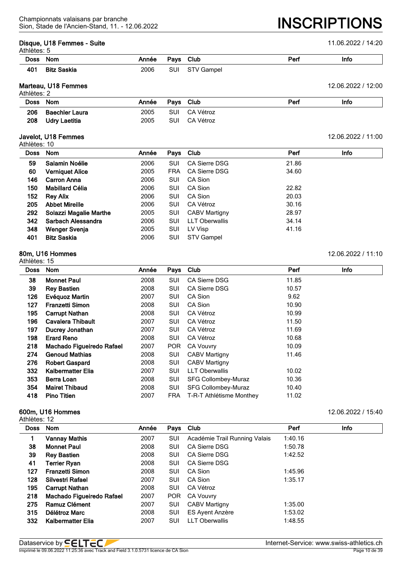#### **Disque, U18 Femmes - Suite** 11.06.2022 / 14:20

Athlètes: 5

Sion, Stade de l'Ancien-Stand, 11. - 12.06.2022 **INSCRIPTIONS**

| AUTERS. 5   |                    |       |      |                 |     |      |  |  |  |
|-------------|--------------------|-------|------|-----------------|-----|------|--|--|--|
| <b>Doss</b> | Nom                | Année | Pavs | Club            | Pen | Info |  |  |  |
| 401         | <b>Bitz Saskia</b> | 2006  | SUI  | CTVCT<br>Gampel |     |      |  |  |  |

# **Marteau, U18 Femmes** 12.06.2022 / 12:00

| Athlètes: 2 |                |       |            |           |      |      |  |  |
|-------------|----------------|-------|------------|-----------|------|------|--|--|
| Doss Nom    |                | Année | Pays Club  |           | Perf | Info |  |  |
| 206         | Baechler Laura | 2005  | <b>SUI</b> | CA Vétroz |      |      |  |  |
| 208         | Udrv Laetitia  | 2005  | SUI        | CA Vétroz |      |      |  |  |

### **Javelot, U18 Femmes** 12.06.2022 / 11:00

Athlètes: 10

| <b>Nom</b>             | Année |            |                       | Perf      | Info |
|------------------------|-------|------------|-----------------------|-----------|------|
| Salamin Noélie         | 2006  | SUI        | <b>CA Sierre DSG</b>  | 21.86     |      |
| <b>Verniquet Alice</b> | 2005  | <b>FRA</b> | CA Sierre DSG         | 34.60     |      |
| <b>Carron Anna</b>     | 2006  | SUI        | CA Sion               |           |      |
| Mabillard Célia        | 2006  | SUI        | CA Sion               | 22.82     |      |
| <b>Rey Alix</b>        | 2006  | SUI        | CA Sion               | 20.03     |      |
| <b>Abbet Mireille</b>  | 2006  | SUI        | CA Vétroz             | 30.16     |      |
| Solazzi Magalie Marthe | 2005  | SUI        | <b>CABV Martigny</b>  | 28.97     |      |
| Sarbach Alessandra     | 2006  | SUI        | <b>LLT Oberwallis</b> | 34.14     |      |
| Wenger Svenja          | 2005  | SUI        | LV Visp               | 41.16     |      |
| <b>Bitz Saskia</b>     | 2006  | SUI        | STV Gampel            |           |      |
|                        |       |            |                       | Pays Club |      |

#### **80m, U16 Hommes** 12.06.2022 / 11:10 Athlètes: 15

| <b>Doss</b> | <b>Nom</b>                | Année | Pays       | Club                     | Perf  | <b>Info</b> |
|-------------|---------------------------|-------|------------|--------------------------|-------|-------------|
| 38          | <b>Monnet Paul</b>        | 2008  | SUI        | <b>CA Sierre DSG</b>     | 11.85 |             |
| 39          | <b>Rey Bastien</b>        | 2008  | SUI        | <b>CA Sierre DSG</b>     | 10.57 |             |
| 126         | Evéquoz Martin            | 2007  | SUI        | CA Sion                  | 9.62  |             |
| 127         | <b>Franzetti Simon</b>    | 2008  | SUI        | CA Sion                  | 10.90 |             |
| 195         | <b>Carrupt Nathan</b>     | 2008  | SUI        | CA Vétroz                | 10.99 |             |
| 196         | <b>Cavalera Thibault</b>  | 2007  | SUI        | CA Vétroz                | 11.50 |             |
| 197         | Ducrey Jonathan           | 2007  | SUI        | CA Vétroz                | 11.69 |             |
| 198         | <b>Erard Reno</b>         | 2008  | SUI        | CA Vétroz                | 10.68 |             |
| 218         | Machado Figueiredo Rafael | 2007  | <b>POR</b> | <b>CA Vouvry</b>         | 10.09 |             |
| 274         | <b>Genoud Mathias</b>     | 2008  | SUI        | <b>CABV Martigny</b>     | 11.46 |             |
| 276         | <b>Robert Gaspard</b>     | 2008  | SUI        | <b>CABV Martigny</b>     |       |             |
| 332         | Kalbermatter Elia         | 2007  | SUI        | <b>LLT Oberwallis</b>    | 10.02 |             |
| 353         | Berra Loan                | 2008  | SUI        | SFG Collombey-Muraz      | 10.36 |             |
| 354         | <b>Mairet Thibaud</b>     | 2008  | SUI        | SFG Collombey-Muraz      | 10.40 |             |
| 418         | <b>Pino Titien</b>        | 2007  | <b>FRA</b> | T-R-T Athlétisme Monthey | 11.02 |             |

### **600m, U16 Hommes** 12.06.2022 / 15:40

| <b>Doss</b> | <b>Nom</b>                | Année | Pays       | Club                          | Perf    | Info |
|-------------|---------------------------|-------|------------|-------------------------------|---------|------|
|             | <b>Vannay Mathis</b>      | 2007  | <b>SUI</b> | Académie Trail Running Valais | 1:40.16 |      |
| 38          | <b>Monnet Paul</b>        | 2008  | SUI        | CA Sierre DSG                 | 1:50.78 |      |
| 39          | <b>Rey Bastien</b>        | 2008  | SUI        | CA Sierre DSG                 | 1:42.52 |      |
| 41          | <b>Terrier Ryan</b>       | 2008  | SUI        | CA Sierre DSG                 |         |      |
| 127         | <b>Franzetti Simon</b>    | 2008  | <b>SUI</b> | CA Sion                       | 1:45.96 |      |
| 128         | Silvestri Rafael          | 2007  | <b>SUI</b> | CA Sion                       | 1:35.17 |      |
| 195         | <b>Carrupt Nathan</b>     | 2008  | <b>SUI</b> | CA Vétroz                     |         |      |
| 218         | Machado Figueiredo Rafael | 2007  | <b>POR</b> | <b>CA Vouvry</b>              |         |      |
| 275         | Ramuz Clément             | 2007  | SUI        | <b>CABV Martigny</b>          | 1:35.00 |      |
| 315         | Délétroz Marc             | 2008  | SUI        | ES Ayent Anzère               | 1:53.02 |      |
| 332         | Kalbermatter Elia         | 2007  | SUI        | <b>LLT Oberwallis</b>         | 1:48.55 |      |
|             |                           |       |            |                               |         |      |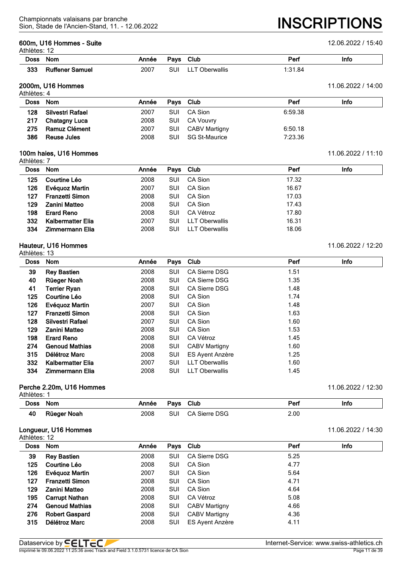#### **600m, U16 Hommes - Suite** 12.06.2022 / 15:40

 $A + b \Delta$ 

Sion, Stade de l'Ancien-Stand, 11. - 12.06.2022 **INSCRIPTIONS**

| Athletes:   |                        |       |      |              |         |      |  |  |  |  |
|-------------|------------------------|-------|------|--------------|---------|------|--|--|--|--|
| <b>Doss</b> | Nom                    | Année | Pays | <b>Club</b>  | Perf    | Info |  |  |  |  |
| 333         | <b>Ruffener Samuel</b> | 2007  | SUI  | T Oberwallis | 1:31.84 |      |  |  |  |  |

#### **2000m, U16 Hommes** 11.06.2022 / 14:00  $A + b + \lambda + \lambda + \lambda$

| Doss Nom |                      | Année | Pays Club  |               | Perf    | Info |
|----------|----------------------|-------|------------|---------------|---------|------|
| 128      | Silvestri Rafael     | 2007  | <b>SUI</b> | CA Sion       | 6:59.38 |      |
| 217      | <b>Chatagny Luca</b> | 2008  | SUI        | CA Vouvry     |         |      |
| 275      | Ramuz Clément        | 2007  | <b>SUI</b> | CABV Martigny | 6:50.18 |      |
| 386      | <b>Reuse Jules</b>   | 2008  | <b>SUI</b> | SG St-Maurice | 7:23.36 |      |

#### **100m haies, U16 Hommes** 11.06.2022 / 11:10 Athlètes: 7

| Doss | <b>Nom</b>             | Année | Pays Club |                       | Perf  | Info |  |
|------|------------------------|-------|-----------|-----------------------|-------|------|--|
| 125  | Courtine Léo           | 2008  | SUI       | CA Sion               | 17.32 |      |  |
| 126  | Evéguoz Martin         | 2007  | SUI       | CA Sion               | 16.67 |      |  |
| 127  | <b>Franzetti Simon</b> | 2008  | SUI       | CA Sion               | 17.03 |      |  |
| 129  | Zanini Matteo          | 2008  | SUI       | CA Sion               | 17.43 |      |  |
| 198  | <b>Erard Reno</b>      | 2008  | SUI       | CA Vétroz             | 17.80 |      |  |
| 332  | Kalbermatter Elia      | 2007  | SUI       | <b>LLT Oberwallis</b> | 16.31 |      |  |
| 334  | Zimmermann Elia        | 2008  | SUI       | <b>LLT Oberwallis</b> | 18.06 |      |  |
|      |                        |       |           |                       |       |      |  |

## **Hauteur, U16 Hommes** 11.06.2022 / 12:20

| Athlètes: 13 |                        |       |            |                        |      |      |
|--------------|------------------------|-------|------------|------------------------|------|------|
| <b>Doss</b>  | <b>Nom</b>             | Année | Pays       | Club                   | Perf | Info |
| 39           | <b>Rey Bastien</b>     | 2008  | SUI        | <b>CA Sierre DSG</b>   | 1.51 |      |
| 40           | Rüeger Noah            | 2008  | SUI        | <b>CA Sierre DSG</b>   | 1.35 |      |
| 41           | <b>Terrier Ryan</b>    | 2008  | SUI        | <b>CA Sierre DSG</b>   | 1.48 |      |
| 125          | Courtine Léo           | 2008  | SUI        | CA Sion                | 1.74 |      |
| 126          | Evéquoz Martin         | 2007  | SUI        | CA Sion                | 1.48 |      |
| 127          | <b>Franzetti Simon</b> | 2008  | SUI        | CA Sion                | 1.63 |      |
| 128          | Silvestri Rafael       | 2007  | <b>SUI</b> | CA Sion                | 1.60 |      |
| 129          | <b>Zanini Matteo</b>   | 2008  | SUI        | CA Sion                | 1.53 |      |
| 198          | <b>Erard Reno</b>      | 2008  | SUI        | CA Vétroz              | 1.45 |      |
| 274          | <b>Genoud Mathias</b>  | 2008  | SUI        | <b>CABV Martigny</b>   | 1.60 |      |
| 315          | Délétroz Marc          | 2008  | SUI        | <b>ES Ayent Anzère</b> | 1.25 |      |
| 332          | Kalbermatter Elia      | 2007  | SUI        | <b>LLT Oberwallis</b>  | 1.60 |      |
| 334          | Zimmermann Elia        | 2008  | <b>SUI</b> | <b>LLT Oberwallis</b>  | 1.45 |      |

#### **Perche 2.20m, U16 Hommes** 11.06.2022 / 12:30

| Athlètes:   |             |       |             |               |      |      |
|-------------|-------------|-------|-------------|---------------|------|------|
| <b>Doss</b> | Nom         | Année | <b>Pavs</b> | Club          | Per  | Info |
| 40          | Rüeger Noah | 2008  | <b>SUI</b>  | CA Sierre DSG | 2.00 |      |

# **Longueur, U16 Hommes** 11.06.2022 / 14:30

| Athlètes: 12 |                        |       |     |                        |      |             |  |
|--------------|------------------------|-------|-----|------------------------|------|-------------|--|
| <b>Doss</b>  | <b>Nom</b>             | Année |     | Pays Club              | Perf | <b>Info</b> |  |
| 39           | <b>Rey Bastien</b>     | 2008  | SUI | <b>CA Sierre DSG</b>   | 5.25 |             |  |
| 125          | Courtine Léo           | 2008  | SUI | CA Sion                | 4.77 |             |  |
| 126          | Evéquoz Martin         | 2007  | SUI | CA Sion                | 5.64 |             |  |
| 127          | <b>Franzetti Simon</b> | 2008  | SUI | CA Sion                | 4.71 |             |  |
| 129          | Zanini Matteo          | 2008  | SUI | CA Sion                | 4.64 |             |  |
| 195          | <b>Carrupt Nathan</b>  | 2008  | SUI | CA Vétroz              | 5.08 |             |  |
| 274          | <b>Genoud Mathias</b>  | 2008  | SUI | <b>CABV Martigny</b>   | 4.66 |             |  |
| 276          | <b>Robert Gaspard</b>  | 2008  | SUI | <b>CABV Martigny</b>   | 4.36 |             |  |
| 315          | Délétroz Marc          | 2008  | SUI | <b>ES Ayent Anzère</b> | 4.11 |             |  |
|              |                        |       |     |                        |      |             |  |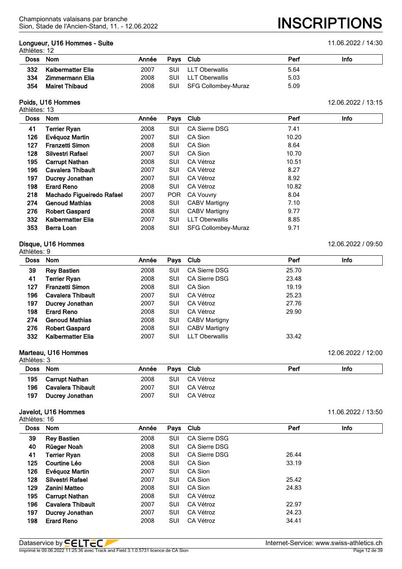# **Longueur, U16 Hommes - Suite** 11.06.2022 / 14:30

#### Athlètes: 12

Sion, Stade de l'Ancien-Stand, 11. - 12.06.2022 **INSCRIPTIONS**

|     | Doss Nom              | Année | Pavs Club  |                     | Perf | Info |
|-----|-----------------------|-------|------------|---------------------|------|------|
| 332 | Kalbermatter Elia     | 2007  | <b>SUI</b> | LLT Oberwallis      | 5.64 |      |
| 334 | Zimmermann Elia       | 2008  | <b>SUI</b> | LLT Oberwallis      | 5.03 |      |
| 354 | <b>Mairet Thibaud</b> | 2008  | SUI        | SFG Collombey-Muraz | 5.09 |      |

# **Poids, U16 Hommes** 12.06.2022 / 13:15

Athlètes: 13

| <b>Doss</b> | <b>Nom</b>                | Année | <b>Pays</b> | Club                       | Perf  | Info |
|-------------|---------------------------|-------|-------------|----------------------------|-------|------|
| 41          | <b>Terrier Ryan</b>       | 2008  | SUI         | CA Sierre DSG              | 7.41  |      |
| 126         | Evéquoz Martin            | 2007  | SUI         | CA Sion                    | 10.20 |      |
| 127         | <b>Franzetti Simon</b>    | 2008  | SUI         | CA Sion                    | 8.64  |      |
| 128         | Silvestri Rafael          | 2007  | SUI         | CA Sion                    | 10.70 |      |
| 195         | <b>Carrupt Nathan</b>     | 2008  | SUI         | CA Vétroz                  | 10.51 |      |
| 196         | <b>Cavalera Thibault</b>  | 2007  | SUI         | CA Vétroz                  | 8.27  |      |
| 197         | Ducrey Jonathan           | 2007  | SUI         | CA Vétroz                  | 8.92  |      |
| 198         | <b>Erard Reno</b>         | 2008  | SUI         | CA Vétroz                  | 10.82 |      |
| 218         | Machado Figueiredo Rafael | 2007  | <b>POR</b>  | <b>CA Vouvry</b>           | 8.04  |      |
| 274         | <b>Genoud Mathias</b>     | 2008  | SUI         | <b>CABV Martigny</b>       | 7.10  |      |
| 276         | <b>Robert Gaspard</b>     | 2008  | SUI         | <b>CABV Martigny</b>       | 9.77  |      |
| 332         | <b>Kalbermatter Elia</b>  | 2007  | SUI         | <b>LLT Oberwallis</b>      | 8.85  |      |
| 353         | Berra Loan                | 2008  | SUI         | <b>SFG Collombey-Muraz</b> | 9.71  |      |

#### **Disque, U16 Hommes** 12.06.2022 / 09:50

| Athlètes: 9 |                          |       |           |                       |       |      |  |
|-------------|--------------------------|-------|-----------|-----------------------|-------|------|--|
| <b>Doss</b> | Nom                      | Année | Pays Club |                       | Perf  | Info |  |
| 39          | <b>Rey Bastien</b>       | 2008  | SUI       | CA Sierre DSG         | 25.70 |      |  |
| 41          | Terrier Ryan             | 2008  | SUI       | CA Sierre DSG         | 23.48 |      |  |
| 127         | <b>Franzetti Simon</b>   | 2008  | SUI       | CA Sion               | 19.19 |      |  |
| 196         | <b>Cavalera Thibault</b> | 2007  | SUI       | CA Vétroz             | 25.23 |      |  |
| 197         | Ducrey Jonathan          | 2007  | SUI       | CA Vétroz             | 27.76 |      |  |
| 198         | <b>Erard Reno</b>        | 2008  | SUI       | CA Vétroz             | 29.90 |      |  |
| 274         | <b>Genoud Mathias</b>    | 2008  | SUI       | <b>CABV Martigny</b>  |       |      |  |
| 276         | <b>Robert Gaspard</b>    | 2008  | SUI       | <b>CABV Martigny</b>  |       |      |  |
| 332         | Kalbermatter Elia        | 2007  | SUI       | <b>LLT Oberwallis</b> | 33.42 |      |  |

#### **Marteau, U16 Hommes** 12.06.2022 / 12:00

| Athlètes: 3 |                        |       |            |           |      |      |  |
|-------------|------------------------|-------|------------|-----------|------|------|--|
| Doss Nom    |                        | Année | Pays Club  |           | Perf | Info |  |
| 195         | <b>Carrupt Nathan</b>  | 2008  | <b>SUI</b> | CA Vétroz |      |      |  |
| 196         | Cavalera Thibault      | 2007  | <b>SUI</b> | CA Vétroz |      |      |  |
| 197         | <b>Ducrey Jonathan</b> | 2007  | <b>SUI</b> | CA Vétroz |      |      |  |

## **Javelot, U16 Hommes**

|  | 11.06.2022 / 13:50 |  |
|--|--------------------|--|
|--|--------------------|--|

| <b>Doss</b> | <b>Nom</b>               | Année | Pavs | Club                 | Perf  | Info |
|-------------|--------------------------|-------|------|----------------------|-------|------|
| 39          | <b>Rey Bastien</b>       | 2008  | SUI  | <b>CA Sierre DSG</b> |       |      |
| 40          | Rüeger Noah              | 2008  | SUI  | <b>CA Sierre DSG</b> |       |      |
| 41          | <b>Terrier Ryan</b>      | 2008  | SUI  | CA Sierre DSG        | 26.44 |      |
| 125         | Courtine Léo             | 2008  | SUI  | CA Sion              | 33.19 |      |
| 126         | Evéguoz Martin           | 2007  | SUI  | CA Sion              |       |      |
| 128         | Silvestri Rafael         | 2007  | SUI  | CA Sion              | 25.42 |      |
| 129         | Zanini Matteo            | 2008  | SUI  | CA Sion              | 24.83 |      |
| 195         | <b>Carrupt Nathan</b>    | 2008  | SUI  | CA Vétroz            |       |      |
| 196         | <b>Cavalera Thibault</b> | 2007  | SUI  | CA Vétroz            | 22.97 |      |
| 197         | Ducrey Jonathan          | 2007  | SUI  | CA Vétroz            | 24.23 |      |
| 198         | <b>Erard Reno</b>        | 2008  | SUI  | CA Vétroz            | 34.41 |      |
|             |                          |       |      |                      |       |      |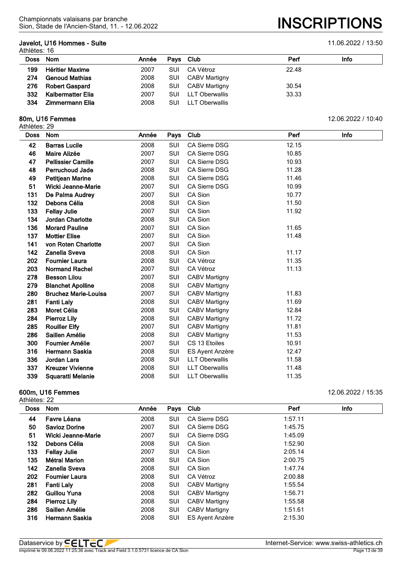## **Javelot, U16 Hommes - Suite** 11.06.2022 / 13:50

Athlètes: 16

| Doss | Nom                    | Année | Pays Club  |                       | Perf  | Info |  |  |  |
|------|------------------------|-------|------------|-----------------------|-------|------|--|--|--|
| 199  | <b>Héritier Maxime</b> | 2007  | <b>SUI</b> | CA Vétroz             | 22.48 |      |  |  |  |
| 274  | <b>Genoud Mathias</b>  | 2008  | <b>SUI</b> | CABV Martigny         |       |      |  |  |  |
| 276  | <b>Robert Gaspard</b>  | 2008  | SUI        | CABV Martigny         | 30.54 |      |  |  |  |
| 332  | Kalbermatter Elia      | 2007  | SUI        | <b>LLT Oberwallis</b> | 33.33 |      |  |  |  |
| 334  | Zimmermann Elia        | 2008  | <b>SUI</b> | LLT Oberwallis        |       |      |  |  |  |

#### **80m, U16 Femmes** 12.06.2022 / 10:40

Athlètes: 29

| u ບບ. ∠ບ    |                             |       |            |                       |       |      |
|-------------|-----------------------------|-------|------------|-----------------------|-------|------|
| <b>Doss</b> | <b>Nom</b>                  | Année | Pays       | Club                  | Perf  | Info |
| 42          | <b>Barras Lucile</b>        | 2008  | <b>SUI</b> | CA Sierre DSG         | 12.15 |      |
| 46          | Maire Alizée                | 2007  | SUI        | CA Sierre DSG         | 10.85 |      |
| 47          | <b>Pellissier Camille</b>   | 2007  | <b>SUI</b> | CA Sierre DSG         | 10.93 |      |
| 48          | <b>Perruchoud Jade</b>      | 2008  | SUI        | <b>CA Sierre DSG</b>  | 11.28 |      |
| 49          | <b>Petitjean Marine</b>     | 2008  | <b>SUI</b> | CA Sierre DSG         | 11.46 |      |
| 51          | Wicki Jeanne-Marie          | 2007  | SUI        | CA Sierre DSG         | 10.99 |      |
| 131         | De Palma Audrey             | 2007  | <b>SUI</b> | CA Sion               | 10.77 |      |
| 132         | Debons Célia                | 2008  | <b>SUI</b> | CA Sion               | 11.50 |      |
| 133         | <b>Fellay Julie</b>         | 2007  | SUI        | CA Sion               | 11.92 |      |
| 134         | <b>Jordan Charlotte</b>     | 2008  | SUI        | CA Sion               |       |      |
| 136         | <b>Morard Pauline</b>       | 2007  | <b>SUI</b> | CA Sion               | 11.65 |      |
| 137         | <b>Mottier Elise</b>        | 2007  | <b>SUI</b> | CA Sion               | 11.48 |      |
| 141         | von Roten Charlotte         | 2007  | SUI        | CA Sion               |       |      |
| 142         | <b>Zanella Sveva</b>        | 2008  | <b>SUI</b> | CA Sion               | 11.17 |      |
| 202         | <b>Fournier Laura</b>       | 2008  | SUI        | CA Vétroz             | 11.35 |      |
| 203         | <b>Normand Rachel</b>       | 2007  | <b>SUI</b> | CA Vétroz             | 11.13 |      |
| 278         | <b>Besson Lilou</b>         | 2007  | SUI        | <b>CABV Martigny</b>  |       |      |
| 279         | <b>Blanchet Apolline</b>    | 2008  | SUI        | <b>CABV Martigny</b>  |       |      |
| 280         | <b>Bruchez Marie-Louisa</b> | 2007  | <b>SUI</b> | <b>CABV Martigny</b>  | 11.83 |      |
| 281         | <b>Fanti Laly</b>           | 2008  | SUI        | <b>CABV Martigny</b>  | 11.69 |      |
| 283         | Moret Célia                 | 2008  | <b>SUI</b> | <b>CABV Martigny</b>  | 12.84 |      |
| 284         | <b>Pierroz Lily</b>         | 2008  | SUI        | <b>CABV Martigny</b>  | 11.72 |      |
| 285         | <b>Rouiller Elfy</b>        | 2007  | SUI        | <b>CABV Martigny</b>  | 11.81 |      |
| 286         | Saillen Amélie              | 2008  | <b>SUI</b> | <b>CABV Martigny</b>  | 11.53 |      |
| 300         | <b>Fournier Amélie</b>      | 2007  | <b>SUI</b> | CS 13 Etoiles         | 10.91 |      |
| 316         | <b>Hermann Saskia</b>       | 2008  | SUI        | ES Ayent Anzère       | 12.47 |      |
| 336         | Jordan Lara                 | 2008  | SUI        | <b>LLT Oberwallis</b> | 11.58 |      |
| 337         | <b>Kreuzer Vivienne</b>     | 2008  | <b>SUI</b> | <b>LLT Oberwallis</b> | 11.48 |      |
| 339         | Squaratti Melanie           | 2008  | SUI        | <b>LLT Oberwallis</b> | 11.35 |      |

#### **600m, U16 Femmes** 12.06.2022 / 15:35

| <b>Doss</b> | <b>Nom</b>            | Année | Pays       | Club                   | Perf    | Info |
|-------------|-----------------------|-------|------------|------------------------|---------|------|
| 44          | Favre Léana           | 2008  | SUI        | <b>CA Sierre DSG</b>   | 1:57.11 |      |
| 50          | <b>Savioz Dorine</b>  | 2007  | SUI        | CA Sierre DSG          | 1:45.75 |      |
| 51          | Wicki Jeanne-Marie    | 2007  | SUI        | CA Sierre DSG          | 1:45.09 |      |
| 132         | Debons Célia          | 2008  | SUI        | CA Sion                | 1:52.90 |      |
| 133         | <b>Fellay Julie</b>   | 2007  | SUI        | CA Sion                | 2:05.14 |      |
| 135         | Métral Marion         | 2008  | SUI        | CA Sion                | 2:00.75 |      |
| 142         | Zanella Sveva         | 2008  | <b>SUI</b> | CA Sion                | 1:47.74 |      |
| 202         | <b>Fournier Laura</b> | 2008  | SUI        | CA Vétroz              | 2:00.88 |      |
| 281         | <b>Fanti Laly</b>     | 2008  | SUI        | <b>CABV Martigny</b>   | 1:55.54 |      |
| 282         | <b>Guillou Yuna</b>   | 2008  | SUI        | <b>CABV Martigny</b>   | 1:56.71 |      |
| 284         | <b>Pierroz Lily</b>   | 2008  | SUI        | <b>CABV Martigny</b>   | 1:55.58 |      |
| 286         | Saillen Amélie        | 2008  | SUI        | <b>CABV Martigny</b>   | 1:51.61 |      |
| 316         | Hermann Saskia        | 2008  | SUI        | <b>ES Ayent Anzère</b> | 2:15.30 |      |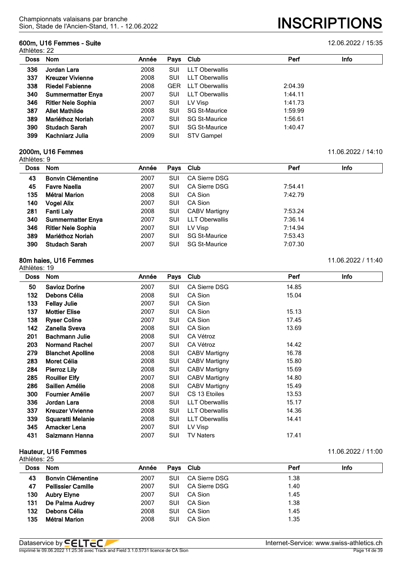#### **600m, U16 Femmes - Suite** 12.06.2022 / 15:35

Athlètes: 22

| Doss | <b>Nom</b>                | Année | Pays Club  |                       | Perf    | Info |
|------|---------------------------|-------|------------|-----------------------|---------|------|
| 336  | Jordan Lara               | 2008  | SUI        | LLT Oberwallis        |         |      |
| 337  | <b>Kreuzer Vivienne</b>   | 2008  | SUI        | <b>LLT Oberwallis</b> |         |      |
| 338  | <b>Riedel Fabienne</b>    | 2008  | <b>GER</b> | LLT Oberwallis        | 2:04.39 |      |
| 340  | <b>Summermatter Enya</b>  | 2007  | SUI        | LLT Oberwallis        | 1:44.11 |      |
| 346  | <b>Ritler Nele Sophia</b> | 2007  | SUI        | LV Visp               | 1:41.73 |      |
| 387  | <b>Allet Mathilde</b>     | 2008  | SUI        | <b>SG St-Maurice</b>  | 1:59.99 |      |
| 389  | Mariéthoz Noriah          | 2007  | SUI        | <b>SG St-Maurice</b>  | 1:56.61 |      |
| 390  | <b>Studach Sarah</b>      | 2007  | SUI        | <b>SG St-Maurice</b>  | 1:40.47 |      |
| 399  | Kachniarz Julia           | 2009  | <b>SUI</b> | <b>STV Gampel</b>     |         |      |

## **2000m, U16 Femmes** 11.06.2022 / 14:10

| Athlètes: 9 |                           |       |            |                       |         |      |
|-------------|---------------------------|-------|------------|-----------------------|---------|------|
| Doss Nom    |                           | Année | Pays       | Club                  | Perf    | Info |
| 43          | <b>Bonvin Clémentine</b>  | 2007  | SUI        | CA Sierre DSG         |         |      |
| 45          | <b>Favre Naella</b>       | 2007  | <b>SUI</b> | CA Sierre DSG         | 7:54.41 |      |
| 135         | <b>Métral Marion</b>      | 2008  | <b>SUI</b> | CA Sion               | 7:42.79 |      |
| 140         | <b>Vogel Alix</b>         | 2007  | <b>SUI</b> | CA Sion               |         |      |
| 281         | <b>Fanti Laly</b>         | 2008  | <b>SUI</b> | <b>CABV Martigny</b>  | 7:53.24 |      |
| 340         | <b>Summermatter Enya</b>  | 2007  | <b>SUI</b> | <b>LLT Oberwallis</b> | 7:36.14 |      |
| 346         | <b>Ritler Nele Sophia</b> | 2007  | <b>SUI</b> | LV Visp               | 7:14.94 |      |
| 389         | Mariéthoz Noriah          | 2007  | <b>SUI</b> | <b>SG St-Maurice</b>  | 7:53.43 |      |
| 390         | <b>Studach Sarah</b>      | 2007  | SUI        | <b>SG St-Maurice</b>  | 7:07.30 |      |

#### **80m haies, U16 Femmes** 11.06.2022 / 11:40

| Athlètes: 19 |                          |       |      |                       |       |             |  |
|--------------|--------------------------|-------|------|-----------------------|-------|-------------|--|
| <b>Doss</b>  | <b>Nom</b>               | Année | Pays | Club                  | Perf  | <b>Info</b> |  |
| 50           | <b>Savioz Dorine</b>     | 2007  | SUI  | <b>CA Sierre DSG</b>  | 14.85 |             |  |
| 132          | Debons Célia             | 2008  | SUI  | CA Sion               | 15.04 |             |  |
| 133          | <b>Fellay Julie</b>      | 2007  | SUI  | CA Sion               |       |             |  |
| 137          | <b>Mottier Elise</b>     | 2007  | SUI  | CA Sion               | 15.13 |             |  |
| 138          | <b>Ryser Coline</b>      | 2007  | SUI  | CA Sion               | 17.45 |             |  |
| 142          | Zanella Sveva            | 2008  | SUI  | CA Sion               | 13.69 |             |  |
| 201          | <b>Bachmann Julie</b>    | 2008  | SUI  | CA Vétroz             |       |             |  |
| 203          | <b>Normand Rachel</b>    | 2007  | SUI  | CA Vétroz             | 14.42 |             |  |
| 279          | <b>Blanchet Apolline</b> | 2008  | SUI  | <b>CABV Martigny</b>  | 16.78 |             |  |
| 283          | Moret Célia              | 2008  | SUI  | <b>CABV Martigny</b>  | 15.80 |             |  |
| 284          | <b>Pierroz Lily</b>      | 2008  | SUI  | <b>CABV Martigny</b>  | 15.69 |             |  |
| 285          | <b>Rouiller Elfy</b>     | 2007  | SUI  | <b>CABV Martigny</b>  | 14.80 |             |  |
| 286          | Saillen Amélie           | 2008  | SUI  | <b>CABV Martigny</b>  | 15.49 |             |  |
| 300          | <b>Fournier Amélie</b>   | 2007  | SUI  | CS 13 Etoiles         | 13.53 |             |  |
| 336          | Jordan Lara              | 2008  | SUI  | <b>LLT Oberwallis</b> | 15.17 |             |  |
| 337          | <b>Kreuzer Vivienne</b>  | 2008  | SUI  | <b>LLT Oberwallis</b> | 14.36 |             |  |
| 339          | Squaratti Melanie        | 2008  | SUI  | <b>LLT Oberwallis</b> | 14.41 |             |  |
| 345          | Amacker Lena             | 2007  | SUI  | LV Visp               |       |             |  |
| 431          | Salzmann Hanna           | 2007  | SUI  | <b>TV Naters</b>      | 17.41 |             |  |
|              |                          |       |      |                       |       |             |  |

#### **Hauteur, U16 Femmes** 11.06.2022 / 11:00

| Athlètes: 25 |                           |       |            |               |      |      |
|--------------|---------------------------|-------|------------|---------------|------|------|
| Doss Nom     |                           | Année |            | Pays Club     | Perf | Info |
| 43           | <b>Bonvin Clémentine</b>  | 2007  | SUI        | CA Sierre DSG | 1.38 |      |
| 47           | <b>Pellissier Camille</b> | 2007  | SUI        | CA Sierre DSG | 1.40 |      |
| 130          | <b>Aubry Elyne</b>        | 2007  | SUI        | CA Sion       | 1.45 |      |
| 131          | De Palma Audrey           | 2007  | SUI        | CA Sion       | 1.38 |      |
| 132          | Debons Célia              | 2008  | SUI        | CA Sion       | 1.45 |      |
| 135          | <b>Métral Marion</b>      | 2008  | <b>SUI</b> | CA Sion       | 1.35 |      |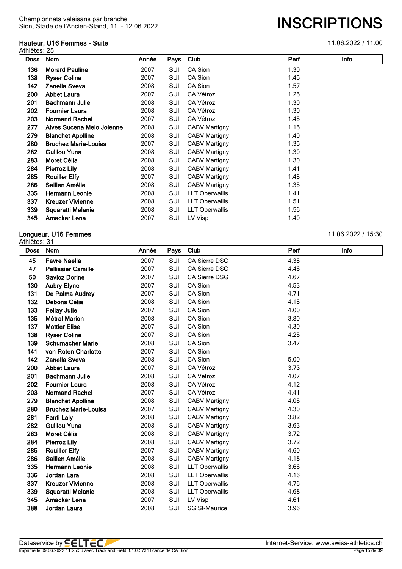## **Hauteur, U16 Femmes - Suite** 11.06.2022 / 11:00

| Athlètes: 25 | Hauteur, U16 Femmes - Suite |       |            |                       |      | 11.06.2022 / 11:00 |
|--------------|-----------------------------|-------|------------|-----------------------|------|--------------------|
| <b>Doss</b>  | Nom                         | Année | Pays       | Club                  | Perf | <b>Info</b>        |
| 136          | <b>Morard Pauline</b>       | 2007  | SUI        | CA Sion               | 1.30 |                    |
| 138          | <b>Ryser Coline</b>         | 2007  | SUI        | CA Sion               | 1.45 |                    |
| 142          | Zanella Sveva               | 2008  | SUI        | CA Sion               | 1.57 |                    |
| 200          | <b>Abbet Laura</b>          | 2007  | SUI        | CA Vétroz             | 1.25 |                    |
| 201          | <b>Bachmann Julie</b>       | 2008  | SUI        | CA Vétroz             | 1.30 |                    |
| 202          | <b>Fournier Laura</b>       | 2008  | SUI        | CA Vétroz             | 1.30 |                    |
| 203          | <b>Normand Rachel</b>       | 2007  | SUI        | CA Vétroz             | 1.45 |                    |
| 277          | Alves Sucena Melo Jolenne   | 2008  | SUI        | <b>CABV Martigny</b>  | 1.15 |                    |
| 279          | <b>Blanchet Apolline</b>    | 2008  | SUI        | <b>CABV Martigny</b>  | 1.40 |                    |
| 280          | <b>Bruchez Marie-Louisa</b> | 2007  | SUI        | <b>CABV Martigny</b>  | 1.35 |                    |
| 282          | <b>Guillou Yuna</b>         | 2008  | SUI        | <b>CABV Martigny</b>  | 1.30 |                    |
| 283          | Moret Célia                 | 2008  | SUI        | <b>CABV Martigny</b>  | 1.30 |                    |
| 284          | <b>Pierroz Lily</b>         | 2008  | SUI        | <b>CABV Martigny</b>  | 1.41 |                    |
| 285          | <b>Rouiller Elfy</b>        | 2007  | SUI        | <b>CABV Martigny</b>  | 1.48 |                    |
| 286          | Saillen Amélie              | 2008  | SUI        | <b>CABV Martigny</b>  | 1.35 |                    |
| 335          | Hermann Leonie              | 2008  | <b>SUI</b> | <b>LLT Oberwallis</b> | 1.41 |                    |
| 337          | <b>Kreuzer Vivienne</b>     | 2008  | SUI        | <b>LLT Oberwallis</b> | 1.51 |                    |
| 339          | Squaratti Melanie           | 2008  | SUI        | <b>LLT Oberwallis</b> | 1.56 |                    |
| 345          | Amacker Lena                | 2007  | SUI        | LV Visp               | 1.40 |                    |

# **Longueur, U16 Femmes** 11.06.2022 / 15:30

| <b>Doss</b> | Nom                         | Année | Pays       | Club                  | Perf | Info |
|-------------|-----------------------------|-------|------------|-----------------------|------|------|
| 45          | <b>Favre Naella</b>         | 2007  | <b>SUI</b> | CA Sierre DSG         | 4.38 |      |
| 47          | <b>Pellissier Camille</b>   | 2007  | <b>SUI</b> | <b>CA Sierre DSG</b>  | 4.46 |      |
| 50          | <b>Savioz Dorine</b>        | 2007  | SUI        | <b>CA Sierre DSG</b>  | 4.67 |      |
| 130         | <b>Aubry Elyne</b>          | 2007  | <b>SUI</b> | CA Sion               | 4.53 |      |
| 131         | De Palma Audrey             | 2007  | <b>SUI</b> | CA Sion               | 4.71 |      |
| 132         | Debons Célia                | 2008  | SUI        | CA Sion               | 4.18 |      |
| 133         | <b>Fellay Julie</b>         | 2007  | SUI        | CA Sion               | 4.00 |      |
| 135         | <b>Métral Marion</b>        | 2008  | SUI        | CA Sion               | 3.80 |      |
| 137         | <b>Mottier Elise</b>        | 2007  | <b>SUI</b> | CA Sion               | 4.30 |      |
| 138         | <b>Ryser Coline</b>         | 2007  | SUI        | CA Sion               | 4.25 |      |
| 139         | <b>Schumacher Marie</b>     | 2008  | <b>SUI</b> | CA Sion               | 3.47 |      |
| 141         | von Roten Charlotte         | 2007  | SUI        | CA Sion               |      |      |
| 142         | Zanella Sveva               | 2008  | SUI        | CA Sion               | 5.00 |      |
| 200         | <b>Abbet Laura</b>          | 2007  | SUI        | CA Vétroz             | 3.73 |      |
| 201         | <b>Bachmann Julie</b>       | 2008  | <b>SUI</b> | <b>CA Vétroz</b>      | 4.07 |      |
| 202         | <b>Fournier Laura</b>       | 2008  | SUI        | CA Vétroz             | 4.12 |      |
| 203         | <b>Normand Rachel</b>       | 2007  | SUI        | CA Vétroz             | 4.41 |      |
| 279         | <b>Blanchet Apolline</b>    | 2008  | <b>SUI</b> | <b>CABV Martigny</b>  | 4.05 |      |
| 280         | <b>Bruchez Marie-Louisa</b> | 2007  | SUI        | <b>CABV Martigny</b>  | 4.30 |      |
| 281         | <b>Fanti Laly</b>           | 2008  | SUI        | <b>CABV Martigny</b>  | 3.82 |      |
| 282         | <b>Guillou Yuna</b>         | 2008  | SUI        | <b>CABV Martigny</b>  | 3.63 |      |
| 283         | Moret Célia                 | 2008  | SUI        | <b>CABV Martigny</b>  | 3.72 |      |
| 284         | <b>Pierroz Lily</b>         | 2008  | SUI        | <b>CABV Martigny</b>  | 3.72 |      |
| 285         | <b>Rouiller Elfy</b>        | 2007  | SUI        | <b>CABV Martigny</b>  | 4.60 |      |
| 286         | Saillen Amélie              | 2008  | <b>SUI</b> | <b>CABV Martigny</b>  | 4.18 |      |
| 335         | <b>Hermann Leonie</b>       | 2008  | SUI        | <b>LLT Oberwallis</b> | 3.66 |      |
| 336         | Jordan Lara                 | 2008  | SUI        | <b>LLT Oberwallis</b> | 4.16 |      |
| 337         | <b>Kreuzer Vivienne</b>     | 2008  | <b>SUI</b> | <b>LLT Oberwallis</b> | 4.76 |      |
| 339         | Squaratti Melanie           | 2008  | SUI        | <b>LLT Oberwallis</b> | 4.68 |      |
| 345         | Amacker Lena                | 2007  | SUI        | LV Visp               | 4.61 |      |
| 388         | Jordan Laura                | 2008  | <b>SUI</b> | <b>SG St-Maurice</b>  | 3.96 |      |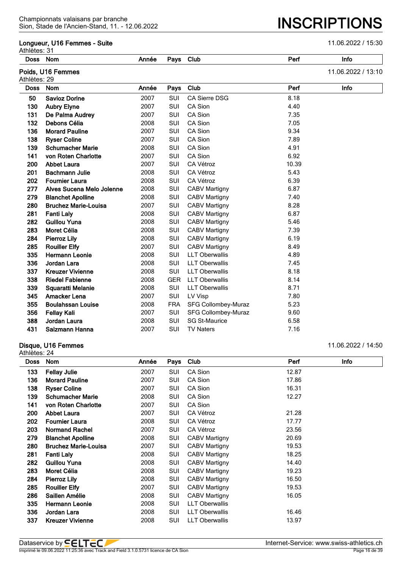#### **Longueur, U16 Femmes - Suite** 11.06.2022 / 15:30

| Athlètes: 31 |                             |       |            |                       |       |                    |
|--------------|-----------------------------|-------|------------|-----------------------|-------|--------------------|
| <b>Doss</b>  | Nom                         | Année | Pays       | Club                  | Perf  | Info               |
| Athlètes: 29 | Poids, U16 Femmes           |       |            |                       |       | 11.06.2022 / 13:10 |
| <b>Doss</b>  | Nom                         | Année | Pays       | Club                  | Perf  | Info               |
| 50           | <b>Savioz Dorine</b>        | 2007  | <b>SUI</b> | <b>CA Sierre DSG</b>  | 8.18  |                    |
| 130          | <b>Aubry Elyne</b>          | 2007  | SUI        | CA Sion               | 4.40  |                    |
| 131          | De Palma Audrey             | 2007  | SUI        | CA Sion               | 7.35  |                    |
| 132          | Debons Célia                | 2008  | SUI        | CA Sion               | 7.05  |                    |
| 136          | <b>Morard Pauline</b>       | 2007  | SUI        | CA Sion               | 9.34  |                    |
| 138          | <b>Ryser Coline</b>         | 2007  | SUI        | CA Sion               | 7.89  |                    |
| 139          | <b>Schumacher Marie</b>     | 2008  | SUI        | CA Sion               | 4.91  |                    |
| 141          | von Roten Charlotte         | 2007  | SUI        | CA Sion               | 6.92  |                    |
| 200          | <b>Abbet Laura</b>          | 2007  | SUI        | CA Vétroz             | 10.39 |                    |
| 201          | <b>Bachmann Julie</b>       | 2008  | SUI        | CA Vétroz             | 5.43  |                    |
| 202          | <b>Fournier Laura</b>       | 2008  | SUI        | CA Vétroz             | 6.39  |                    |
| 277          | Alves Sucena Melo Jolenne   | 2008  | SUI        | <b>CABV Martigny</b>  | 6.87  |                    |
| 279          | <b>Blanchet Apolline</b>    | 2008  | SUI        | <b>CABV Martigny</b>  | 7.40  |                    |
| 280          | <b>Bruchez Marie-Louisa</b> | 2007  | SUI        | <b>CABV Martigny</b>  | 8.28  |                    |
| 281          | <b>Fanti Laly</b>           | 2008  | SUI        | <b>CABV Martigny</b>  | 6.87  |                    |
| 282          | <b>Guillou Yuna</b>         | 2008  | SUI        | <b>CABV Martigny</b>  | 5.46  |                    |
| 283          | Moret Célia                 | 2008  | SUI        | <b>CABV Martigny</b>  | 7.39  |                    |
| 284          | <b>Pierroz Lily</b>         | 2008  | SUI        | <b>CABV Martigny</b>  | 6.19  |                    |
| 285          | <b>Rouiller Elfy</b>        | 2007  | SUI        | <b>CABV Martigny</b>  | 8.49  |                    |
| 335          | <b>Hermann Leonie</b>       | 2008  | SUI        | <b>LLT Oberwallis</b> | 4.89  |                    |
| 336          | Jordan Lara                 | 2008  | SUI        | <b>LLT Oberwallis</b> | 7.45  |                    |
| 337          | <b>Kreuzer Vivienne</b>     | 2008  | SUI        | <b>LLT Oberwallis</b> | 8.18  |                    |
| 338          | <b>Riedel Fabienne</b>      | 2008  | <b>GER</b> | <b>LLT Oberwallis</b> | 8.14  |                    |
| 339          | Squaratti Melanie           | 2008  | SUI        | <b>LLT Oberwallis</b> | 8.71  |                    |
| 345          | <b>Amacker Lena</b>         | 2007  | SUI        | LV Visp               | 7.80  |                    |
| 355          | <b>Boulahssan Louise</b>    | 2008  | <b>FRA</b> | SFG Collombey-Muraz   | 5.23  |                    |
| 356          | <b>Fellay Kali</b>          | 2007  | SUI        | SFG Collombey-Muraz   | 9.60  |                    |
| 388          | Jordan Laura                | 2008  | SUI        | <b>SG St-Maurice</b>  | 6.58  |                    |
| 431          | Salzmann Hanna              | 2007  | SUI        | <b>TV Naters</b>      | 7.16  |                    |
|              |                             |       |            |                       |       |                    |

#### **Disque, U16 Femmes** 11.06.2022 / 14:50

Athlètes: 24 **Doss Nom Année Pays Club Perf Info Fellay Julie** 2007 SUI CA Sion 12.87 **136 Morard Pauline** 2007 SUI CA Sion 2007 17.86 **138 Ryser Coline** 2007 SUI CA Sion 16.31 **Schumacher Marie** 2008 SUI CA Sion 12.27 **von Roten Charlotte** 2007 SUI CA Sion **Abbet Laura** 2007 SUI CA Vétroz 21.28 **Fournier Laura** 2008 SUI CA Vétroz 17.77 **Normand Rachel** 2007 SUI CA Vétroz 23.56 **Blanchet Apolline** 2008 SUI CABV Martigny 20.69 **Bruchez Marie-Louisa** 2007 SUI CABV Martigny 19.53 **Fanti Laly** 2008 SUI CABV Martigny 18.25 **Guillou Yuna** 2008 SUI CABV Martigny 14.40 **Moret Célia** 2008 SUI CABV Martigny 19.23 **Pierroz Lily** 2008 SUI CABV Martigny 16.50 **285 Rouiller Elfv** 2007 SUI CABV Martigny 2053 **Saillen Amélie** 2008 SUI CABV Martigny 16.05 **Hermann Leonie** 2008 SUI LLT Oberwallis **Jordan Lara** 2008 SUI LLT Oberwallis 16.46 **337 Kreuzer Vivienne** 13.97 **COOS** SUI LLT Oberwallis 13.97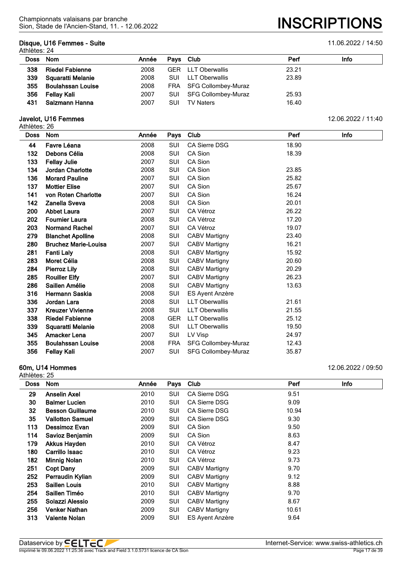## **Disque, U16 Femmes - Suite** 11.06.2022 / 14:50

Athlètes: 24

| Doss Nom |                          | Année | Pays Club  |                           | Perf  | Info |
|----------|--------------------------|-------|------------|---------------------------|-------|------|
| 338      | <b>Riedel Fabienne</b>   | 2008  |            | <b>GER</b> LLT Oberwallis | 23.21 |      |
| 339      | Squaratti Melanie        | 2008  | SUI.       | LLT Oberwallis            | 23.89 |      |
| 355      | <b>Boulahssan Louise</b> | 2008  |            | FRA SFG Collombey-Muraz   |       |      |
| 356      | Fellay Kali              | 2007  | SUI        | SFG Collombey-Muraz       | 25.93 |      |
| 431      | Salzmann Hanna           | 2007  | <b>SUI</b> | <b>TV Naters</b>          | 16.40 |      |

#### **Javelot, U16 Femmes** 12.06.2022 / 11:40

Athlètes: 26

| <b>Doss</b> | <b>Nom</b>                  | Année | Pays       | Club                       | Perf  | Info |
|-------------|-----------------------------|-------|------------|----------------------------|-------|------|
| 44          | Favre Léana                 | 2008  | SUI        | <b>CA Sierre DSG</b>       | 18.90 |      |
| 132         | Debons Célia                | 2008  | <b>SUI</b> | CA Sion                    | 18.39 |      |
| 133         | <b>Fellay Julie</b>         | 2007  | <b>SUI</b> | CA Sion                    |       |      |
| 134         | <b>Jordan Charlotte</b>     | 2008  | <b>SUI</b> | CA Sion                    | 23.85 |      |
| 136         | <b>Morard Pauline</b>       | 2007  | <b>SUI</b> | CA Sion                    | 25.82 |      |
| 137         | <b>Mottier Elise</b>        | 2007  | <b>SUI</b> | CA Sion                    | 25.67 |      |
| 141         | von Roten Charlotte         | 2007  | <b>SUI</b> | CA Sion                    | 16.24 |      |
| 142         | Zanella Sveva               | 2008  | <b>SUI</b> | CA Sion                    | 20.01 |      |
| 200         | <b>Abbet Laura</b>          | 2007  | <b>SUI</b> | CA Vétroz                  | 26.22 |      |
| 202         | <b>Fournier Laura</b>       | 2008  | <b>SUI</b> | CA Vétroz                  | 17.20 |      |
| 203         | <b>Normand Rachel</b>       | 2007  | <b>SUI</b> | CA Vétroz                  | 19.07 |      |
| 279         | <b>Blanchet Apolline</b>    | 2008  | SUI        | <b>CABV Martigny</b>       | 23.40 |      |
| 280         | <b>Bruchez Marie-Louisa</b> | 2007  | SUI        | <b>CABV Martigny</b>       | 16.21 |      |
| 281         | <b>Fanti Laly</b>           | 2008  | <b>SUI</b> | <b>CABV Martigny</b>       | 15.92 |      |
| 283         | Moret Célia                 | 2008  | SUI        | <b>CABV Martigny</b>       | 20.60 |      |
| 284         | <b>Pierroz Lily</b>         | 2008  | <b>SUI</b> | <b>CABV Martigny</b>       | 20.29 |      |
| 285         | <b>Rouiller Elfy</b>        | 2007  | <b>SUI</b> | <b>CABV Martigny</b>       | 26.23 |      |
| 286         | Saillen Amélie              | 2008  | SUI        | <b>CABV Martigny</b>       | 13.63 |      |
| 316         | <b>Hermann Saskia</b>       | 2008  | SUI        | ES Ayent Anzère            |       |      |
| 336         | Jordan Lara                 | 2008  | <b>SUI</b> | <b>LLT Oberwallis</b>      | 21.61 |      |
| 337         | <b>Kreuzer Vivienne</b>     | 2008  | <b>SUI</b> | <b>LLT Oberwallis</b>      | 21.55 |      |
| 338         | <b>Riedel Fabienne</b>      | 2008  | <b>GER</b> | <b>LLT Oberwallis</b>      | 25.12 |      |
| 339         | Squaratti Melanie           | 2008  | <b>SUI</b> | <b>LLT Oberwallis</b>      | 19.50 |      |
| 345         | Amacker Lena                | 2007  | <b>SUI</b> | LV Visp                    | 24.97 |      |
| 355         | <b>Boulahssan Louise</b>    | 2008  | <b>FRA</b> | <b>SFG Collombey-Muraz</b> | 12.43 |      |
| 356         | Fellay Kali                 | 2007  | SUI        | SFG Collombey-Muraz        | 35.87 |      |

Athlètes: 25

**60m, U14 Hommes** 12.06.2022 / 09:50

| <b>Doss</b> | Nom                     | Année | Pays | Club                   | Perf  | Info |
|-------------|-------------------------|-------|------|------------------------|-------|------|
| 29          | <b>Anselin Axel</b>     | 2010  | SUI  | <b>CA Sierre DSG</b>   | 9.51  |      |
| 30          | <b>Balmer Lucien</b>    | 2010  | SUI  | <b>CA Sierre DSG</b>   | 9.09  |      |
| 32          | <b>Besson Guillaume</b> | 2010  | SUI  | <b>CA Sierre DSG</b>   | 10.94 |      |
| 35          | <b>Vallotton Samuel</b> | 2009  | SUI  | <b>CA Sierre DSG</b>   | 9.30  |      |
| 113         | Dessimoz Evan           | 2009  | SUI  | CA Sion                | 9.50  |      |
| 114         | Savioz Benjamin         | 2009  | SUI  | CA Sion                | 8.63  |      |
| 179         | <b>Akkus Hayden</b>     | 2010  | SUI  | CA Vétroz              | 8.47  |      |
| 180         | Carrillo Isaac          | 2010  | SUI  | CA Vétroz              | 9.23  |      |
| 182         | <b>Minnig Nolan</b>     | 2010  | SUI  | CA Vétroz              | 9.73  |      |
| 251         | <b>Copt Dany</b>        | 2009  | SUI  | CABV Martigny          | 9.70  |      |
| 252         | Perraudin Kylian        | 2009  | SUI  | CABV Martigny          | 9.12  |      |
| 253         | <b>Saillen Louis</b>    | 2010  | SUI  | CABV Martigny          | 8.88  |      |
| 254         | Saillen Timéo           | 2010  | SUI  | CABV Martigny          | 9.70  |      |
| 255         | Solazzi Alessio         | 2009  | SUI  | CABV Martigny          | 8.67  |      |
| 256         | <b>Venker Nathan</b>    | 2009  | SUI  | <b>CABV Martigny</b>   | 10.61 |      |
| 313         | <b>Valente Nolan</b>    | 2009  | SUI  | <b>ES Ayent Anzère</b> | 9.64  |      |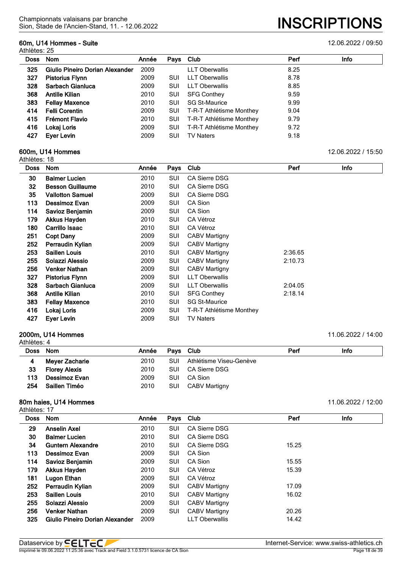## **60m, U14 Hommes - Suite** 12.06.2022 / 09:50

Athlètes: 25

| Doss | <b>Nom</b>                      | Année | Pays       | Club                     | Perf | Info |
|------|---------------------------------|-------|------------|--------------------------|------|------|
| 325  | Giulio Pineiro Dorian Alexander | 2009  |            | <b>LLT Oberwallis</b>    | 8.25 |      |
| 327  | <b>Pistorius Flynn</b>          | 2009  | <b>SUI</b> | <b>LLT Oberwallis</b>    | 8.78 |      |
| 328  | Sarbach Gianluca                | 2009  | SUI        | LLT Oberwallis           | 8.85 |      |
| 368  | <b>Antille Kilian</b>           | 2010  | SUI        | <b>SFG Conthey</b>       | 9.59 |      |
| 383  | <b>Fellay Maxence</b>           | 2010  | SUI        | <b>SG St-Maurice</b>     | 9.99 |      |
| 414  | <b>Felli Corentin</b>           | 2009  | <b>SUI</b> | T-R-T Athlétisme Monthey | 9.04 |      |
| 415  | Frémont Flavio                  | 2010  | <b>SUI</b> | T-R-T Athlétisme Monthey | 9.79 |      |
| 416  | Lokaj Loris                     | 2009  | <b>SUI</b> | T-R-T Athlétisme Monthey | 9.72 |      |
| 427  | Eyer Levin                      | 2009  | SUI        | <b>TV Naters</b>         | 9.18 |      |

#### **600m, U14 Hommes** 12.06.2022 / 15:50

| Athlètes: 18 |                         |       |      |                          |         |             |
|--------------|-------------------------|-------|------|--------------------------|---------|-------------|
| <b>Doss</b>  | <b>Nom</b>              | Année | Pays | Club                     | Perf    | <b>Info</b> |
| 30           | <b>Balmer Lucien</b>    | 2010  | SUI  | <b>CA Sierre DSG</b>     |         |             |
| 32           | <b>Besson Guillaume</b> | 2010  | SUI  | <b>CA Sierre DSG</b>     |         |             |
| 35           | <b>Vallotton Samuel</b> | 2009  | SUI  | <b>CA Sierre DSG</b>     |         |             |
| 113          | Dessimoz Evan           | 2009  | SUI  | CA Sion                  |         |             |
| 114          | Savioz Benjamin         | 2009  | SUI  | CA Sion                  |         |             |
| 179          | Akkus Hayden            | 2010  | SUI  | CA Vétroz                |         |             |
| 180          | Carrillo Isaac          | 2010  | SUI  | CA Vétroz                |         |             |
| 251          | <b>Copt Dany</b>        | 2009  | SUI  | <b>CABV Martigny</b>     |         |             |
| 252          | Perraudin Kylian        | 2009  | SUI  | <b>CABV Martigny</b>     |         |             |
| 253          | <b>Saillen Louis</b>    | 2010  | SUI  | CABV Martigny            | 2:36.65 |             |
| 255          | Solazzi Alessio         | 2009  | SUI  | <b>CABV Martigny</b>     | 2:10.73 |             |
| 256          | <b>Venker Nathan</b>    | 2009  | SUI  | <b>CABV Martigny</b>     |         |             |
| 327          | <b>Pistorius Flynn</b>  | 2009  | SUI  | <b>LLT Oberwallis</b>    |         |             |
| 328          | Sarbach Gianluca        | 2009  | SUI  | <b>LLT Oberwallis</b>    | 2:04.05 |             |
| 368          | <b>Antille Kilian</b>   | 2010  | SUI  | <b>SFG Conthey</b>       | 2:18.14 |             |
| 383          | <b>Fellay Maxence</b>   | 2010  | SUI  | <b>SG St-Maurice</b>     |         |             |
| 416          | Lokaj Loris             | 2009  | SUI  | T-R-T Athlétisme Monthey |         |             |
| 427          | Eyer Levin              | 2009  | SUI  | <b>TV Naters</b>         |         |             |

#### **2000m, U14 Hommes** 11.06.2022 / 14:00 Athlètes: 4

| Nom                  | Année |     |                         | Perf                                               | Info |
|----------------------|-------|-----|-------------------------|----------------------------------------------------|------|
| Meyer Zacharie       | 2010  | SUI | Athlétisme Viseu-Genève |                                                    |      |
| <b>Florey Alexis</b> | 2010  | SUI |                         |                                                    |      |
| Dessimoz Evan        | 2009  | SUI | CA Sion                 |                                                    |      |
| Saillen Timéo        | 2010  | SUI |                         |                                                    |      |
|                      |       |     |                         | Pays Club<br>CA Sierre DSG<br><b>CABV Martigny</b> |      |

# **80m haies, U14 Hommes** 11.06.2022 / 12:00

| Athlètes: 17 |  |  |
|--------------|--|--|
|--------------|--|--|

| u 11 v v v v . 11 |                                 |       |            |                       |       |             |
|-------------------|---------------------------------|-------|------------|-----------------------|-------|-------------|
| <b>Doss</b>       | <b>Nom</b>                      | Année | Pays Club  |                       | Perf  | <b>Info</b> |
| 29                | <b>Anselin Axel</b>             | 2010  | SUI        | CA Sierre DSG         |       |             |
| 30                | <b>Balmer Lucien</b>            | 2010  | SUI        | CA Sierre DSG         |       |             |
| 34                | <b>Guntern Alexandre</b>        | 2010  | SUI        | CA Sierre DSG         | 15.25 |             |
| 113               | Dessimoz Evan                   | 2009  | SUI        | CA Sion               |       |             |
| 114               | Savioz Benjamin                 | 2009  | SUI        | CA Sion               | 15.55 |             |
| 179               | <b>Akkus Hayden</b>             | 2010  | SUI        | CA Vétroz             | 15.39 |             |
| 181               | Lugon Ethan                     | 2009  | SUI        | CA Vétroz             |       |             |
| 252               | Perraudin Kylian                | 2009  | SUI        | <b>CABV Martigny</b>  | 17.09 |             |
| 253               | <b>Saillen Louis</b>            | 2010  | SUI        | <b>CABV Martigny</b>  | 16.02 |             |
| 255               | Solazzi Alessio                 | 2009  | SUI        | <b>CABV Martigny</b>  |       |             |
| 256               | <b>Venker Nathan</b>            | 2009  | <b>SUI</b> | <b>CABV Martigny</b>  | 20.26 |             |
| 325               | Giulio Pineiro Dorian Alexander | 2009  |            | <b>LLT Oberwallis</b> | 14.42 |             |
|                   |                                 |       |            |                       |       |             |

| Dataservice by <b>!</b>                                                                    | Internet-Service:<br>: www.swiss-athletics.ch |
|--------------------------------------------------------------------------------------------|-----------------------------------------------|
| Imprimé le 09.06.2022 11:25:36 avec Track and Field 3.1.0.5731 lic<br>I licence de CA Sion | Page                                          |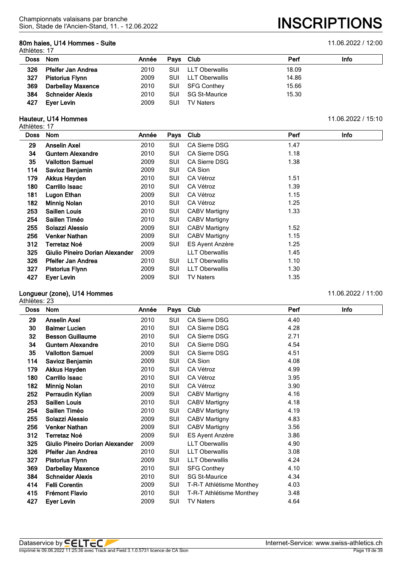# **80m haies, U14 Hommes - Suite** 11.06.2022 / 12:00

Athlètes: 17

| <b>Doss</b> | Nom                       | Année | Pays Club |                      | Perf  | Info |
|-------------|---------------------------|-------|-----------|----------------------|-------|------|
| 326         | <b>Pfeifer Jan Andrea</b> | 2010  | SUI       | LLT Oberwallis       | 18.09 |      |
| 327         | <b>Pistorius Flynn</b>    | 2009  | SUI       | LLT Oberwallis       | 14.86 |      |
| 369         | <b>Darbellay Maxence</b>  | 2010  | SUI       | SFG Conthey          | 15.66 |      |
| 384         | <b>Schneider Alexis</b>   | 2010  | SUI       | <b>SG St-Maurice</b> | 15.30 |      |
| 427         | Eyer Levin                | 2009  | SUI       | <b>TV Naters</b>     |       |      |

#### **Hauteur, U14 Hommes** 11.06.2022 / 15:10

Athlètes: 17

| แแចเចอ. เท  |                                 |       |      |                        |      |      |
|-------------|---------------------------------|-------|------|------------------------|------|------|
| <b>Doss</b> | <b>Nom</b>                      | Année | Pays | Club                   | Perf | Info |
| 29          | <b>Anselin Axel</b>             | 2010  | SUI  | <b>CA Sierre DSG</b>   | 1.47 |      |
| 34          | <b>Guntern Alexandre</b>        | 2010  | SUI  | <b>CA Sierre DSG</b>   | 1.18 |      |
| 35          | <b>Vallotton Samuel</b>         | 2009  | SUI  | <b>CA Sierre DSG</b>   | 1.38 |      |
| 114         | Savioz Benjamin                 | 2009  | SUI  | CA Sion                |      |      |
| 179         | <b>Akkus Hayden</b>             | 2010  | SUI  | CA Vétroz              | 1.51 |      |
| 180         | Carrillo Isaac                  | 2010  | SUI  | CA Vétroz              | 1.39 |      |
| 181         | Lugon Ethan                     | 2009  | SUI  | CA Vétroz              | 1.15 |      |
| 182         | <b>Minnig Nolan</b>             | 2010  | SUI  | CA Vétroz              | 1.25 |      |
| 253         | <b>Saillen Louis</b>            | 2010  | SUI  | <b>CABV Martigny</b>   | 1.33 |      |
| 254         | Saillen Timéo                   | 2010  | SUI  | <b>CABV Martigny</b>   |      |      |
| 255         | Solazzi Alessio                 | 2009  | SUI  | <b>CABV Martigny</b>   | 1.52 |      |
| 256         | <b>Venker Nathan</b>            | 2009  | SUI  | <b>CABV Martigny</b>   | 1.15 |      |
| 312         | Terretaz Noé                    | 2009  | SUI  | <b>ES Ayent Anzère</b> | 1.25 |      |
| 325         | Giulio Pineiro Dorian Alexander | 2009  |      | <b>LLT Oberwallis</b>  | 1.45 |      |
| 326         | <b>Pfeifer Jan Andrea</b>       | 2010  | SUI  | <b>LLT Oberwallis</b>  | 1.10 |      |
| 327         | <b>Pistorius Flynn</b>          | 2009  | SUI  | <b>LLT Oberwallis</b>  | 1.30 |      |
| 427         | Ever Levin                      | 2009  | SUI  | <b>TV Naters</b>       | 1.35 |      |

# **Longueur (zone), U14 Hommes** 11.06.2022 / 11:00

Athlètes: 23 **Doss Nom Année Pays Club Perf Info Anselin Axel** 2010 SUI CA Sierre DSG 4.40 **Balmer Lucien** 2010 SUI CA Sierre DSG 4.28 **Besson Guillaume** 2010 SUI CA Sierre DSG 2.71 **Guntern Alexandre** 2010 SUI CA Sierre DSG 4.54 **Vallotton Samuel** 2009 SUI CA Sierre DSG 4.51 **Savioz Benjamin** 2009 SUI CA Sion 4.08 **Akkus Hayden** 2010 SUI CA Vétroz 4.99 **Carrillo Isaac** 2010 SUI CA Vétroz 3.95 **Minnig Nolan** 2010 SUI CA Vétroz 3.90 **Perraudin Kylian** 2009 SUI CABV Martigny 4.16 **Saillen Louis** 2010 SUI CABV Martigny 4.18 **Saillen Timéo** 2010 SUI CABV Martigny 4.19 **Solazzi Alessio** 2009 SUI CABV Martigny 4.83 **Venker Nathan** 2009 SUI CABV Martigny 3.56 **Terretaz Noé** 2009 SUI ES Ayent Anzère 3.86 **Giulio Pineiro Dorian Alexander** 2009 LLT Oberwallis 4.90 **Pfeifer Jan Andrea** 2010 SUI LLT Oberwallis 3.08 **Pistorius Flynn** 2009 SUI LLT Oberwallis 4.24 **Darbellay Maxence** 2010 SUI SFG Conthey 4.10 **Schneider Alexis** 2010 SUI SG St-Maurice 4.34 **Felli Corentin** 2009 SUI T-R-T Athlétisme Monthey 4.03 **Frémont Flavio** 2010 SUI T-R-T Athlétisme Monthey 3.48 **Eyer Levin** 2009 SUI TV Naters 4.64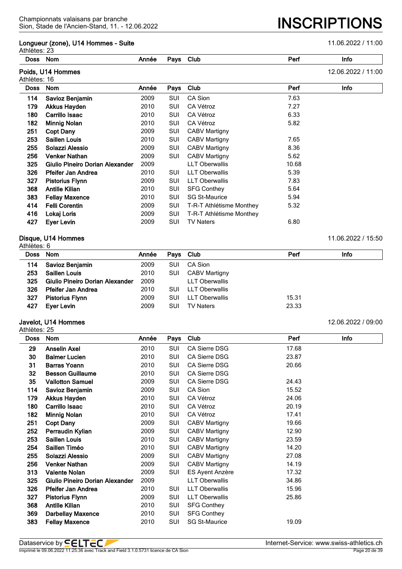#### **Longueur (zone), U14 Hommes - Suite** 11.06.2022 / 11:00

Sion, Stade de l'Ancien-Stand, 11. - 12.06.2022 **INSCRIPTIONS**

| Athlètes: 23 |                                 |       |      |                          |       |                    |
|--------------|---------------------------------|-------|------|--------------------------|-------|--------------------|
| Doss         | Nom                             | Année | Pays | Club                     | Perf  | Info               |
| Athlètes: 16 | Poids, U14 Hommes               |       |      |                          |       | 12.06.2022 / 11:00 |
| <b>Doss</b>  | Nom                             | Année | Pays | Club                     | Perf  | Info               |
| 114          | Savioz Benjamin                 | 2009  | SUI  | CA Sion                  | 7.63  |                    |
| 179          | <b>Akkus Hayden</b>             | 2010  | SUI  | CA Vétroz                | 7.27  |                    |
| 180          | Carrillo Isaac                  | 2010  | SUI  | CA Vétroz                | 6.33  |                    |
| 182          | <b>Minnig Nolan</b>             | 2010  | SUI  | CA Vétroz                | 5.82  |                    |
| 251          | <b>Copt Dany</b>                | 2009  | SUI  | <b>CABV Martigny</b>     |       |                    |
| 253          | <b>Saillen Louis</b>            | 2010  | SUI  | <b>CABV Martigny</b>     | 7.65  |                    |
| 255          | Solazzi Alessio                 | 2009  | SUI  | <b>CABV Martigny</b>     | 8.36  |                    |
| 256          | <b>Venker Nathan</b>            | 2009  | SUI  | <b>CABV Martigny</b>     | 5.62  |                    |
| 325          | Giulio Pineiro Dorian Alexander | 2009  |      | <b>LLT Oberwallis</b>    | 10.68 |                    |
| 326          | <b>Pfeifer Jan Andrea</b>       | 2010  | SUI  | <b>LLT Oberwallis</b>    | 5.39  |                    |
| 327          | <b>Pistorius Flynn</b>          | 2009  | SUI  | <b>LLT Oberwallis</b>    | 7.83  |                    |
| 368          | <b>Antille Kilian</b>           | 2010  | SUI  | <b>SFG Conthey</b>       | 5.64  |                    |
| 383          | <b>Fellay Maxence</b>           | 2010  | SUI  | <b>SG St-Maurice</b>     | 5.94  |                    |
| 414          | <b>Felli Corentin</b>           | 2009  | SUI  | T-R-T Athlétisme Monthey | 5.32  |                    |
| 416          | Lokaj Loris                     | 2009  | SUI  | T-R-T Athlétisme Monthey |       |                    |
| 427          | Eyer Levin                      | 2009  | SUI  | <b>TV Naters</b>         | 6.80  |                    |
|              |                                 |       |      |                          |       |                    |

#### **Disque, U14 Hommes** 11.06.2022 / 15:50

| Athlètes: 6 |                                 |       |            |                       |       |      |  |  |  |
|-------------|---------------------------------|-------|------------|-----------------------|-------|------|--|--|--|
| Doss Nom    |                                 | Année |            | Pays Club             | Perf  | Info |  |  |  |
| 114         | Savioz Benjamin                 | 2009  | <b>SUI</b> | CA Sion               |       |      |  |  |  |
| 253         | <b>Saillen Louis</b>            | 2010  | <b>SUI</b> | <b>CABV Martigny</b>  |       |      |  |  |  |
| 325         | Giulio Pineiro Dorian Alexander | 2009  |            | <b>LLT Oberwallis</b> |       |      |  |  |  |
| 326         | <b>Pfeifer Jan Andrea</b>       | 2010  | <b>SUI</b> | <b>LLT Oberwallis</b> |       |      |  |  |  |
| 327         | <b>Pistorius Flynn</b>          | 2009  | <b>SUI</b> | <b>LLT Oberwallis</b> | 15.31 |      |  |  |  |
| 427         | Ever Levin                      | 2009  | SUI        | <b>TV Naters</b>      | 23.33 |      |  |  |  |

|     | Javelot, U14 Hommes                  |      |     |                  |       | 12.06.2022 / 09:00 |
|-----|--------------------------------------|------|-----|------------------|-------|--------------------|
| 427 | Ever Levin                           | 2009 | SUI | <b>TV Naters</b> | 23.33 |                    |
| 327 | <b>Pistorius Flynn</b>               | 2009 | SUI | LLT Oberwallis   | 15.31 |                    |
| 326 | <b>Pfeifer Jan Andrea</b>            | 2010 | SUI | LLT Oberwallis   |       |                    |
| 325 | Giulio Pineiro Dorian Alexander 2009 |      |     | LLT Oberwallis   |       |                    |

| <b>Doss</b> | Nom                             | Année | Pays       | Club                  | Perf  | Info |
|-------------|---------------------------------|-------|------------|-----------------------|-------|------|
| 29          | <b>Anselin Axel</b>             | 2010  | SUI        | <b>CA Sierre DSG</b>  | 17.68 |      |
| 30          | <b>Balmer Lucien</b>            | 2010  | SUI        | <b>CA Sierre DSG</b>  | 23.87 |      |
| 31          | <b>Barras Yoann</b>             | 2010  | <b>SUI</b> | CA Sierre DSG         | 20.66 |      |
| 32          | <b>Besson Guillaume</b>         | 2010  | SUI        | <b>CA Sierre DSG</b>  |       |      |
| 35          | <b>Vallotton Samuel</b>         | 2009  | SUI        | CA Sierre DSG         | 24.43 |      |
| 114         | Savioz Benjamin                 | 2009  | SUI        | CA Sion               | 15.52 |      |
| 179         | <b>Akkus Hayden</b>             | 2010  | SUI        | CA Vétroz             | 24.06 |      |
| 180         | Carrillo Isaac                  | 2010  | SUI        | CA Vétroz             | 20.19 |      |
| 182         | <b>Minnig Nolan</b>             | 2010  | SUI        | CA Vétroz             | 17.41 |      |
| 251         | <b>Copt Dany</b>                | 2009  | SUI        | <b>CABV Martigny</b>  | 19.66 |      |
| 252         | Perraudin Kylian                | 2009  | SUI        | CABV Martigny         | 12.90 |      |
| 253         | <b>Saillen Louis</b>            | 2010  | SUI        | <b>CABV Martigny</b>  | 23.59 |      |
| 254         | Saillen Timéo                   | 2010  | SUI        | CABV Martigny         | 14.20 |      |
| 255         | Solazzi Alessio                 | 2009  | SUI        | <b>CABV Martigny</b>  | 27.08 |      |
| 256         | <b>Venker Nathan</b>            | 2009  | <b>SUI</b> | <b>CABV Martigny</b>  | 14.19 |      |
| 313         | <b>Valente Nolan</b>            | 2009  | SUI        | ES Ayent Anzère       | 17.32 |      |
| 325         | Giulio Pineiro Dorian Alexander | 2009  |            | <b>LLT Oberwallis</b> | 34.86 |      |
| 326         | <b>Pfeifer Jan Andrea</b>       | 2010  | SUI        | <b>LLT Oberwallis</b> | 15.96 |      |
| 327         | <b>Pistorius Flynn</b>          | 2009  | SUI        | <b>LLT Oberwallis</b> | 25.86 |      |
| 368         | <b>Antille Kilian</b>           | 2010  | SUI        | <b>SFG Conthey</b>    |       |      |
| 369         | <b>Darbellay Maxence</b>        | 2010  | SUI        | <b>SFG Conthey</b>    |       |      |
| 383         | <b>Fellay Maxence</b>           | 2010  | SUI        | <b>SG St-Maurice</b>  | 19.09 |      |
|             |                                 |       |            |                       |       |      |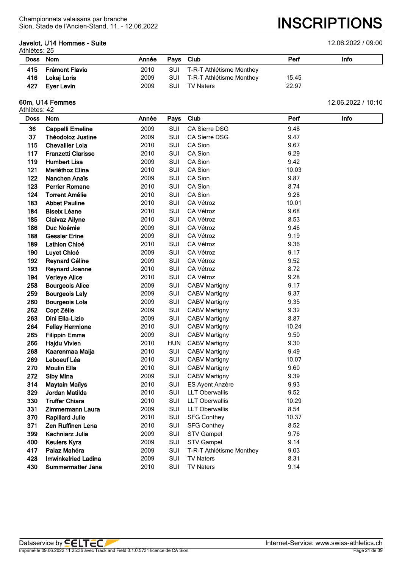## **Javelot, U14 Hommes - Suite** 12.06.2022 / 09:00

Athlètes: 25

| Doss Nom |                | Année | Pays Club |                              | Perf  | Info |
|----------|----------------|-------|-----------|------------------------------|-------|------|
| 415      | Frémont Flavio | 2010  |           | SUI T-R-T Athlétisme Monthey |       |      |
| 416      | Lokaj Loris    | 2009  |           | SUI T-R-T Athlétisme Monthey | 15.45 |      |
| 427      | Eyer Levin     | 2009  | SUI       | TV Naters                    | 22.97 |      |

# **60m, U14 Femmes** 12.06.2022 / 10:10

| <b>Doss</b> | <b>Nom</b>                 | Année | Pays       | Club                     | Perf  | Info |
|-------------|----------------------------|-------|------------|--------------------------|-------|------|
| 36          | <b>Cappelli Emeline</b>    | 2009  | SUI        | CA Sierre DSG            | 9.48  |      |
| 37          | <b>Théodoloz Justine</b>   | 2009  | SUI        | CA Sierre DSG            | 9.47  |      |
| 115         | <b>Chevailler Lola</b>     | 2010  | SUI        | CA Sion                  | 9.67  |      |
| 117         | <b>Franzetti Clarisse</b>  | 2010  | SUI        | CA Sion                  | 9.29  |      |
| 119         | <b>Humbert Lisa</b>        | 2009  | SUI        | CA Sion                  | 9.42  |      |
| 121         | Mariéthoz Elina            | 2010  | SUI        | CA Sion                  | 10.03 |      |
| 122         | Nanchen Anaïs              | 2009  | SUI        | CA Sion                  | 9.87  |      |
| 123         | <b>Perrier Romane</b>      | 2010  | SUI        | CA Sion                  | 8.74  |      |
| 124         | <b>Torrent Amélie</b>      | 2010  | SUI        | CA Sion                  | 9.28  |      |
| 183         | <b>Abbet Pauline</b>       | 2010  | SUI        | CA Vétroz                | 10.01 |      |
| 184         | <b>Biselx Léane</b>        | 2010  | SUI        | CA Vétroz                | 9.68  |      |
| 185         | <b>Claivaz Ailyne</b>      | 2010  | SUI        | CA Vétroz                | 8.53  |      |
| 186         | Duc Noémie                 | 2009  | SUI        | CA Vétroz                | 9.46  |      |
| 188         | <b>Gessler Erine</b>       | 2009  | SUI        | CA Vétroz                | 9.19  |      |
| 189         | Lathion Chloé              | 2010  | SUI        | CA Vétroz                | 9.36  |      |
| 190         | Luyet Chloé                | 2009  | SUI        | CA Vétroz                | 9.17  |      |
| 192         | <b>Reynard Céline</b>      | 2009  | SUI        | CA Vétroz                | 9.52  |      |
| 193         | <b>Reynard Joanne</b>      | 2010  | SUI        | CA Vétroz                | 8.72  |      |
| 194         | <b>Verleye Alice</b>       | 2010  | SUI        | CA Vétroz                | 9.28  |      |
| 258         | <b>Bourgeois Alice</b>     | 2009  | SUI        | <b>CABV Martigny</b>     | 9.17  |      |
| 259         | <b>Bourgeois Laly</b>      | 2009  | SUI        | <b>CABV Martigny</b>     | 9.37  |      |
| 260         | <b>Bourgeois Lola</b>      | 2009  | SUI        | <b>CABV Martigny</b>     | 9.35  |      |
| 262         | Copt Zélie                 | 2009  | SUI        | <b>CABV Martigny</b>     | 9.32  |      |
| 263         | Dini Ella-Lizie            | 2009  | SUI        | <b>CABV Martigny</b>     | 8.87  |      |
| 264         | <b>Fellay Hermione</b>     | 2010  | SUI        | <b>CABV Martigny</b>     | 10.24 |      |
| 265         | <b>Filippin Emma</b>       | 2009  | SUI        | <b>CABV Martigny</b>     | 9.50  |      |
| 266         | <b>Hajdu Vivien</b>        | 2010  | <b>HUN</b> | <b>CABV Martigny</b>     | 9.30  |      |
| 268         | Kaarenmaa Maija            | 2010  | SUI        | <b>CABV Martigny</b>     | 9.49  |      |
| 269         | Leboeuf Léa                | 2010  | SUI        | <b>CABV Martigny</b>     | 10.07 |      |
| 270         | <b>Moulin Ella</b>         | 2010  | SUI        | <b>CABV Martigny</b>     | 9.60  |      |
| 272         | <b>Siby Mina</b>           | 2009  | SUI        | <b>CABV Martigny</b>     | 9.39  |      |
| 314         | <b>Maytain Mailys</b>      | 2010  | SUI        | ES Ayent Anzère          | 9.93  |      |
| 329         | Jordan Matilda             | 2010  | SUI        | <b>LLT Oberwallis</b>    | 9.52  |      |
| 330         | <b>Truffer Chiara</b>      | 2010  | SUI        | <b>LLT Oberwallis</b>    | 10.29 |      |
| 331         | Zimmermann Laura           | 2009  | SUI        | <b>LLT Oberwallis</b>    | 8.54  |      |
| 370         | <b>Rapillard Julie</b>     | 2010  | SUI        | <b>SFG Conthey</b>       | 10.37 |      |
| 371         | Zen Ruffinen Lena          | 2010  | SUI        | <b>SFG Conthey</b>       | 8.52  |      |
| 399         | Kachniarz Julia            | 2009  | SUI        | <b>STV Gampel</b>        | 9.76  |      |
| 400         | <b>Keulers Kyra</b>        | 2009  | SUI        | <b>STV Gampel</b>        | 9.14  |      |
| 417         | Palaz Mahéra               | 2009  | SUI        | T-R-T Athlétisme Monthey | 9.03  |      |
| 428         | <b>Imwinkelried Ladina</b> | 2009  | SUI        | <b>TV Naters</b>         | 8.31  |      |
| 430         | <b>Summermatter Jana</b>   | 2010  | SUI        | <b>TV Naters</b>         | 9.14  |      |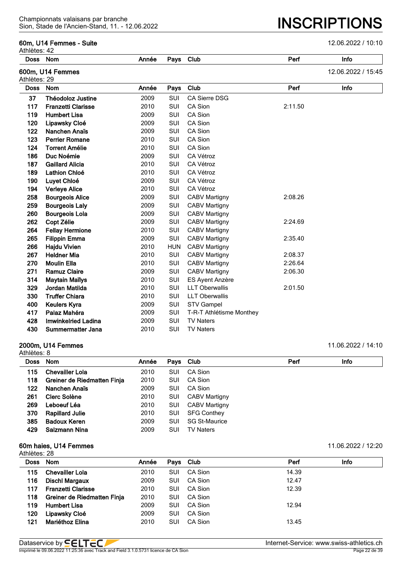#### **60m, U14 Femmes - Suite** 12.06.2022 / 10:10

| Athlètes: 42 |                            |       |            |                          |         |                    |
|--------------|----------------------------|-------|------------|--------------------------|---------|--------------------|
| <b>Doss</b>  | Nom                        | Année | Pays       | Club                     | Perf    | Info               |
| Athlètes: 29 | 600m, U14 Femmes           |       |            |                          |         | 12.06.2022 / 15:45 |
| <b>Doss</b>  | Nom                        | Année | Pays       | Club                     | Perf    | Info               |
| 37           | <b>Théodoloz Justine</b>   | 2009  | SUI        | <b>CA Sierre DSG</b>     |         |                    |
| 117          | <b>Franzetti Clarisse</b>  | 2010  | SUI        | CA Sion                  | 2:11.50 |                    |
| 119          | <b>Humbert Lisa</b>        | 2009  | SUI        | CA Sion                  |         |                    |
| 120          | Lipawsky Cloé              | 2009  | SUI        | CA Sion                  |         |                    |
| 122          | Nanchen Anaïs              | 2009  | SUI        | CA Sion                  |         |                    |
| 123          | <b>Perrier Romane</b>      | 2010  | <b>SUI</b> | CA Sion                  |         |                    |
| 124          | <b>Torrent Amélie</b>      | 2010  | SUI        | CA Sion                  |         |                    |
| 186          | Duc Noémie                 | 2009  | SUI        | CA Vétroz                |         |                    |
| 187          | <b>Gaillard Alicia</b>     | 2010  | SUI        | CA Vétroz                |         |                    |
| 189          | Lathion Chloé              | 2010  | SUI        | CA Vétroz                |         |                    |
| 190          | Luyet Chloé                | 2009  | SUI        | CA Vétroz                |         |                    |
| 194          | <b>Verleye Alice</b>       | 2010  | SUI        | CA Vétroz                |         |                    |
| 258          | <b>Bourgeois Alice</b>     | 2009  | <b>SUI</b> | CABV Martigny            | 2:08.26 |                    |
| 259          | <b>Bourgeois Laly</b>      | 2009  | SUI        | <b>CABV Martigny</b>     |         |                    |
| 260          | <b>Bourgeois Lola</b>      | 2009  | <b>SUI</b> | <b>CABV Martigny</b>     |         |                    |
| 262          | Copt Zélie                 | 2009  | SUI        | <b>CABV Martigny</b>     | 2:24.69 |                    |
| 264          | <b>Fellay Hermione</b>     | 2010  | SUI        | <b>CABV Martigny</b>     |         |                    |
| 265          | <b>Filippin Emma</b>       | 2009  | SUI        | <b>CABV Martigny</b>     | 2:35.40 |                    |
| 266          | <b>Hajdu Vivien</b>        | 2010  | <b>HUN</b> | CABV Martigny            |         |                    |
| 267          | <b>Heldner Mia</b>         | 2010  | SUI        | <b>CABV Martigny</b>     | 2:08.37 |                    |
| 270          | <b>Moulin Ella</b>         | 2010  | <b>SUI</b> | <b>CABV Martigny</b>     | 2:26.64 |                    |
| 271          | <b>Ramuz Claire</b>        | 2009  | SUI        | <b>CABV Martigny</b>     | 2:06.30 |                    |
| 314          | <b>Maytain Maïlys</b>      | 2010  | SUI        | ES Ayent Anzère          |         |                    |
| 329          | Jordan Matilda             | 2010  | SUI        | <b>LLT Oberwallis</b>    | 2:01.50 |                    |
| 330          | <b>Truffer Chiara</b>      | 2010  | SUI        | <b>LLT Oberwallis</b>    |         |                    |
| 400          | <b>Keulers Kyra</b>        | 2009  | SUI        | <b>STV Gampel</b>        |         |                    |
| 417          | Palaz Mahéra               | 2009  | SUI        | T-R-T Athlétisme Monthey |         |                    |
| 428          | <b>Imwinkelried Ladina</b> | 2009  | <b>SUI</b> | <b>TV Naters</b>         |         |                    |
| 430          | Summermatter Jana          | 2010  | SUI        | <b>TV Naters</b>         |         |                    |
|              |                            |       |            |                          |         |                    |

#### **2000m, U14 Femmes** 11.06.2022 / 14:10

Athlètes: 8 **Doss Nom Année Pays Club Perf Info 115 Chevailler Lola** 2010 SUI CA Sion **Greiner de Riedmatten Finja** 2010 SUI CA Sion **Nanchen Anaïs** 2009 SUI CA Sion **Clerc Solène** 2010 SUI CABV Martigny **Leboeuf Léa** 2010 SUI CABV Martigny **Rapillard Julie** 2010 SUI SFG Conthey **Badoux Keren** 2009 SUI SG St-Maurice **Salzmann Nina** 2009 SUI TV Naters

#### **60m haies, U14 Femmes** 11.06.2022 / 12:20

Athlètes: 28 **Doss Nom Année Pays Club Perf Info Chevailler Lola** 2010 SUI CA Sion 14.39 **Dischl Margaux** 2009 SUI CA Sion 12.47 **Franzetti Clarisse** 2010 SUI CA Sion 12.39 **Greiner de Riedmatten Finja** 2010 SUI CA Sion **119 Humbert Lisa** 2009 SUI CA Sion 12.94 **Lipawsky Cloé** 2009 SUI CA Sion **Mariéthoz Elina** 2010 SUI CA Sion 13.45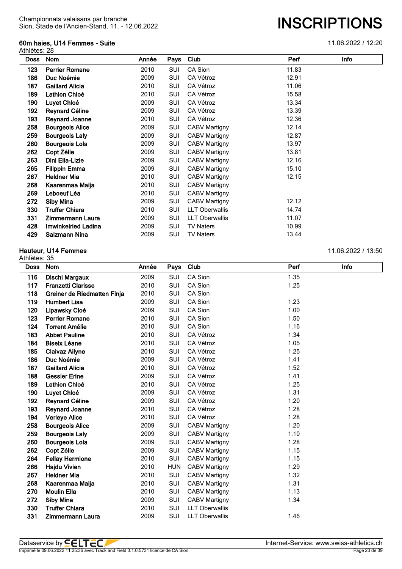#### **60m haies, U14 Femmes - Suite** 11.06.2022 / 12:20

| Doss | Nom                    | Année | Pays | Club                  | Perf  | Info |
|------|------------------------|-------|------|-----------------------|-------|------|
|      |                        |       |      |                       |       |      |
| 123  | <b>Perrier Romane</b>  | 2010  | SUI  | CA Sion               | 11.83 |      |
| 186  | Duc Noémie             | 2009  | SUI  | CA Vétroz             | 12.91 |      |
| 187  | <b>Gaillard Alicia</b> | 2010  | SUI  | CA Vétroz             | 11.06 |      |
| 189  | Lathion Chloé          | 2010  | SUI  | CA Vétroz             | 15.58 |      |
| 190  | Luyet Chloé            | 2009  | SUI  | CA Vétroz             | 13.34 |      |
| 192  | <b>Reynard Céline</b>  | 2009  | SUI  | CA Vétroz             | 13.39 |      |
| 193  | <b>Reynard Joanne</b>  | 2010  | SUI  | CA Vétroz             | 12.36 |      |
| 258  | <b>Bourgeois Alice</b> | 2009  | SUI  | CABV Martigny         | 12.14 |      |
| 259  | <b>Bourgeois Laly</b>  | 2009  | SUI  | CABV Martigny         | 12.87 |      |
| 260  | <b>Bourgeois Lola</b>  | 2009  | SUI  | <b>CABV Martigny</b>  | 13.97 |      |
| 262  | Copt Zélie             | 2009  | SUI  | CABV Martigny         | 13.81 |      |
| 263  | Dini Ella-Lizie        | 2009  | SUI  | CABV Martigny         | 12.16 |      |
| 265  | <b>Filippin Emma</b>   | 2009  | SUI  | <b>CABV Martigny</b>  | 15.10 |      |
| 267  | <b>Heldner Mia</b>     | 2010  | SUI  | CABV Martigny         | 12.15 |      |
| 268  | Kaarenmaa Maija        | 2010  | SUI  | <b>CABV Martigny</b>  |       |      |
| 269  | Leboeuf Léa            | 2010  | SUI  | CABV Martigny         |       |      |
| 272  | Siby Mina              | 2009  | SUI  | CABV Martigny         | 12.12 |      |
| 330  | <b>Truffer Chiara</b>  | 2010  | SUI  | <b>LLT Oberwallis</b> | 14.74 |      |
| 331  | Zimmermann Laura       | 2009  | SUI  | <b>LLT Oberwallis</b> | 11.07 |      |
| 428  | Imwinkelried Ladina    | 2009  | SUI  | <b>TV Naters</b>      | 10.99 |      |
| 429  | Salzmann Nina          | 2009  | SUI  | <b>TV Naters</b>      | 13.44 |      |

#### **Hauteur, U14 Femmes** 11.06.2022 / 13:50

Athlètes: 35 **Doss Nom Année Pays Club Perf Info 116 Dischl Margaux** 2009 SUI CA Sion 2.35 **117 Franzetti Clarisse** 2010 SUI CA Sion 2010 1.25 **Greiner de Riedmatten Finja** 2010 SUI CA Sion **119 Humbert Lisa** 2009 SUI CA Sion 1.23 **Lipawsky Cloé** 2009 SUI CA Sion 1.00 **Perrier Romane** 2010 SUI CA Sion 1.50 **124 Torrent Amélie 1.16** 2010 SUI CA Sion 1.16 **183 Abbet Pauline** 2010 SUI CA Vétroz 1.34 **Biselx Léane** 2010 SUI CA Vétroz 1.05 **Claivaz Ailyne** 2010 SUI CA Vétroz 1.25 **Duc Noémie** 2009 SUI CA Vétroz 1.41 **Gaillard Alicia** 2010 SUI CA Vétroz 1.52 **Gessler Erine** 2009 SUI CA Vétroz 1.41 **Lathion Chloé** 2010 SUI CA Vétroz 1.25 **Luyet Chloé** 2009 SUI CA Vétroz 1.31 **Reynard Céline** 2009 SUI CA Vétroz 1.20 **Reynard Joanne** 2010 SUI CA Vétroz 1.28 **Verleye Alice** 2010 SUI CA Vétroz 1.28 **Bourgeois Alice** 2009 SUI CABV Martigny 1.20 **Bourgeois Laly** 2009 SUI CABV Martigny 1.10 **Bourgeois Lola** 2009 SUI CABV Martigny 1.28 **Copt Zélie** 2009 SUI CABV Martigny 1.15 **Fellay Hermione** 2010 SUI CABV Martigny 1.15 **Hajdu Vivien** 2010 HUN CABV Martigny 1.29 **Heldner Mia** 2010 SUI CABV Martigny 1.32 **Kaarenmaa Maija** 2010 SUI CABV Martigny 1.31 **Moulin Ella** 2010 SUI CABV Martigny 1.13 **Siby Mina** 2009 SUI CABV Martigny 1.34 **Truffer Chiara** 2010 SUI LLT Oberwallis

**Zimmermann Laura** 2009 SUI LLT Oberwallis 1.46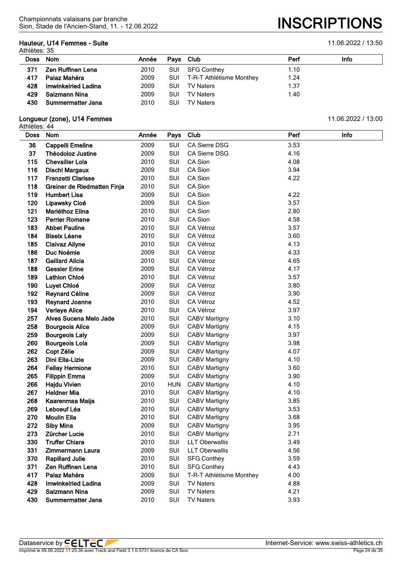# **Hauteur, U14 Femmes - Suite** 11.06.2022 / 13:50

Athlètes: 35

| Doss Nom |                     | Année | Pays Club  |                              | Perf | <b>Info</b> |  |  |  |
|----------|---------------------|-------|------------|------------------------------|------|-------------|--|--|--|
| 371      | Zen Ruffinen Lena   | 2010  |            | SUI SFG Conthey              | 1.10 |             |  |  |  |
| 417      | Palaz Mahéra        | 2009  |            | SUI T-R-T Athlétisme Monthey | 1.24 |             |  |  |  |
| 428      | Imwinkelried Ladina | 2009  | <b>SUI</b> | TV Naters                    | 1.37 |             |  |  |  |
| 429      | Salzmann Nina       | 2009  | <b>SUI</b> | TV Naters                    | 1.40 |             |  |  |  |
| 430      | Summermatter Jana   | 2010  | SUI        | TV Naters                    |      |             |  |  |  |

# **Longueur (zone), U14 Femmes** 11.06.2022 / 13:00

| <b>Doss</b> | <b>Nom</b>                  | Année | Pays       | Club                     | Perf | Info |
|-------------|-----------------------------|-------|------------|--------------------------|------|------|
| 36          | <b>Cappelli Emeline</b>     | 2009  | <b>SUI</b> | CA Sierre DSG            | 3.53 |      |
| 37          | <b>Théodoloz Justine</b>    | 2009  | SUI        | <b>CA Sierre DSG</b>     | 4.16 |      |
| 115         | <b>Chevailler Lola</b>      | 2010  | <b>SUI</b> | <b>CA Sion</b>           | 4.08 |      |
| 116         | <b>Dischl Margaux</b>       | 2009  | SUI        | CA Sion                  | 3.94 |      |
| 117         | <b>Franzetti Clarisse</b>   | 2010  | SUI        | CA Sion                  | 4.22 |      |
| 118         | Greiner de Riedmatten Finja | 2010  | SUI        | CA Sion                  |      |      |
| 119         | <b>Humbert Lisa</b>         | 2009  | SUI        | CA Sion                  | 4.22 |      |
| 120         | Lipawsky Cloé               | 2009  | SUI        | CA Sion                  | 3.57 |      |
| 121         | Mariéthoz Elina             | 2010  | SUI        | CA Sion                  | 2.80 |      |
| 123         | <b>Perrier Romane</b>       | 2010  | SUI        | CA Sion                  | 4.58 |      |
| 183         | <b>Abbet Pauline</b>        | 2010  | SUI        | CA Vétroz                | 3.57 |      |
| 184         | <b>Biselx Léane</b>         | 2010  | SUI        | CA Vétroz                | 3.60 |      |
| 185         | <b>Claivaz Ailyne</b>       | 2010  | SUI        | CA Vétroz                | 4.13 |      |
| 186         | Duc Noémie                  | 2009  | SUI        | CA Vétroz                | 4.33 |      |
| 187         | <b>Gaillard Alicia</b>      | 2010  | <b>SUI</b> | CA Vétroz                | 4.65 |      |
| 188         | <b>Gessler Erine</b>        | 2009  | SUI        | CA Vétroz                | 4.17 |      |
| 189         | <b>Lathion Chloé</b>        | 2010  | SUI        | CA Vétroz                | 3.57 |      |
| 190         | Luyet Chloé                 | 2009  | SUI        | CA Vétroz                | 3.80 |      |
| 192         | <b>Reynard Céline</b>       | 2009  | SUI        | CA Vétroz                | 3.90 |      |
| 193         | <b>Reynard Joanne</b>       | 2010  | SUI        | CA Vétroz                | 4.52 |      |
| 194         | <b>Verleye Alice</b>        | 2010  | SUI        | CA Vétroz                | 3.97 |      |
| 257         | Alves Sucena Melo Jade      | 2010  | SUI        | <b>CABV Martigny</b>     | 3.10 |      |
| 258         | <b>Bourgeois Alice</b>      | 2009  | SUI        | <b>CABV Martigny</b>     | 4.15 |      |
| 259         | <b>Bourgeois Laly</b>       | 2009  | SUI        | <b>CABV Martigny</b>     | 3.97 |      |
| 260         | <b>Bourgeois Lola</b>       | 2009  | SUI        | <b>CABV Martigny</b>     | 3.98 |      |
| 262         | Copt Zélie                  | 2009  | SUI        | <b>CABV Martigny</b>     | 4.07 |      |
| 263         | Dini Ella-Lizie             | 2009  | SUI        | <b>CABV Martigny</b>     | 4.10 |      |
| 264         | <b>Fellay Hermione</b>      | 2010  | SUI        | <b>CABV Martigny</b>     | 3.60 |      |
| 265         | <b>Filippin Emma</b>        | 2009  | SUI        | <b>CABV Martigny</b>     | 3.90 |      |
| 266         | <b>Hajdu Vivien</b>         | 2010  | <b>HUN</b> | <b>CABV Martigny</b>     | 4.10 |      |
| 267         | <b>Heldner Mia</b>          | 2010  | SUI        | <b>CABV Martigny</b>     | 4.10 |      |
| 268         | Kaarenmaa Maija             | 2010  | SUI        | <b>CABV Martigny</b>     | 3.85 |      |
| 269         | Leboeuf Léa                 | 2010  | SUI        | <b>CABV Martigny</b>     | 3.53 |      |
| 270         | <b>Moulin Ella</b>          | 2010  | SUI        | <b>CABV Martigny</b>     | 3.68 |      |
| 272         | <b>Siby Mina</b>            | 2009  | SUI        | <b>CABV Martigny</b>     | 3.95 |      |
| 273         | Zürcher Lucie               | 2010  | SUI        | <b>CABV Martigny</b>     | 2.71 |      |
| 330         | <b>Truffer Chiara</b>       | 2010  | SUI        | <b>LLT Oberwallis</b>    | 3.49 |      |
| 331         | <b>Zimmermann Laura</b>     | 2009  | SUI        | <b>LLT Oberwallis</b>    | 4.56 |      |
| 370         | <b>Rapillard Julie</b>      | 2010  | SUI        | <b>SFG Conthey</b>       | 3.59 |      |
| 371         | Zen Ruffinen Lena           | 2010  | SUI        | <b>SFG Conthey</b>       | 4.43 |      |
| 417         | Palaz Mahéra                | 2009  | SUI        | T-R-T Athlétisme Monthey | 4.00 |      |
| 428         | <b>Imwinkelried Ladina</b>  | 2009  | SUI        | <b>TV Naters</b>         | 4.88 |      |
| 429         | Salzmann Nina               | 2009  | SUI        | <b>TV Naters</b>         | 4.21 |      |
| 430         | <b>Summermatter Jana</b>    | 2010  | <b>SUI</b> | <b>TV Naters</b>         | 3.93 |      |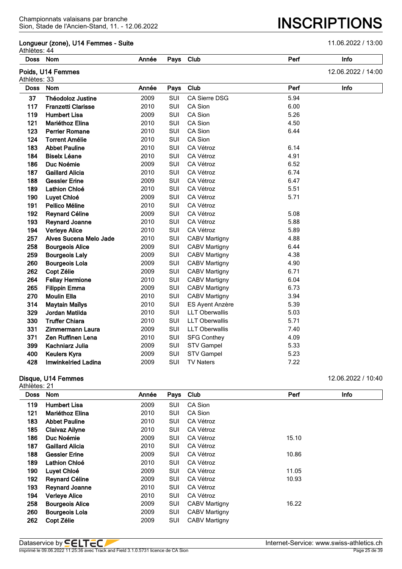#### **Longueur (zone), U14 Femmes - Suite** 11.06.2022 / 13:00

Athlètes: 44

| AUIICLCS. 44<br><b>Doss</b> | Nom                        | Année | Pays | Club                   | Perf | Info               |
|-----------------------------|----------------------------|-------|------|------------------------|------|--------------------|
| Athlètes: 33                | Poids, U14 Femmes          |       |      |                        |      | 12.06.2022 / 14:00 |
| <b>Doss</b>                 | <b>Nom</b>                 | Année | Pays | Club                   | Perf | Info               |
| 37                          | <b>Théodoloz Justine</b>   | 2009  | SUI  | <b>CA Sierre DSG</b>   | 5.94 |                    |
| 117                         | <b>Franzetti Clarisse</b>  | 2010  | SUI  | CA Sion                | 6.00 |                    |
| 119                         | <b>Humbert Lisa</b>        | 2009  | SUI  | CA Sion                | 5.26 |                    |
| 121                         | Mariéthoz Elina            | 2010  | SUI  | CA Sion                | 4.50 |                    |
| 123                         | <b>Perrier Romane</b>      | 2010  | SUI  | CA Sion                | 6.44 |                    |
| 124                         | <b>Torrent Amélie</b>      | 2010  | SUI  | CA Sion                |      |                    |
| 183                         | <b>Abbet Pauline</b>       | 2010  | SUI  | CA Vétroz              | 6.14 |                    |
| 184                         | <b>Biselx Léane</b>        | 2010  | SUI  | CA Vétroz              | 4.91 |                    |
| 186                         | Duc Noémie                 | 2009  | SUI  | CA Vétroz              | 6.52 |                    |
| 187                         | <b>Gaillard Alicia</b>     | 2010  | SUI  | CA Vétroz              | 6.74 |                    |
| 188                         | <b>Gessler Erine</b>       | 2009  | SUI  | CA Vétroz              | 6.47 |                    |
| 189                         | <b>Lathion Chloé</b>       | 2010  | SUI  | CA Vétroz              | 5.51 |                    |
| 190                         | Luyet Chloé                | 2009  | SUI  | CA Vétroz              | 5.71 |                    |
| 191                         | Pellico Méline             | 2010  | SUI  | CA Vétroz              |      |                    |
| 192                         | <b>Reynard Céline</b>      | 2009  | SUI  | CA Vétroz              | 5.08 |                    |
| 193                         | <b>Reynard Joanne</b>      | 2010  | SUI  | CA Vétroz              | 5.88 |                    |
| 194                         | <b>Verleye Alice</b>       | 2010  | SUI  | CA Vétroz              | 5.89 |                    |
| 257                         | Alves Sucena Melo Jade     | 2010  | SUI  | <b>CABV Martigny</b>   | 4.88 |                    |
| 258                         | <b>Bourgeois Alice</b>     | 2009  | SUI  | <b>CABV Martigny</b>   | 6.44 |                    |
| 259                         | <b>Bourgeois Laly</b>      | 2009  | SUI  | <b>CABV Martigny</b>   | 4.38 |                    |
| 260                         | <b>Bourgeois Lola</b>      | 2009  | SUI  | <b>CABV Martigny</b>   | 4.90 |                    |
| 262                         | Copt Zélie                 | 2009  | SUI  | <b>CABV Martigny</b>   | 6.71 |                    |
| 264                         | <b>Fellay Hermione</b>     | 2010  | SUI  | <b>CABV Martigny</b>   | 6.04 |                    |
| 265                         | <b>Filippin Emma</b>       | 2009  | SUI  | <b>CABV Martigny</b>   | 6.73 |                    |
| 270                         | <b>Moulin Ella</b>         | 2010  | SUI  | <b>CABV Martigny</b>   | 3.94 |                    |
| 314                         | <b>Maytain Maïlys</b>      | 2010  | SUI  | <b>ES Ayent Anzère</b> | 5.39 |                    |
| 329                         | Jordan Matilda             | 2010  | SUI  | <b>LLT Oberwallis</b>  | 5.03 |                    |
| 330                         | <b>Truffer Chiara</b>      | 2010  | SUI  | <b>LLT Oberwallis</b>  | 5.71 |                    |
| 331                         | <b>Zimmermann Laura</b>    | 2009  | SUI  | <b>LLT Oberwallis</b>  | 7.40 |                    |
| 371                         | Zen Ruffinen Lena          | 2010  | SUI  | <b>SFG Conthey</b>     | 4.09 |                    |
| 399                         | Kachniarz Julia            | 2009  | SUI  | <b>STV Gampel</b>      | 5.33 |                    |
| 400                         | <b>Keulers Kyra</b>        | 2009  | SUI  | <b>STV Gampel</b>      | 5.23 |                    |
| 428                         | <b>Imwinkelried Ladina</b> | 2009  | SUI  | <b>TV Naters</b>       | 7.22 |                    |

#### **Disque, U14 Femmes** 12.06.2022 / 10:40

| <b>Nom</b>             | Année |            | Club                 | Perf  | Info |
|------------------------|-------|------------|----------------------|-------|------|
| <b>Humbert Lisa</b>    | 2009  | <b>SUI</b> | CA Sion              |       |      |
| <b>Mariéthoz Elina</b> | 2010  | SUI        | CA Sion              |       |      |
| <b>Abbet Pauline</b>   | 2010  | SUI        | CA Vétroz            |       |      |
| <b>Claivaz Ailyne</b>  | 2010  | SUI        | CA Vétroz            |       |      |
| Duc Noémie             | 2009  | SUI        | CA Vétroz            | 15.10 |      |
| <b>Gaillard Alicia</b> | 2010  | SUI        | CA Vétroz            |       |      |
| <b>Gessler Erine</b>   | 2009  | SUI        | CA Vétroz            | 10.86 |      |
| <b>Lathion Chloé</b>   | 2010  | SUI        | CA Vétroz            |       |      |
| Luyet Chloé            | 2009  | SUI        | CA Vétroz            | 11.05 |      |
| <b>Reynard Céline</b>  | 2009  | SUI        | CA Vétroz            | 10.93 |      |
| <b>Reynard Joanne</b>  | 2010  | SUI        | CA Vétroz            |       |      |
| <b>Verleye Alice</b>   | 2010  | SUI        | CA Vétroz            |       |      |
| <b>Bourgeois Alice</b> | 2009  | SUI        | <b>CABV Martigny</b> | 16.22 |      |
| <b>Bourgeois Lola</b>  | 2009  | SUI        | <b>CABV Martigny</b> |       |      |
| Copt Zélie             | 2009  | SUI        | <b>CABV Martigny</b> |       |      |
|                        |       |            |                      | Pays  |      |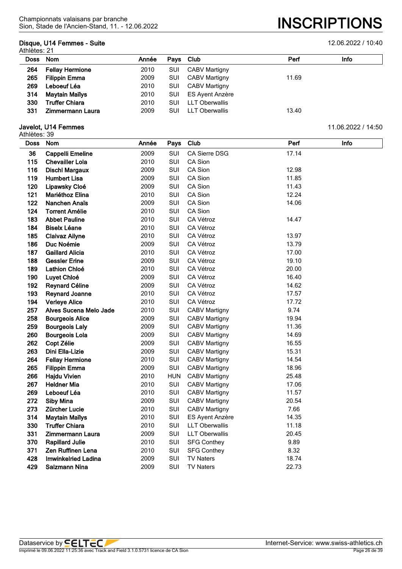## **Disque, U14 Femmes - Suite** 12.06.2022 / 10:40

Athlètes: 21

|          | ו ב. טשווירו           |       |            |                       |       |      |  |  |  |  |
|----------|------------------------|-------|------------|-----------------------|-------|------|--|--|--|--|
| Doss Nom |                        | Année | Pays Club  |                       | Perf  | Info |  |  |  |  |
| 264      | <b>Fellay Hermione</b> | 2010  | SUI        | <b>CABV Martigny</b>  |       |      |  |  |  |  |
| 265      | <b>Filippin Emma</b>   | 2009  | SUI        | <b>CABV Martigny</b>  | 11.69 |      |  |  |  |  |
| 269      | Leboeuf Léa            | 2010  | SUI        | <b>CABV Martigny</b>  |       |      |  |  |  |  |
| 314      | Maytain Maïlys         | 2010  | <b>SUI</b> | ES Ayent Anzère       |       |      |  |  |  |  |
| 330      | <b>Truffer Chiara</b>  | 2010  | SUI        | <b>LLT Oberwallis</b> |       |      |  |  |  |  |
| 331      | Zimmermann Laura       | 2009  | SUI        | <b>LLT Oberwallis</b> | 13.40 |      |  |  |  |  |
|          |                        |       |            |                       |       |      |  |  |  |  |

| <b>Doss</b> | Nom                        | Année | Pays       | Club                  | Perf  | Info |
|-------------|----------------------------|-------|------------|-----------------------|-------|------|
| 36          | Cappelli Emeline           | 2009  | SUI        | CA Sierre DSG         | 17.14 |      |
| 115         | <b>Chevailler Lola</b>     | 2010  | SUI        | CA Sion               |       |      |
| 116         | <b>Dischl Margaux</b>      | 2009  | SUI        | CA Sion               | 12.98 |      |
| 119         | <b>Humbert Lisa</b>        | 2009  | SUI        | CA Sion               | 11.85 |      |
| 120         | Lipawsky Cloé              | 2009  | SUI        | CA Sion               | 11.43 |      |
| 121         | Mariéthoz Elina            | 2010  | SUI        | CA Sion               | 12.24 |      |
| 122         | Nanchen Anaïs              | 2009  | SUI        | CA Sion               | 14.06 |      |
| 124         | <b>Torrent Amélie</b>      | 2010  | SUI        | CA Sion               |       |      |
| 183         | <b>Abbet Pauline</b>       | 2010  | SUI        | CA Vétroz             | 14.47 |      |
| 184         | <b>Biselx Léane</b>        | 2010  | SUI        | CA Vétroz             |       |      |
| 185         | <b>Claivaz Ailyne</b>      | 2010  | SUI        | CA Vétroz             | 13.97 |      |
| 186         | Duc Noémie                 | 2009  | SUI        | <b>CA Vétroz</b>      | 13.79 |      |
| 187         | <b>Gaillard Alicia</b>     | 2010  | SUI        | CA Vétroz             | 17.00 |      |
| 188         | <b>Gessler Erine</b>       | 2009  | SUI        | CA Vétroz             | 19.10 |      |
| 189         | Lathion Chloé              | 2010  | SUI        | CA Vétroz             | 20.00 |      |
| 190         | Luyet Chloé                | 2009  | SUI        | CA Vétroz             | 16.40 |      |
| 192         | <b>Reynard Céline</b>      | 2009  | SUI        | CA Vétroz             | 14.62 |      |
| 193         | <b>Reynard Joanne</b>      | 2010  | SUI        | CA Vétroz             | 17.57 |      |
| 194         | <b>Verleye Alice</b>       | 2010  | SUI        | CA Vétroz             | 17.72 |      |
| 257         | Alves Sucena Melo Jade     | 2010  | SUI        | <b>CABV Martigny</b>  | 9.74  |      |
| 258         | <b>Bourgeois Alice</b>     | 2009  | SUI        | <b>CABV Martigny</b>  | 19.94 |      |
| 259         | <b>Bourgeois Laly</b>      | 2009  | SUI        | <b>CABV Martigny</b>  | 11.36 |      |
| 260         | <b>Bourgeois Lola</b>      | 2009  | SUI        | <b>CABV Martigny</b>  | 14.69 |      |
| 262         | Copt Zélie                 | 2009  | SUI        | <b>CABV Martigny</b>  | 16.55 |      |
| 263         | Dini Ella-Lizie            | 2009  | SUI        | <b>CABV Martigny</b>  | 15.31 |      |
| 264         | <b>Fellay Hermione</b>     | 2010  | SUI        | <b>CABV Martigny</b>  | 14.54 |      |
| 265         | <b>Filippin Emma</b>       | 2009  | SUI        | <b>CABV Martigny</b>  | 18.96 |      |
| 266         | <b>Hajdu Vivien</b>        | 2010  | <b>HUN</b> | <b>CABV Martigny</b>  | 25.48 |      |
| 267         | <b>Heldner Mia</b>         | 2010  | SUI        | <b>CABV Martigny</b>  | 17.06 |      |
| 269         | Leboeuf Léa                | 2010  | SUI        | <b>CABV Martigny</b>  | 11.57 |      |
| 272         | <b>Siby Mina</b>           | 2009  | SUI        | <b>CABV Martigny</b>  | 20.54 |      |
| 273         | Zürcher Lucie              | 2010  | SUI        | <b>CABV Martigny</b>  | 7.66  |      |
| 314         | <b>Maytain Maïlys</b>      | 2010  | SUI        | ES Ayent Anzère       | 14.35 |      |
| 330         | <b>Truffer Chiara</b>      | 2010  | SUI        | <b>LLT Oberwallis</b> | 11.18 |      |
| 331         | <b>Zimmermann Laura</b>    | 2009  | SUI        | <b>LLT Oberwallis</b> | 20.45 |      |
| 370         | <b>Rapillard Julie</b>     | 2010  | SUI        | <b>SFG Conthey</b>    | 9.89  |      |
| 371         | Zen Ruffinen Lena          | 2010  | SUI        | <b>SFG Conthey</b>    | 8.32  |      |
| 428         | <b>Imwinkelried Ladina</b> | 2009  | SUI        | <b>TV Naters</b>      | 18.74 |      |
| 429         | Salzmann Nina              | 2009  | SUI        | <b>TV Naters</b>      | 22.73 |      |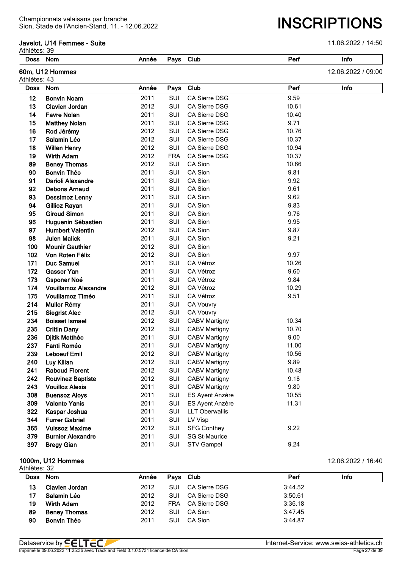#### **Javelot, U14 Femmes - Suite** 11.06.2022 / 14:50

Sion, Stade de l'Ancien-Stand, 11. - 12.06.2022 **INSCRIPTIONS**

| Athlètes: 39 |                             |       |            |                       |       |                    |
|--------------|-----------------------------|-------|------------|-----------------------|-------|--------------------|
| <b>Doss</b>  | <b>Nom</b>                  | Année | Pays       | Club                  | Perf  | Info               |
| Athlètes: 43 | 60m, U12 Hommes             |       |            |                       |       | 12.06.2022 / 09:00 |
| <b>Doss</b>  | Nom                         | Année | Pays       | Club                  | Perf  | Info               |
| 12           | <b>Bonvin Noam</b>          | 2011  | SUI        | <b>CA Sierre DSG</b>  | 9.59  |                    |
| 13           | <b>Clavien Jordan</b>       | 2012  | <b>SUI</b> | <b>CA Sierre DSG</b>  | 10.61 |                    |
| 14           | <b>Favre Nolan</b>          | 2011  | SUI        | <b>CA Sierre DSG</b>  | 10.40 |                    |
| 15           | <b>Matthey Nolan</b>        | 2011  | SUI        | <b>CA Sierre DSG</b>  | 9.71  |                    |
| 16           | Rod Jérémy                  | 2012  | SUI        | <b>CA Sierre DSG</b>  | 10.76 |                    |
| 17           | Salamin Léo                 | 2012  | SUI        | <b>CA Sierre DSG</b>  | 10.37 |                    |
| 18           | <b>Willen Henry</b>         | 2012  | SUI        | <b>CA Sierre DSG</b>  | 10.94 |                    |
| 19           | <b>Wirth Adam</b>           | 2012  | <b>FRA</b> | CA Sierre DSG         | 10.37 |                    |
| 89           | <b>Beney Thomas</b>         | 2012  | SUI        | CA Sion               | 10.66 |                    |
| 90           | <b>Bonvin Théo</b>          | 2011  | SUI        | CA Sion               | 9.81  |                    |
| 91           | <b>Darioli Alexandre</b>    | 2011  | SUI        | CA Sion               | 9.92  |                    |
| 92           | <b>Debons Arnaud</b>        | 2011  | SUI        | CA Sion               | 9.61  |                    |
| 93           | <b>Dessimoz Lenny</b>       | 2011  | SUI        | CA Sion               | 9.62  |                    |
| 94           | Gillioz Rayan               | 2011  | SUI        | CA Sion               | 9.83  |                    |
| 95           | <b>Giroud Simon</b>         | 2011  | SUI        | CA Sion               | 9.76  |                    |
| 96           | Huguenin Sébastien          | 2011  | SUI        | CA Sion               | 9.95  |                    |
| 97           | <b>Humbert Valentin</b>     | 2012  | SUI        | CA Sion               | 9.87  |                    |
| 98           | <b>Julen Malick</b>         | 2011  | <b>SUI</b> | CA Sion               | 9.21  |                    |
| 100          | <b>Mounir Gauthier</b>      | 2012  | <b>SUI</b> | CA Sion               |       |                    |
| 102          | Von Roten Félix             | 2012  | <b>SUI</b> | CA Sion               | 9.97  |                    |
| 171          | <b>Duc Samuel</b>           | 2011  | SUI        | CA Vétroz             | 10.26 |                    |
| 172          | <b>Gasser Yan</b>           | 2011  | SUI        | CA Vétroz             | 9.60  |                    |
| 173          | <b>Gsponer Noé</b>          | 2011  | SUI        | CA Vétroz             | 9.84  |                    |
| 174          | <b>Vouillamoz Alexandre</b> | 2012  | SUI        | CA Vétroz             | 10.29 |                    |
| 175          | <b>Vouillamoz Timéo</b>     | 2011  | SUI        | CA Vétroz             | 9.51  |                    |
| 214          | Muller Rémy                 | 2011  | SUI        | <b>CA Vouvry</b>      |       |                    |
| 215          | <b>Siegrist Alec</b>        | 2012  | <b>SUI</b> | <b>CA Vouvry</b>      |       |                    |
| 234          | <b>Boisset Ismael</b>       | 2012  | <b>SUI</b> | <b>CABV Martigny</b>  | 10.34 |                    |
| 235          | <b>Crittin Dany</b>         | 2012  | <b>SUI</b> | <b>CABV Martigny</b>  | 10.70 |                    |
| 236          | Djitik Matthéo              | 2011  | SUI        | <b>CABV Martigny</b>  | 9.00  |                    |
| 237          | Fanti Roméo                 | 2011  | SUI        | <b>CABV Martigny</b>  | 11.00 |                    |
| 239          | <b>Leboeuf Emil</b>         | 2012  | SUI        | <b>CABV Martigny</b>  | 10.56 |                    |
| 240          | Luy Kilian                  | 2012  | SUI        | <b>CABV Martigny</b>  | 9.89  |                    |
| 241          | <b>Raboud Florent</b>       | 2012  | SUI        | <b>CABV Martigny</b>  | 10.48 |                    |
| 242          | <b>Rouvinez Baptiste</b>    | 2012  | SUI        | <b>CABV Martigny</b>  | 9.18  |                    |
| 243          | <b>Vouilloz Alexis</b>      | 2011  | SUI        | <b>CABV Martigny</b>  | 9.80  |                    |
| 308          | <b>Buensoz Aloys</b>        | 2011  | SUI        | ES Ayent Anzère       | 10.55 |                    |
| 309          | <b>Valente Yanis</b>        | 2011  | SUI        | ES Ayent Anzère       | 11.31 |                    |
| 322          | Kaspar Joshua               | 2011  | SUI        | <b>LLT Oberwallis</b> |       |                    |
| 344          | <b>Furrer Gabriel</b>       | 2011  | SUI        | LV Visp               |       |                    |
| 365          | <b>Vuissoz Maxime</b>       | 2012  | SUI        | <b>SFG Conthey</b>    | 9.22  |                    |
| 379          | <b>Burnier Alexandre</b>    | 2011  | SUI        | <b>SG St-Maurice</b>  |       |                    |
| 397          | <b>Bregy Gian</b>           | 2011  | SUI        | <b>STV Gampel</b>     | 9.24  |                    |
|              |                             |       |            |                       |       |                    |

#### **1000m, U12 Hommes** 12.06.2022 / 16:40

Athlètes: 32 **Doss Nom Année Pays Club Perf Info Clavien Jordan** 2012 SUI CA Sierre DSG 3:44.52 **Salamin Léo** 2012 SUI CA Sierre DSG 3:50.61 **Wirth Adam** 2012 FRA CA Sierre DSG 3:36.18 **Beney Thomas** 2012 SUI CA Sion 3:47.45 **Bonvin Théo** 2011 SUI CA Sion 3:44.87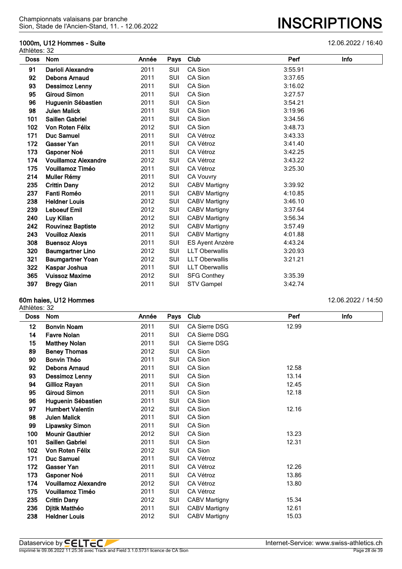#### **1000m, U12 Hommes - Suite** 12.06.2022 / 16:40

|             | Athlètes: 32                |       |            |                       |         |      |  |  |  |
|-------------|-----------------------------|-------|------------|-----------------------|---------|------|--|--|--|
| <b>Doss</b> | Nom                         | Année | Pays       | Club                  | Perf    | Info |  |  |  |
| 91          | Darioli Alexandre           | 2011  | <b>SUI</b> | CA Sion               | 3:55.91 |      |  |  |  |
| 92          | <b>Debons Arnaud</b>        | 2011  | <b>SUI</b> | CA Sion               | 3:37.65 |      |  |  |  |
| 93          | Dessimoz Lenny              | 2011  | <b>SUI</b> | CA Sion               | 3:16.02 |      |  |  |  |
| 95          | <b>Giroud Simon</b>         | 2011  | <b>SUI</b> | CA Sion               | 3:27.57 |      |  |  |  |
| 96          | Huguenin Sébastien          | 2011  | <b>SUI</b> | CA Sion               | 3:54.21 |      |  |  |  |
| 98          | <b>Julen Malick</b>         | 2011  | <b>SUI</b> | CA Sion               | 3:19.96 |      |  |  |  |
| 101         | <b>Saillen Gabriel</b>      | 2011  | SUI        | CA Sion               | 3:34.56 |      |  |  |  |
| 102         | Von Roten Félix             | 2012  | <b>SUI</b> | CA Sion               | 3:48.73 |      |  |  |  |
| 171         | <b>Duc Samuel</b>           | 2011  | <b>SUI</b> | CA Vétroz             | 3:43.33 |      |  |  |  |
| 172         | <b>Gasser Yan</b>           | 2011  | <b>SUI</b> | CA Vétroz             | 3:41.40 |      |  |  |  |
| 173         | <b>Gsponer Noé</b>          | 2011  | <b>SUI</b> | CA Vétroz             | 3:42.25 |      |  |  |  |
| 174         | <b>Vouillamoz Alexandre</b> | 2012  | <b>SUI</b> | CA Vétroz             | 3:43.22 |      |  |  |  |
| 175         | Vouillamoz Timéo            | 2011  | SUI        | CA Vétroz             | 3:25.30 |      |  |  |  |
| 214         | Muller Rémy                 | 2011  | SUI        | <b>CA Vouvry</b>      |         |      |  |  |  |
| 235         | <b>Crittin Dany</b>         | 2012  | <b>SUI</b> | <b>CABV Martigny</b>  | 3:39.92 |      |  |  |  |
| 237         | Fanti Roméo                 | 2011  | SUI        | <b>CABV Martigny</b>  | 4:10.85 |      |  |  |  |
| 238         | <b>Heldner Louis</b>        | 2012  | <b>SUI</b> | <b>CABV Martigny</b>  | 3:46.10 |      |  |  |  |
| 239         | <b>Leboeuf Emil</b>         | 2012  | SUI        | <b>CABV Martigny</b>  | 3:37.64 |      |  |  |  |
| 240         | Luy Kilian                  | 2012  | <b>SUI</b> | <b>CABV Martigny</b>  | 3:56.34 |      |  |  |  |
| 242         | <b>Rouvinez Baptiste</b>    | 2012  | SUI        | <b>CABV Martigny</b>  | 3:57.49 |      |  |  |  |
| 243         | <b>Vouilloz Alexis</b>      | 2011  | <b>SUI</b> | <b>CABV Martigny</b>  | 4:01.88 |      |  |  |  |
| 308         | <b>Buensoz Aloys</b>        | 2011  | <b>SUI</b> | ES Ayent Anzère       | 4:43.24 |      |  |  |  |
| 320         | <b>Baumgartner Lino</b>     | 2012  | SUI        | <b>LLT Oberwallis</b> | 3:20.93 |      |  |  |  |
| 321         | <b>Baumgartner Yoan</b>     | 2012  | <b>SUI</b> | <b>LLT Oberwallis</b> | 3:21.21 |      |  |  |  |
| 322         | Kaspar Joshua               | 2011  | <b>SUI</b> | <b>LLT Oberwallis</b> |         |      |  |  |  |
| 365         | <b>Vuissoz Maxime</b>       | 2012  | <b>SUI</b> | <b>SFG Conthey</b>    | 3:35.39 |      |  |  |  |
| 397         | <b>Bregy Gian</b>           | 2011  | SUI        | <b>STV Gampel</b>     | 3:42.74 |      |  |  |  |

#### **60m haies, U12 Hommes** 12.06.2022 / 14:50

Athlètes: 32

**Doss Nom Année Pays Club Perf Info Bonvin Noam** 2011 SUI CA Sierre DSG 12.99 **Favre Nolan** 2011 SUI CA Sierre DSG **Matthey Nolan** 2011 SUI CA Sierre DSG **Beney Thomas** 2012 SUI CA Sion **90 Bonvin Théo** 2011 SUI **Debons Arnaud** 2011 SUI CA Sion 12.58 **Dessimoz Lenny** 2011 SUI CA Sion 13.14 **Gillioz Rayan** 2011 SUI CA Sion 12.45 **Giroud Simon** 2011 SUI CA Sion 12.18 **Huguenin Sébastien** 2011 SUI CA Sion **Humbert Valentin** 2012 SUI CA Sion 12.16 **Julen Malick** 2011 SUI CA Sion **Lipawsky Simon** 2011 SUI CA Sion **Mounir Gauthier** 2012 SUI CA Sion 13.23 **Saillen Gabriel** 2011 SUI CA Sion 12.31 **Von Roten Félix** 2012 SUI CA Sion **Duc Samuel** 2011 SUI CA Vétroz **Gasser Yan** 2011 SUI CA Vétroz 12.26 **Gsponer Noé** 2011 SUI CA Vétroz 13.86 **Vouillamoz Alexandre** 2012 SUI CA Vétroz 13.80 **Vouillamoz Timéo** 2011 SUI CA Vétroz **Crittin Dany** 2012 SUI CABV Martigny 15.34 **Djitik Matthéo** 2011 SUI CABV Martigny 12.61 **Heldner Louis** 2012 SUI CABV Martigny 15.03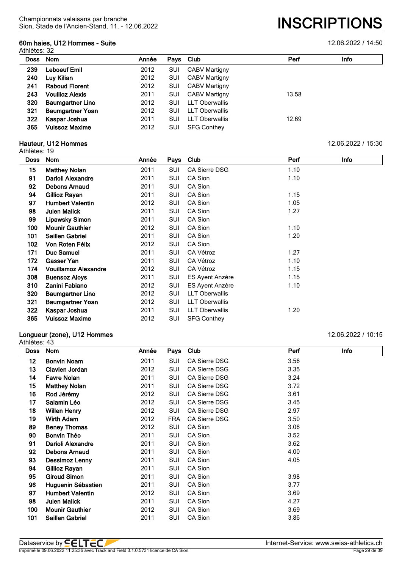#### **60m haies, U12 Hommes - Suite** 12.06.2022 / 14:50 Athlètes: 32

Sion, Stade de l'Ancien-Stand, 11. - 12.06.2022 **INSCRIPTIONS**

| Doss | <b>Nom</b>              | Année | Pays Club |                       | Perf  | Info |
|------|-------------------------|-------|-----------|-----------------------|-------|------|
| 239  | Leboeuf Emil            | 2012  | SUI       | <b>CABV Martigny</b>  |       |      |
| 240  | Luy Kilian              | 2012  | SUI       | <b>CABV Martigny</b>  |       |      |
| 241  | <b>Raboud Florent</b>   | 2012  | SUI       | <b>CABV Martigny</b>  |       |      |
| 243  | <b>Vouilloz Alexis</b>  | 2011  | SUI       | <b>CABV Martigny</b>  | 13.58 |      |
| 320  | <b>Baumgartner Lino</b> | 2012  | SUI       | <b>LLT Oberwallis</b> |       |      |
| 321  | <b>Baumgartner Yoan</b> | 2012  | SUI       | <b>LLT Oberwallis</b> |       |      |
| 322  | Kaspar Joshua           | 2011  | SUI       | <b>LLT Oberwallis</b> | 12.69 |      |
| 365  | <b>Vuissoz Maxime</b>   | 2012  | SUI       | <b>SFG Conthey</b>    |       |      |

## **Hauteur, U12 Hommes** 12.06.2022 / 15:30

| Athlètes: 19 |  |
|--------------|--|
|--------------|--|

| <b>Doss</b> | <b>Nom</b>                  | Année | <b>Pays</b> | Club                   | Perf | Info |
|-------------|-----------------------------|-------|-------------|------------------------|------|------|
| 15          | <b>Matthey Nolan</b>        | 2011  | SUI         | <b>CA Sierre DSG</b>   | 1.10 |      |
| 91          | Darioli Alexandre           | 2011  | SUI         | CA Sion                | 1.10 |      |
| 92          | Debons Arnaud               | 2011  | SUI         | CA Sion                |      |      |
| 94          | Gillioz Rayan               | 2011  | SUI         | CA Sion                | 1.15 |      |
| 97          | <b>Humbert Valentin</b>     | 2012  | SUI         | CA Sion                | 1.05 |      |
| 98          | <b>Julen Malick</b>         | 2011  | SUI         | CA Sion                | 1.27 |      |
| 99          | <b>Lipawsky Simon</b>       | 2011  | SUI         | CA Sion                |      |      |
| 100         | <b>Mounir Gauthier</b>      | 2012  | SUI         | CA Sion                | 1.10 |      |
| 101         | Saillen Gabriel             | 2011  | SUI         | CA Sion                | 1.20 |      |
| 102         | Von Roten Félix             | 2012  | SUI         | CA Sion                |      |      |
| 171         | Duc Samuel                  | 2011  | SUI         | CA Vétroz              | 1.27 |      |
| 172         | Gasser Yan                  | 2011  | SUI         | CA Vétroz              | 1.10 |      |
| 174         | <b>Vouillamoz Alexandre</b> | 2012  | SUI         | CA Vétroz              | 1.15 |      |
| 308         | <b>Buensoz Aloys</b>        | 2011  | SUI         | <b>ES Ayent Anzère</b> | 1.15 |      |
| 310         | Zanini Fabiano              | 2012  | SUI         | ES Ayent Anzère        | 1.10 |      |
| 320         | <b>Baumgartner Lino</b>     | 2012  | SUI         | <b>LLT Oberwallis</b>  |      |      |
| 321         | <b>Baumgartner Yoan</b>     | 2012  | SUI         | <b>LLT Oberwallis</b>  |      |      |
| 322         | Kaspar Joshua               | 2011  | SUI         | <b>LLT Oberwallis</b>  | 1.20 |      |
| 365         | <b>Vuissoz Maxime</b>       | 2012  | SUI         | <b>SFG Conthey</b>     |      |      |

# **Longueur (zone), U12 Hommes** 12.06.2022 / 10:15

| Athlètes: 43 |                         |       |            |                      |      |             |  |
|--------------|-------------------------|-------|------------|----------------------|------|-------------|--|
| <b>Doss</b>  | <b>Nom</b>              | Année | Pays       | Club                 | Perf | <b>Info</b> |  |
| 12           | <b>Bonvin Noam</b>      | 2011  | SUI        | <b>CA Sierre DSG</b> | 3.56 |             |  |
| 13           | Clavien Jordan          | 2012  | SUI        | <b>CA Sierre DSG</b> | 3.35 |             |  |
| 14           | <b>Favre Nolan</b>      | 2011  | SUI        | <b>CA Sierre DSG</b> | 3.24 |             |  |
| 15           | <b>Matthey Nolan</b>    | 2011  | SUI        | <b>CA Sierre DSG</b> | 3.72 |             |  |
| 16           | Rod Jérémy              | 2012  | SUI        | CA Sierre DSG        | 3.61 |             |  |
| 17           | Salamin Léo             | 2012  | SUI        | <b>CA Sierre DSG</b> | 3.45 |             |  |
| 18           | <b>Willen Henry</b>     | 2012  | SUI        | CA Sierre DSG        | 2.97 |             |  |
| 19           | <b>Wirth Adam</b>       | 2012  | <b>FRA</b> | <b>CA Sierre DSG</b> | 3.50 |             |  |
| 89           | <b>Beney Thomas</b>     | 2012  | SUI        | CA Sion              | 3.06 |             |  |
| 90           | Bonvin Théo             | 2011  | SUI        | CA Sion              | 3.52 |             |  |
| 91           | Darioli Alexandre       | 2011  | SUI        | CA Sion              | 3.62 |             |  |
| 92           | <b>Debons Arnaud</b>    | 2011  | SUI        | CA Sion              | 4.00 |             |  |
| 93           | <b>Dessimoz Lenny</b>   | 2011  | SUI        | CA Sion              | 4.05 |             |  |
| 94           | Gillioz Rayan           | 2011  | SUI        | CA Sion              |      |             |  |
| 95           | <b>Giroud Simon</b>     | 2011  | SUI        | CA Sion              | 3.98 |             |  |
| 96           | Huguenin Sébastien      | 2011  | SUI        | CA Sion              | 3.77 |             |  |
| 97           | <b>Humbert Valentin</b> | 2012  | SUI        | CA Sion              | 3.69 |             |  |
| 98           | <b>Julen Malick</b>     | 2011  | SUI        | CA Sion              | 4.27 |             |  |
| 100          | <b>Mounir Gauthier</b>  | 2012  | SUI        | CA Sion              | 3.69 |             |  |
| 101          | <b>Saillen Gabriel</b>  | 2011  | SUI        | CA Sion              | 3.86 |             |  |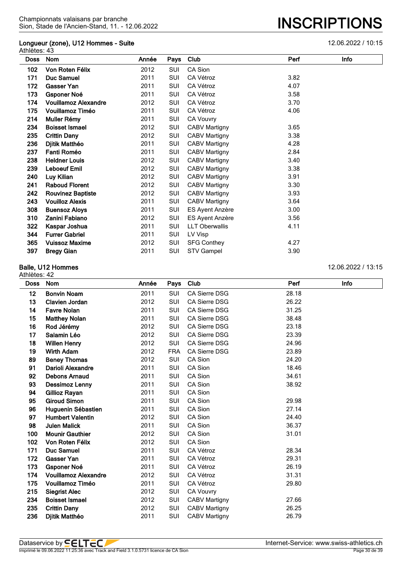# **Longueur (zone), U12 Hommes - Suite** 12.06.2022 / 10:15 athlètes: 43-<br>Athlètes: 43

| ແມະເດລ. <del>ฯ</del> ບ |                             |       |            |                       |      |      |
|------------------------|-----------------------------|-------|------------|-----------------------|------|------|
| <b>Doss</b>            | Nom                         | Année | Pays       | Club                  | Perf | Info |
| 102                    | Von Roten Félix             | 2012  | SUI        | CA Sion               |      |      |
| 171                    | <b>Duc Samuel</b>           | 2011  | SUI        | CA Vétroz             | 3.82 |      |
| 172                    | <b>Gasser Yan</b>           | 2011  | SUI        | CA Vétroz             | 4.07 |      |
| 173                    | <b>Gsponer Noé</b>          | 2011  | SUI        | CA Vétroz             | 3.58 |      |
| 174                    | <b>Vouillamoz Alexandre</b> | 2012  | SUI        | CA Vétroz             | 3.70 |      |
| 175                    | Vouillamoz Timéo            | 2011  | <b>SUI</b> | CA Vétroz             | 4.06 |      |
| 214                    | Muller Rémy                 | 2011  | SUI        | CA Vouvry             |      |      |
| 234                    | <b>Boisset Ismael</b>       | 2012  | <b>SUI</b> | <b>CABV Martigny</b>  | 3.65 |      |
| 235                    | <b>Crittin Dany</b>         | 2012  | <b>SUI</b> | <b>CABV Martigny</b>  | 3.38 |      |
| 236                    | Djitik Matthéo              | 2011  | SUI        | <b>CABV Martigny</b>  | 4.28 |      |
| 237                    | Fanti Roméo                 | 2011  | SUI        | <b>CABV Martigny</b>  | 2.84 |      |
| 238                    | <b>Heldner Louis</b>        | 2012  | SUI        | <b>CABV Martigny</b>  | 3.40 |      |
| 239                    | <b>Leboeuf Emil</b>         | 2012  | SUI        | CABV Martigny         | 3.38 |      |
| 240                    | Luy Kilian                  | 2012  | SUI        | <b>CABV Martigny</b>  | 3.91 |      |
| 241                    | <b>Raboud Florent</b>       | 2012  | SUI        | <b>CABV Martigny</b>  | 3.30 |      |
| 242                    | <b>Rouvinez Baptiste</b>    | 2012  | SUI        | <b>CABV Martigny</b>  | 3.93 |      |
| 243                    | <b>Vouilloz Alexis</b>      | 2011  | SUI        | <b>CABV Martigny</b>  | 3.64 |      |
| 308                    | <b>Buensoz Aloys</b>        | 2011  | SUI        | ES Ayent Anzère       | 3.00 |      |
| 310                    | Zanini Fabiano              | 2012  | SUI        | ES Ayent Anzère       | 3.56 |      |
| 322                    | Kaspar Joshua               | 2011  | <b>SUI</b> | <b>LLT Oberwallis</b> | 4.11 |      |
| 344                    | <b>Furrer Gabriel</b>       | 2011  | SUI        | LV Visp               |      |      |
| 365                    | <b>Vuissoz Maxime</b>       | 2012  | SUI        | <b>SFG Conthey</b>    | 4.27 |      |
| 397                    | <b>Bregy Gian</b>           | 2011  | SUI        | <b>STV Gampel</b>     | 3.90 |      |

#### **Balle, U12 Hommes** 12.06.2022 / 13:15

Athlètes: 42

| <b>Nom</b>                  | Année              | Pays       | Club                 | Perf  | Info |
|-----------------------------|--------------------|------------|----------------------|-------|------|
| <b>Bonvin Noam</b>          | 2011               | SUI        | CA Sierre DSG        | 28.18 |      |
| Clavien Jordan              | 2012               | SUI        | <b>CA Sierre DSG</b> | 26.22 |      |
| <b>Favre Nolan</b>          | 2011               | <b>SUI</b> | CA Sierre DSG        | 31.25 |      |
| <b>Matthey Nolan</b>        | 2011               | <b>SUI</b> | CA Sierre DSG        | 38.48 |      |
| Rod Jérémy                  | 2012               | SUI        | <b>CA Sierre DSG</b> | 23.18 |      |
| Salamin Léo                 | 2012               | <b>SUI</b> | CA Sierre DSG        | 23.39 |      |
| <b>Willen Henry</b>         | 2012               | <b>SUI</b> | CA Sierre DSG        | 24.96 |      |
| <b>Wirth Adam</b>           | 2012               | <b>FRA</b> | <b>CA Sierre DSG</b> | 23.89 |      |
| <b>Beney Thomas</b>         | 2012               | <b>SUI</b> | CA Sion              | 24.20 |      |
| Darioli Alexandre           | 2011               | <b>SUI</b> | CA Sion              | 18.46 |      |
| <b>Debons Arnaud</b>        | 2011               | <b>SUI</b> | CA Sion              | 34.61 |      |
| <b>Dessimoz Lenny</b>       | 2011               | SUI        | CA Sion              | 38.92 |      |
| Gillioz Rayan               | 2011               | <b>SUI</b> | CA Sion              |       |      |
| <b>Giroud Simon</b>         | 2011               | SUI        | CA Sion              | 29.98 |      |
| Huguenin Sébastien          | 2011               | <b>SUI</b> | CA Sion              | 27.14 |      |
| <b>Humbert Valentin</b>     | 2012               | <b>SUI</b> | CA Sion              | 24.40 |      |
| <b>Julen Malick</b>         | 2011               | SUI        | CA Sion              | 36.37 |      |
| <b>Mounir Gauthier</b>      | 2012               | <b>SUI</b> | CA Sion              | 31.01 |      |
| Von Roten Félix             | 2012               | <b>SUI</b> | CA Sion              |       |      |
| <b>Duc Samuel</b>           | 2011               | SUI        | CA Vétroz            | 28.34 |      |
| <b>Gasser Yan</b>           | 2011               | <b>SUI</b> | CA Vétroz            | 29.31 |      |
| Gsponer Noé                 | 2011               | SUI        | CA Vétroz            | 26.19 |      |
| <b>Vouillamoz Alexandre</b> | 2012               | <b>SUI</b> | CA Vétroz            | 31.31 |      |
| <b>Vouillamoz Timéo</b>     | 2011               | SUI        | CA Vétroz            | 29.80 |      |
| <b>Siegrist Alec</b>        | 2012               | <b>SUI</b> | <b>CA Vouvry</b>     |       |      |
| <b>Boisset Ismael</b>       | 2012               | <b>SUI</b> | <b>CABV Martigny</b> | 27.66 |      |
| <b>Crittin Dany</b>         | 2012               | SUI        | <b>CABV Martigny</b> | 26.25 |      |
|                             | <b>IIIGLES. 42</b> |            |                      |       |      |

**Djitik Matthéo** 2011 SUI CABV Martigny 26.79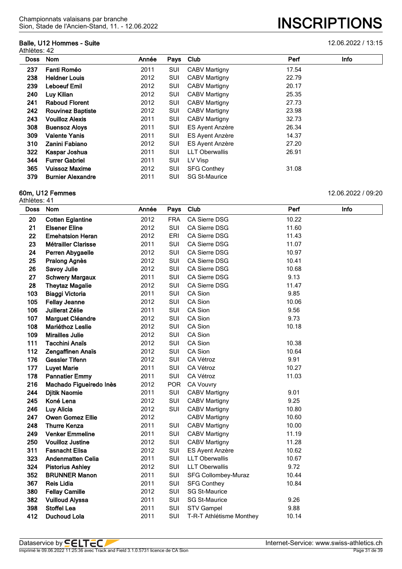#### **Balle, U12 Hommes - Suite** 12.06.2022 / 13:15 Athlètes: 42

# Sion, Stade de l'Ancien-Stand, 11. - 12.06.2022 **INSCRIPTIONS**

| <b>Doss</b> | Nom                      | Année | Pays       | Club                   | Perf  | Info |
|-------------|--------------------------|-------|------------|------------------------|-------|------|
| 237         | Fanti Roméo              | 2011  | SUI        | <b>CABV Martigny</b>   | 17.54 |      |
| 238         | <b>Heldner Louis</b>     | 2012  | SUI        | <b>CABV Martigny</b>   | 22.79 |      |
| 239         | <b>Leboeuf Emil</b>      | 2012  | SUI        | <b>CABV Martigny</b>   | 20.17 |      |
| 240         | Luy Kilian               | 2012  | <b>SUI</b> | CABV Martigny          | 25.35 |      |
| 241         | <b>Raboud Florent</b>    | 2012  | SUI        | <b>CABV Martigny</b>   | 27.73 |      |
| 242         | <b>Rouvinez Baptiste</b> | 2012  | SUI        | <b>CABV Martigny</b>   | 23.98 |      |
| 243         | <b>Vouilloz Alexis</b>   | 2011  | <b>SUI</b> | <b>CABV Martigny</b>   | 32.73 |      |
| 308         | <b>Buensoz Aloys</b>     | 2011  | SUI        | <b>ES Ayent Anzère</b> | 26.34 |      |
| 309         | <b>Valente Yanis</b>     | 2011  | SUI        | <b>ES Ayent Anzère</b> | 14.37 |      |
| 310         | Zanini Fabiano           | 2012  | SUI        | <b>ES Ayent Anzère</b> | 27.20 |      |
| 322         | Kaspar Joshua            | 2011  | SUI        | <b>LLT Oberwallis</b>  | 26.91 |      |
| 344         | <b>Furrer Gabriel</b>    | 2011  | SUI        | LV Visp                |       |      |
| 365         | <b>Vuissoz Maxime</b>    | 2012  | SUI        | <b>SFG Conthey</b>     | 31.08 |      |
| 379         | <b>Burnier Alexandre</b> | 2011  | SUI        | <b>SG St-Maurice</b>   |       |      |

#### **60m, U12 Femmes** 12.06.2022 / 09:20 Athlètes: 41

| <b>Doss</b> | Nom                        | Année | Pays       | Club                     | Perf  | Info |
|-------------|----------------------------|-------|------------|--------------------------|-------|------|
| 20          | <b>Cotten Eglantine</b>    | 2012  | <b>FRA</b> | CA Sierre DSG            | 10.22 |      |
| 21          | <b>Elsener Eline</b>       | 2012  | SUI        | CA Sierre DSG            | 11.60 |      |
| 22          | <b>Emehatsion Heran</b>    | 2012  | ERI        | CA Sierre DSG            | 11.43 |      |
| 23          | <b>Métrailler Clarisse</b> | 2011  | <b>SUI</b> | CA Sierre DSG            | 11.07 |      |
| 24          | Perren Abygaelle           | 2012  | SUI        | CA Sierre DSG            | 10.97 |      |
| 25          | Pralong Agnès              | 2012  | SUI        | CA Sierre DSG            | 10.41 |      |
| 26          | <b>Savoy Julie</b>         | 2012  | SUI        | CA Sierre DSG            | 10.68 |      |
| 27          | <b>Schwery Margaux</b>     | 2011  | SUI        | CA Sierre DSG            | 9.13  |      |
| 28          | <b>Theytaz Magalie</b>     | 2012  | SUI        | CA Sierre DSG            | 11.47 |      |
| 103         | <b>Biaggi Victoria</b>     | 2011  | SUI        | CA Sion                  | 9.85  |      |
| 105         | <b>Fellay Jeanne</b>       | 2012  | SUI        | CA Sion                  | 10.06 |      |
| 106         | Juillerat Zélie            | 2011  | <b>SUI</b> | CA Sion                  | 9.56  |      |
| 107         | Marguet Cléandre           | 2012  | SUI        | CA Sion                  | 9.73  |      |
| 108         | Mariéthoz Leslie           | 2012  | SUI        | CA Sion                  | 10.18 |      |
| 109         | <b>Mirailles Julie</b>     | 2012  | SUI        | CA Sion                  |       |      |
| 111         | <b>Tacchini Anaïs</b>      | 2012  | SUI        | CA Sion                  | 10.38 |      |
| 112         | Zengaffinen Anaïs          | 2012  | SUI        | CA Sion                  | 10.64 |      |
| 176         | <b>Gessler Tifenn</b>      | 2012  | SUI        | CA Vétroz                | 9.91  |      |
| 177         | <b>Luyet Marie</b>         | 2011  | SUI        | CA Vétroz                | 10.27 |      |
| 178         | <b>Pannatier Emmy</b>      | 2011  | SUI        | CA Vétroz                | 11.03 |      |
| 216         | Machado Figueiredo Inès    | 2012  | <b>POR</b> | <b>CA Vouvry</b>         |       |      |
| 244         | <b>Djitik Naomie</b>       | 2011  | SUI        | <b>CABV Martigny</b>     | 9.01  |      |
| 245         | Koné Lena                  | 2012  | <b>SUI</b> | <b>CABV Martigny</b>     | 9.25  |      |
| 246         | Luy Alicia                 | 2012  | SUI        | <b>CABV Martigny</b>     | 10.80 |      |
| 247         | <b>Owen Gomez Ellie</b>    | 2012  |            | <b>CABV Martigny</b>     | 10.60 |      |
| 248         | <b>Thurre Kenza</b>        | 2011  | SUI        | <b>CABV Martigny</b>     | 10.00 |      |
| 249         | <b>Venker Emmeline</b>     | 2011  | SUI        | <b>CABV Martigny</b>     | 11.19 |      |
| 250         | <b>Vouilloz Justine</b>    | 2012  | SUI        | <b>CABV Martigny</b>     | 11.28 |      |
| 311         | <b>Fasnacht Elisa</b>      | 2012  | SUI        | ES Ayent Anzère          | 10.62 |      |
| 323         | <b>Andenmatten Celia</b>   | 2011  | SUI        | <b>LLT Oberwallis</b>    | 10.67 |      |
| 324         | <b>Pistorius Ashley</b>    | 2012  | SUI        | <b>LLT Oberwallis</b>    | 9.72  |      |
| 352         | <b>BRUNNER Manon</b>       | 2011  | SUI        | SFG Collombey-Muraz      | 10.44 |      |
| 367         | <b>Reis Lidia</b>          | 2011  | SUI        | <b>SFG Conthey</b>       | 10.84 |      |
| 380         | <b>Fellay Camille</b>      | 2012  | SUI        | <b>SG St-Maurice</b>     |       |      |
| 382         | <b>Vuilloud Alyssa</b>     | 2011  | SUI        | <b>SG St-Maurice</b>     | 9.26  |      |
| 398         | <b>Stoffel Lea</b>         | 2011  | SUI        | <b>STV Gampel</b>        | 9.88  |      |
| 412         | Duchoud Lola               | 2011  | SUI        | T-R-T Athlétisme Monthey | 10.14 |      |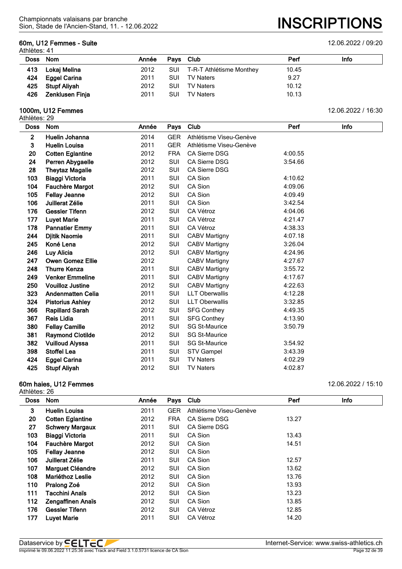# **60m, U12 Femmes - Suite** 12.06.2022 / 09:20

Athlètes: 41

| Doss Nom |                     | Année | Pays Club  |                              | Perf  | <b>Info</b> |
|----------|---------------------|-------|------------|------------------------------|-------|-------------|
|          | 413 Lokaj Melina    | 2012  |            | SUI T-R-T Athlétisme Monthey | 10.45 |             |
|          | 424 Eggel Carina    | 2011  | SUI        | TV Naters                    | 9.27  |             |
|          | 425 Stupf Aliyah    | 2012  | <b>SUI</b> | <b>TV Naters</b>             | 10.12 |             |
|          | 426 Zenklusen Finja | 2011  | <b>SUI</b> | TV Naters                    | 10.13 |             |
|          |                     |       |            |                              |       |             |

## **1000m, U12 Femmes** 12.06.2022 / 16:30

Athlètes: 29

| <b>Doss</b>    | <b>Nom</b>               | Année | Pays       | Club                    | Perf    | Info |
|----------------|--------------------------|-------|------------|-------------------------|---------|------|
| $\overline{2}$ | Huelin Johanna           | 2014  | <b>GER</b> | Athlétisme Viseu-Genève |         |      |
| 3              | <b>Huelin Louisa</b>     | 2011  | <b>GER</b> | Athlétisme Viseu-Genève |         |      |
| 20             | <b>Cotten Eglantine</b>  | 2012  | <b>FRA</b> | <b>CA Sierre DSG</b>    | 4:00.55 |      |
| 24             | Perren Abygaelle         | 2012  | SUI        | <b>CA Sierre DSG</b>    | 3:54.66 |      |
| 28             | <b>Theytaz Magalie</b>   | 2012  | <b>SUI</b> | CA Sierre DSG           |         |      |
| 103            | Biaggi Victoria          | 2011  | <b>SUI</b> | CA Sion                 | 4:10.62 |      |
| 104            | Fauchère Margot          | 2012  | SUI        | CA Sion                 | 4:09.06 |      |
| 105            | <b>Fellay Jeanne</b>     | 2012  | <b>SUI</b> | CA Sion                 | 4:09.49 |      |
| 106            | Juillerat Zélie          | 2011  | SUI        | CA Sion                 | 3:42.54 |      |
| 176            | <b>Gessler Tifenn</b>    | 2012  | <b>SUI</b> | CA Vétroz               | 4:04.06 |      |
| 177            | <b>Luyet Marie</b>       | 2011  | SUI        | CA Vétroz               | 4:21.47 |      |
| 178            | <b>Pannatier Emmy</b>    | 2011  | <b>SUI</b> | CA Vétroz               | 4:38.33 |      |
| 244            | <b>Djitik Naomie</b>     | 2011  | <b>SUI</b> | <b>CABV Martigny</b>    | 4:07.18 |      |
| 245            | Koné Lena                | 2012  | <b>SUI</b> | <b>CABV Martigny</b>    | 3:26.04 |      |
| 246            | Luy Alicia               | 2012  | <b>SUI</b> | <b>CABV Martigny</b>    | 4:24.96 |      |
| 247            | <b>Owen Gomez Ellie</b>  | 2012  |            | <b>CABV Martigny</b>    | 4:27.67 |      |
| 248            | <b>Thurre Kenza</b>      | 2011  | <b>SUI</b> | <b>CABV Martigny</b>    | 3:55.72 |      |
| 249            | <b>Venker Emmeline</b>   | 2011  | <b>SUI</b> | <b>CABV Martigny</b>    | 4:17.67 |      |
| 250            | <b>Vouilloz Justine</b>  | 2012  | <b>SUI</b> | CABV Martigny           | 4:22.63 |      |
| 323            | <b>Andenmatten Celia</b> | 2011  | <b>SUI</b> | <b>LLT Oberwallis</b>   | 4:12.28 |      |
| 324            | <b>Pistorius Ashley</b>  | 2012  | <b>SUI</b> | <b>LLT Oberwallis</b>   | 3:32.85 |      |
| 366            | <b>Rapillard Sarah</b>   | 2012  | <b>SUI</b> | <b>SFG Conthey</b>      | 4:49.35 |      |
| 367            | <b>Reis Lidia</b>        | 2011  | <b>SUI</b> | <b>SFG Conthey</b>      | 4:13.90 |      |
| 380            | <b>Fellay Camille</b>    | 2012  | SUI        | <b>SG St-Maurice</b>    | 3:50.79 |      |
| 381            | <b>Raymond Clotilde</b>  | 2012  | <b>SUI</b> | <b>SG St-Maurice</b>    |         |      |
| 382            | <b>Vuilloud Alyssa</b>   | 2011  | SUI        | <b>SG St-Maurice</b>    | 3:54.92 |      |
| 398            | <b>Stoffel Lea</b>       | 2011  | <b>SUI</b> | <b>STV Gampel</b>       | 3:43.39 |      |
| 424            | <b>Eggel Carina</b>      | 2011  | SUI        | <b>TV Naters</b>        | 4:02.29 |      |
| 425            | <b>Stupf Aliyah</b>      | 2012  | <b>SUI</b> | <b>TV Naters</b>        | 4:02.87 |      |

# **60m haies, U12 Femmes** 12.06.2022 / 15:10

| <b>Doss</b> | <b>Nom</b>               | Année | Pays       | Club                    | Perf  | Info |
|-------------|--------------------------|-------|------------|-------------------------|-------|------|
| 3           | <b>Huelin Louisa</b>     | 2011  | <b>GER</b> | Athlétisme Viseu-Genève |       |      |
| 20          | <b>Cotten Eglantine</b>  | 2012  | <b>FRA</b> | CA Sierre DSG           | 13.27 |      |
| 27          | <b>Schwery Margaux</b>   | 2011  | SUI        | <b>CA Sierre DSG</b>    |       |      |
| 103         | <b>Biaggi Victoria</b>   | 2011  | SUI        | CA Sion                 | 13.43 |      |
| 104         | <b>Fauchère Margot</b>   | 2012  | SUI        | CA Sion                 | 14.51 |      |
| 105         | <b>Fellay Jeanne</b>     | 2012  | SUI        | CA Sion                 |       |      |
| 106         | Juillerat Zélie          | 2011  | SUI        | CA Sion                 | 12.57 |      |
| 107         | <b>Marguet Cléandre</b>  | 2012  | SUI        | CA Sion                 | 13.62 |      |
| 108         | <b>Mariéthoz Leslie</b>  | 2012  | SUI        | CA Sion                 | 13.76 |      |
| 110         | Pralong Zoé              | 2012  | SUI        | CA Sion                 | 13.93 |      |
| 111         | Tacchini Anaïs           | 2012  | SUI        | CA Sion                 | 13.23 |      |
| 112         | <b>Zengaffinen Anaïs</b> | 2012  | SUI        | CA Sion                 | 13.85 |      |
| 176         | <b>Gessler Tifenn</b>    | 2012  | SUI        | CA Vétroz               | 12.85 |      |
| 177         | <b>Luyet Marie</b>       | 2011  | SUI        | CA Vétroz               | 14.20 |      |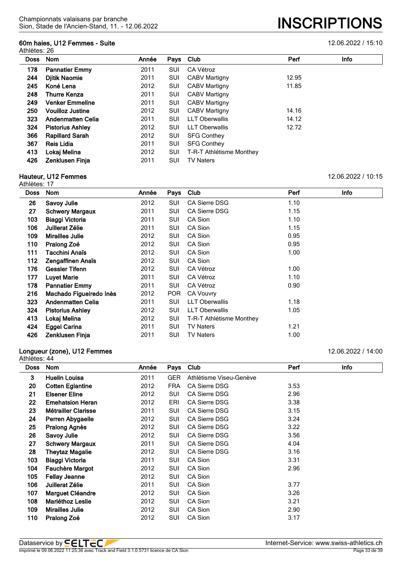# **60m haies, U12 Femmes - Suite** 12.06.2022 / 15:10

Athlètes: 26

| <b>Doss</b> | <b>Nom</b>               | Année | Pays | Club                     | Perf  | <b>Info</b> |
|-------------|--------------------------|-------|------|--------------------------|-------|-------------|
| 178         | <b>Pannatier Emmy</b>    | 2011  | SUI  | CA Vétroz                |       |             |
| 244         | <b>Djitik Naomie</b>     | 2011  | SUI  | <b>CABV Martigny</b>     | 12.95 |             |
| 245         | Koné Lena                | 2012  | SUI  | <b>CABV Martigny</b>     | 11.85 |             |
| 248         | <b>Thurre Kenza</b>      | 2011  | SUI  | <b>CABV Martigny</b>     |       |             |
| 249         | <b>Venker Emmeline</b>   | 2011  | SUI  | <b>CABV Martigny</b>     |       |             |
| 250         | <b>Vouilloz Justine</b>  | 2012  | SUI  | <b>CABV Martigny</b>     | 14.16 |             |
| 323         | <b>Andenmatten Celia</b> | 2011  | SUI  | <b>LLT Oberwallis</b>    | 14.12 |             |
| 324         | <b>Pistorius Ashley</b>  | 2012  | SUI  | <b>LLT Oberwallis</b>    | 12.72 |             |
| 366         | <b>Rapillard Sarah</b>   | 2012  | SUI  | <b>SFG Conthey</b>       |       |             |
| 367         | Reis Lidia               | 2011  | SUI  | <b>SFG Conthey</b>       |       |             |
| 413         | Lokaj Melina             | 2012  | SUI  | T-R-T Athlétisme Monthey |       |             |
| 426         | <b>Zenklusen Finia</b>   | 2011  | SUI  | <b>TV Naters</b>         |       |             |
|             |                          |       |      |                          |       |             |

# **Hauteur, U12 Femmes** 12.06.2022 / 10:15

| Athlètes: 17 |                          |       |            |                          |      |             |
|--------------|--------------------------|-------|------------|--------------------------|------|-------------|
| <b>Doss</b>  | <b>Nom</b>               | Année | Pays       | Club                     | Perf | <b>Info</b> |
| 26           | <b>Savoy Julie</b>       | 2012  | SUI        | <b>CA Sierre DSG</b>     | 1.10 |             |
| 27           | <b>Schwery Margaux</b>   | 2011  | SUI        | <b>CA Sierre DSG</b>     | 1.15 |             |
| 103          | <b>Biaggi Victoria</b>   | 2011  | SUI        | CA Sion                  | 1.10 |             |
| 106          | Juillerat Zélie          | 2011  | SUI        | CA Sion                  | 1.15 |             |
| 109          | <b>Mirailles Julie</b>   | 2012  | SUI        | CA Sion                  | 0.95 |             |
| 110          | Pralong Zoé              | 2012  | SUI        | CA Sion                  | 0.95 |             |
| 111          | Tacchini Anaïs           | 2012  | SUI        | CA Sion                  | 1.00 |             |
| 112          | Zengaffinen Anaïs        | 2012  | SUI        | CA Sion                  |      |             |
| 176          | <b>Gessler Tifenn</b>    | 2012  | SUI        | CA Vétroz                | 1.00 |             |
| 177          | <b>Luyet Marie</b>       | 2011  | SUI        | CA Vétroz                | 1.10 |             |
| 178          | <b>Pannatier Emmy</b>    | 2011  | SUI        | CA Vétroz                | 0.90 |             |
| 216          | Machado Figueiredo Inès  | 2012  | <b>POR</b> | <b>CA Vouvry</b>         |      |             |
| 323          | <b>Andenmatten Celia</b> | 2011  | SUI        | <b>LLT Oberwallis</b>    | 1.18 |             |
| 324          | <b>Pistorius Ashley</b>  | 2012  | SUI        | <b>LLT Oberwallis</b>    | 1.05 |             |
| 413          | Lokaj Melina             | 2012  | SUI        | T-R-T Athlétisme Monthey |      |             |
| 424          | <b>Eggel Carina</b>      | 2011  | SUI        | <b>TV Naters</b>         | 1.21 |             |
| 426          | Zenklusen Finja          | 2011  | SUI        | <b>TV Naters</b>         | 1.00 |             |

## **Longueur (zone), U12 Femmes** 12.06.2022 / 14:00

|             | Athlètes: 44               |       |            |                         |      |      |  |  |  |  |
|-------------|----------------------------|-------|------------|-------------------------|------|------|--|--|--|--|
| <b>Doss</b> | Nom                        | Année | Pays       | Club                    | Perf | Info |  |  |  |  |
| 3           | <b>Huelin Louisa</b>       | 2011  | <b>GER</b> | Athlétisme Viseu-Genève |      |      |  |  |  |  |
| 20          | <b>Cotten Eglantine</b>    | 2012  | <b>FRA</b> | <b>CA Sierre DSG</b>    | 3.53 |      |  |  |  |  |
| 21          | <b>Elsener Eline</b>       | 2012  | SUI        | <b>CA Sierre DSG</b>    | 2.96 |      |  |  |  |  |
| 22          | <b>Emehatsion Heran</b>    | 2012  | ERI        | <b>CA Sierre DSG</b>    | 3.38 |      |  |  |  |  |
| 23          | <b>Métrailler Clarisse</b> | 2011  | SUI        | CA Sierre DSG           | 3.15 |      |  |  |  |  |
| 24          | Perren Abygaelle           | 2012  | SUI        | <b>CA Sierre DSG</b>    | 3.24 |      |  |  |  |  |
| 25          | Pralong Agnès              | 2012  | SUI        | <b>CA Sierre DSG</b>    | 3.22 |      |  |  |  |  |
| 26          | Savoy Julie                | 2012  | SUI        | CA Sierre DSG           | 3.56 |      |  |  |  |  |
| 27          | <b>Schwery Margaux</b>     | 2011  | SUI        | <b>CA Sierre DSG</b>    | 4.04 |      |  |  |  |  |
| 28          | <b>Theytaz Magalie</b>     | 2012  | SUI        | <b>CA Sierre DSG</b>    | 3.16 |      |  |  |  |  |
| 103         | Biaggi Victoria            | 2011  | SUI        | CA Sion                 | 3.31 |      |  |  |  |  |
| 104         | Fauchère Margot            | 2012  | SUI        | CA Sion                 | 2.96 |      |  |  |  |  |
| 105         | <b>Fellay Jeanne</b>       | 2012  | SUI        | CA Sion                 |      |      |  |  |  |  |
| 106         | Juillerat Zélie            | 2011  | SUI        | CA Sion                 | 3.77 |      |  |  |  |  |
| 107         | <b>Marguet Cléandre</b>    | 2012  | SUI        | CA Sion                 | 3.26 |      |  |  |  |  |
| 108         | <b>Mariéthoz Leslie</b>    | 2012  | SUI        | CA Sion                 | 3.21 |      |  |  |  |  |
| 109         | <b>Mirailles Julie</b>     | 2012  | SUI        | CA Sion                 | 2.90 |      |  |  |  |  |
| 110         | Pralong Zoé                | 2012  | SUI        | CA Sion                 | 3.17 |      |  |  |  |  |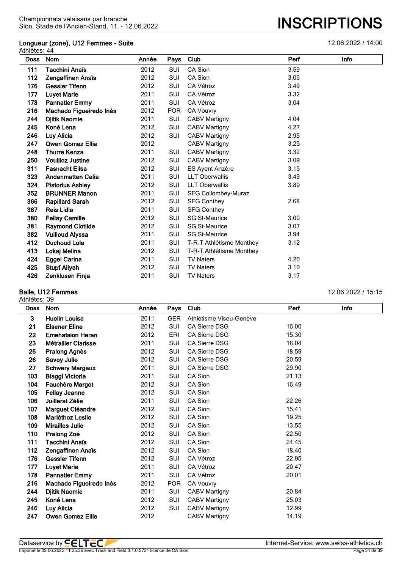#### **Longueur (zone), U12 Femmes - Suite** 12.06.2022 / 14:00 Athlètes: 44

| <b>Doss</b> | <b>Nom</b>               | Année | Pays       | Club                     | Perf | Info |
|-------------|--------------------------|-------|------------|--------------------------|------|------|
| 111         | Tacchini Anaïs           | 2012  | SUI        | CA Sion                  | 3.59 |      |
| 112         | Zengaffinen Anaïs        | 2012  | <b>SUI</b> | CA Sion                  | 3.06 |      |
| 176         | <b>Gessler Tifenn</b>    | 2012  | SUI        | CA Vétroz                | 3.49 |      |
| 177         | <b>Luyet Marie</b>       | 2011  | <b>SUI</b> | CA Vétroz                | 3.32 |      |
| 178         | <b>Pannatier Emmy</b>    | 2011  | SUI        | CA Vétroz                | 3.04 |      |
| 216         | Machado Figueiredo Inès  | 2012  | <b>POR</b> | <b>CA Vouvry</b>         |      |      |
| 244         | <b>Djitik Naomie</b>     | 2011  | SUI        | <b>CABV Martigny</b>     | 4.04 |      |
| 245         | Koné Lena                | 2012  | SUI        | <b>CABV Martigny</b>     | 4.27 |      |
| 246         | Luy Alicia               | 2012  | SUI        | <b>CABV Martigny</b>     | 2.95 |      |
| 247         | <b>Owen Gomez Ellie</b>  | 2012  |            | <b>CABV Martigny</b>     | 3.25 |      |
| 248         | <b>Thurre Kenza</b>      | 2011  | SUI        | <b>CABV Martigny</b>     | 3.32 |      |
| 250         | <b>Vouilloz Justine</b>  | 2012  | SUI        | <b>CABV Martigny</b>     | 3.09 |      |
| 311         | <b>Fasnacht Elisa</b>    | 2012  | SUI        | ES Ayent Anzère          | 3.15 |      |
| 323         | <b>Andenmatten Celia</b> | 2011  | SUI        | <b>LLT Oberwallis</b>    | 3.49 |      |
| 324         | <b>Pistorius Ashley</b>  | 2012  | SUI        | <b>LLT Oberwallis</b>    | 3.89 |      |
| 352         | <b>BRUNNER Manon</b>     | 2011  | SUI        | SFG Collombey-Muraz      |      |      |
| 366         | <b>Rapillard Sarah</b>   | 2012  | SUI        | <b>SFG Conthey</b>       | 2.68 |      |
| 367         | <b>Reis Lidia</b>        | 2011  | <b>SUI</b> | <b>SFG Conthey</b>       |      |      |
| 380         | <b>Fellay Camille</b>    | 2012  | SUI        | <b>SG St-Maurice</b>     | 3.00 |      |
| 381         | <b>Raymond Clotilde</b>  | 2012  | <b>SUI</b> | <b>SG St-Maurice</b>     | 3.07 |      |
| 382         | <b>Vuilloud Alyssa</b>   | 2011  | SUI        | <b>SG St-Maurice</b>     | 3.94 |      |
| 412         | <b>Duchoud Lola</b>      | 2011  | SUI        | T-R-T Athlétisme Monthey | 3.12 |      |
| 413         | Lokaj Melina             | 2012  | SUI        | T-R-T Athlétisme Monthey |      |      |
| 424         | <b>Eggel Carina</b>      | 2011  | SUI        | <b>TV Naters</b>         | 4.20 |      |
| 425         | <b>Stupf Aliyah</b>      | 2012  | SUI        | <b>TV Naters</b>         | 3.10 |      |
| 426         | <b>Zenklusen Finja</b>   | 2011  | <b>SUI</b> | <b>TV Naters</b>         | 3.17 |      |

#### **Balle, U12 Femmes** 12.06.2022 / 15:15 Athlètes: 39

| <b>Doss</b> | <b>Nom</b>                 | Année | Pays       | Club                    | Perf  | Info |
|-------------|----------------------------|-------|------------|-------------------------|-------|------|
| 3           | <b>Huelin Louisa</b>       | 2011  | <b>GER</b> | Athlétisme Viseu-Genève |       |      |
| 21          | <b>Elsener Eline</b>       | 2012  | <b>SUI</b> | <b>CA Sierre DSG</b>    | 16.00 |      |
| 22          | <b>Emehatsion Heran</b>    | 2012  | ERI        | <b>CA Sierre DSG</b>    | 15.30 |      |
| 23          | <b>Métrailler Clarisse</b> | 2011  | <b>SUI</b> | <b>CA Sierre DSG</b>    | 18.04 |      |
| 25          | <b>Pralong Agnès</b>       | 2012  | SUI        | <b>CA Sierre DSG</b>    | 18.59 |      |
| 26          | Savoy Julie                | 2012  | SUI        | <b>CA Sierre DSG</b>    | 20.59 |      |
| 27          | <b>Schwery Margaux</b>     | 2011  | SUI        | <b>CA Sierre DSG</b>    | 29.90 |      |
| 103         | Biaggi Victoria            | 2011  | SUI        | CA Sion                 | 21.13 |      |
| 104         | <b>Fauchère Margot</b>     | 2012  | SUI        | CA Sion                 | 16.49 |      |
| 105         | <b>Fellay Jeanne</b>       | 2012  | SUI        | CA Sion                 |       |      |
| 106         | Juillerat Zélie            | 2011  | SUI        | CA Sion                 | 22.26 |      |
| 107         | Marguet Cléandre           | 2012  | SUI        | CA Sion                 | 15.41 |      |
| 108         | Mariéthoz Leslie           | 2012  | SUI        | CA Sion                 | 19.25 |      |
| 109         | <b>Mirailles Julie</b>     | 2012  | SUI        | CA Sion                 | 13.55 |      |
| 110         | Pralong Zoé                | 2012  | SUI        | CA Sion                 | 22.50 |      |
| 111         | Tacchini Anaïs             | 2012  | SUI        | CA Sion                 | 24.45 |      |
| 112         | Zengaffinen Anaïs          | 2012  | SUI        | CA Sion                 | 18.40 |      |
| 176         | <b>Gessler Tifenn</b>      | 2012  | <b>SUI</b> | CA Vétroz               | 22.95 |      |
| 177         | <b>Luyet Marie</b>         | 2011  | SUI        | CA Vétroz               | 20.47 |      |
| 178         | <b>Pannatier Emmy</b>      | 2011  | <b>SUI</b> | CA Vétroz               | 20.01 |      |
| 216         | Machado Figueiredo Inès    | 2012  | <b>POR</b> | CA Vouvry               |       |      |
| 244         | <b>Djitik Naomie</b>       | 2011  | SUI        | <b>CABV Martigny</b>    | 20.84 |      |
| 245         | Koné Lena                  | 2012  | SUI        | <b>CABV Martigny</b>    | 25.03 |      |
| 246         | Luy Alicia                 | 2012  | SUI        | <b>CABV Martigny</b>    | 12.99 |      |

**Owen Gomez Ellie** 2012 CABV Martigny 14.19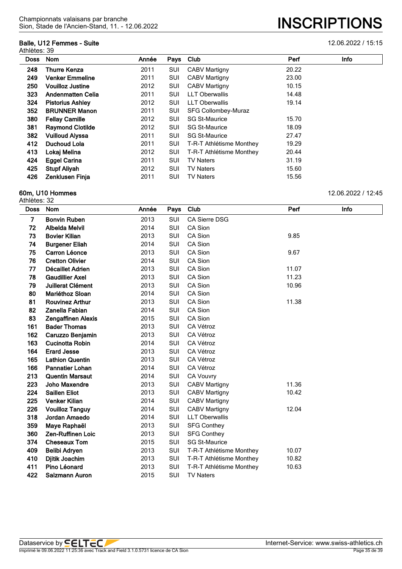## **Balle, U12 Femmes - Suite** 12.06.2022 / 15:15

Athlètes: 39

| Doss | <b>Nom</b>               | Année | Pays       | Club                     | Perf  | Info |
|------|--------------------------|-------|------------|--------------------------|-------|------|
| 248  | <b>Thurre Kenza</b>      | 2011  | SUI        | <b>CABV Martigny</b>     | 20.22 |      |
| 249  | <b>Venker Emmeline</b>   | 2011  | SUI        | <b>CABV Martigny</b>     | 23.00 |      |
| 250  | <b>Vouilloz Justine</b>  | 2012  | SUI        | <b>CABV Martigny</b>     | 10.15 |      |
| 323  | <b>Andenmatten Celia</b> | 2011  | SUI        | <b>LLT Oberwallis</b>    | 14.48 |      |
| 324  | <b>Pistorius Ashley</b>  | 2012  | <b>SUI</b> | <b>LLT Oberwallis</b>    | 19.14 |      |
| 352  | <b>BRUNNER Manon</b>     | 2011  | SUI        | SFG Collombey-Muraz      |       |      |
| 380  | <b>Fellay Camille</b>    | 2012  | <b>SUI</b> | <b>SG St-Maurice</b>     | 15.70 |      |
| 381  | <b>Raymond Clotilde</b>  | 2012  | SUI        | <b>SG St-Maurice</b>     | 18.09 |      |
| 382  | <b>Vuilloud Alyssa</b>   | 2011  | <b>SUI</b> | <b>SG St-Maurice</b>     | 27.47 |      |
| 412  | Duchoud Lola             | 2011  | SUI        | T-R-T Athlétisme Monthey | 19.29 |      |
| 413  | Lokaj Melina             | 2012  | SUI        | T-R-T Athlétisme Monthey | 20.44 |      |
| 424  | <b>Eggel Carina</b>      | 2011  | SUI        | <b>TV Naters</b>         | 31.19 |      |
| 425  | <b>Stupf Aliyah</b>      | 2012  | SUI        | <b>TV Naters</b>         | 15.60 |      |
| 426  | Zenklusen Finja          | 2011  | SUI        | <b>TV Naters</b>         | 15.56 |      |

#### **60m, U10 Hommes** 12.06.2022 / 12:45

Athlètes: 32

**Doss Nom Année Pays Club Perf Info Bonvin Ruben** 2013 SUI CA Sierre DSG **72 Albelda Melvil** 2014 SUI CA Sion **Bovier Kilian** 2013 SUI CA Sion 9.85 **Burgener Eliah** 2014 SUI CA Sion **Carron Léonce** 2013 SUI CA Sion 9.67 **76 Cretton Olivier** 2014 SUI CA Sion **Décaillet Adrien** 2013 SUI CA Sion 11.07 **78 Gaudillier Axel** 2013 SUI CA Sion 2001 11.23 **Juillerat Clément** 2013 SUI CA Sion 10.96 **Mariéthoz Sloan** 2014 SUI CA Sion **Rouvinez Arthur** 2013 SUI CA Sion 11.38 **Zanella Fabian** 2014 SUI CA Sion **Zengaffinen Alexis** 2015 SUI CA Sion **Bader Thomas** 2013 SUI CA Vétroz **Caruzzo Benjamin** 2013 SUI CA Vétroz **Cucinotta Robin** 2014 SUI CA Vétroz **Erard Jesse** 2013 SUI CA Vétroz **165 Lathion Quentin** 2013 SUI **Pannatier Lohan** 2014 SUI CA Vétroz **Quentin Marsaut** 2014 SUI CA Vouvry **Joho Maxendre** 2013 SUI CABV Martigny 11.36 **Saillen Eliot** 2013 SUI CABV Martigny 10.42 **Venker Kilian** 2014 SUI CABV Martigny **Vouilloz Tanguy** 2014 SUI CABV Martigny 12.04 **Jordan Amaedo** 2014 SUI LLT Oberwallis **Maye Raphaël** 2013 SUI SFG Conthey **Zen-Ruffinen Loic** 2013 SUI SFG Conthey **Cheseaux Tom** 2015 SUI SG St-Maurice **Belibi Adryen** 2013 SUI T-R-T Athlétisme Monthey 10.07 **Djitik Joachim** 2013 SUI T-R-T Athlétisme Monthey 10.82 **Pino Léonard** 2013 SUI T-R-T Athlétisme Monthey 10.63 **Salzmann Auron** 2015 SUI TV Naters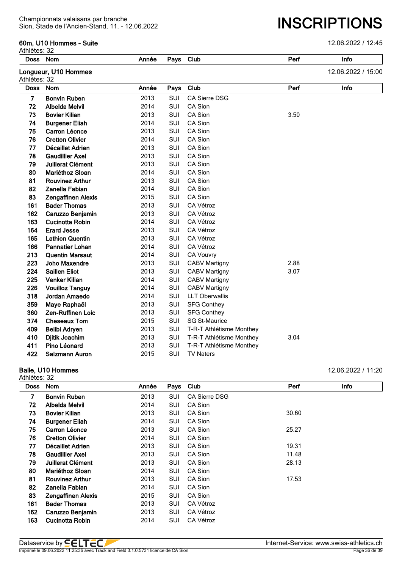## **60m, U10 Hommes - Suite** 12.06.2022 / 12:45

Sion, Stade de l'Ancien-Stand, 11. - 12.06.2022 **INSCRIPTIONS**

| Athlètes: 32   |                           |       |            |                          |      |                    |
|----------------|---------------------------|-------|------------|--------------------------|------|--------------------|
| <b>Doss</b>    | Nom                       | Année |            | Pays Club                | Perf | Info               |
| Athlètes: 32   | Longueur, U10 Hommes      |       |            |                          |      | 12.06.2022 / 15:00 |
| <b>Doss</b>    | Nom                       | Année | Pays       | Club                     | Perf | Info               |
| $\overline{7}$ | <b>Bonvin Ruben</b>       | 2013  | SUI        | CA Sierre DSG            |      |                    |
| 72             | <b>Albelda Melvil</b>     | 2014  | SUI        | CA Sion                  |      |                    |
| 73             | <b>Bovier Kilian</b>      | 2013  | SUI        | CA Sion                  | 3.50 |                    |
| 74             | <b>Burgener Eliah</b>     | 2014  | SUI        | CA Sion                  |      |                    |
| 75             | Carron Léonce             | 2013  | SUI        | CA Sion                  |      |                    |
| 76             | <b>Cretton Olivier</b>    | 2014  | SUI        | CA Sion                  |      |                    |
| 77             | Décaillet Adrien          | 2013  | SUI        | CA Sion                  |      |                    |
| 78             | <b>Gaudillier Axel</b>    | 2013  | SUI        | CA Sion                  |      |                    |
| 79             | Juillerat Clément         | 2013  | <b>SUI</b> | CA Sion                  |      |                    |
| 80             | Mariéthoz Sloan           | 2014  | <b>SUI</b> | CA Sion                  |      |                    |
| 81             | <b>Rouvinez Arthur</b>    | 2013  | <b>SUI</b> | CA Sion                  |      |                    |
| 82             | Zanella Fabian            | 2014  | <b>SUI</b> | CA Sion                  |      |                    |
| 83             | <b>Zengaffinen Alexis</b> | 2015  | <b>SUI</b> | CA Sion                  |      |                    |
| 161            | <b>Bader Thomas</b>       | 2013  | <b>SUI</b> | CA Vétroz                |      |                    |
| 162            | Caruzzo Benjamin          | 2013  | <b>SUI</b> | CA Vétroz                |      |                    |
| 163            | <b>Cucinotta Robin</b>    | 2014  | SUI        | CA Vétroz                |      |                    |
| 164            | <b>Erard Jesse</b>        | 2013  | SUI        | CA Vétroz                |      |                    |
| 165            | <b>Lathion Quentin</b>    | 2013  | SUI        | CA Vétroz                |      |                    |
| 166            | <b>Pannatier Lohan</b>    | 2014  | SUI        | CA Vétroz                |      |                    |
| 213            | <b>Quentin Marsaut</b>    | 2014  | SUI        | <b>CA Vouvry</b>         |      |                    |
| 223            | <b>Joho Maxendre</b>      | 2013  | SUI        | <b>CABV Martigny</b>     | 2.88 |                    |
| 224            | <b>Saillen Eliot</b>      | 2013  | SUI        | <b>CABV Martigny</b>     | 3.07 |                    |
| 225            | Venker Kilian             | 2014  | SUI        | <b>CABV Martigny</b>     |      |                    |
| 226            | <b>Vouilloz Tanguy</b>    | 2014  | SUI        | <b>CABV Martigny</b>     |      |                    |
| 318            | Jordan Amaedo             | 2014  | SUI        | <b>LLT Oberwallis</b>    |      |                    |
| 359            | Maye Raphaël              | 2013  | SUI        | <b>SFG Conthey</b>       |      |                    |
| 360            | <b>Zen-Ruffinen Loic</b>  | 2013  | SUI        | <b>SFG Conthey</b>       |      |                    |
| 374            | <b>Cheseaux Tom</b>       | 2015  | SUI        | <b>SG St-Maurice</b>     |      |                    |
| 409            | Belibi Adryen             | 2013  | <b>SUI</b> | T-R-T Athlétisme Monthey |      |                    |
| 410            | Djitik Joachim            | 2013  | <b>SUI</b> | T-R-T Athlétisme Monthey | 3.04 |                    |
| 411            | Pino Léonard              | 2013  | <b>SUI</b> | T-R-T Athlétisme Monthey |      |                    |
| 422            | Salzmann Auron            | 2015  | SUI        | <b>TV Naters</b>         |      |                    |

Athlètes: 32

**Balle, U10 Hommes** 12.06.2022 / 11:20

| <b>Doss</b> | <b>Nom</b>                | Année | Pays       | Club                 | Perf  | Info |
|-------------|---------------------------|-------|------------|----------------------|-------|------|
| 7           | <b>Bonvin Ruben</b>       | 2013  | SUI        | <b>CA Sierre DSG</b> |       |      |
| 72          | Albelda Melvil            | 2014  | SUI        | CA Sion              |       |      |
| 73          | <b>Bovier Kilian</b>      | 2013  | SUI        | CA Sion              | 30.60 |      |
| 74          | <b>Burgener Eliah</b>     | 2014  | <b>SUI</b> | CA Sion              |       |      |
| 75          | Carron Léonce             | 2013  | <b>SUI</b> | CA Sion              | 25.27 |      |
| 76          | <b>Cretton Olivier</b>    | 2014  | SUI        | CA Sion              |       |      |
| 77          | Décaillet Adrien          | 2013  | SUI        | CA Sion              | 19.31 |      |
| 78          | <b>Gaudillier Axel</b>    | 2013  | SUI        | CA Sion              | 11.48 |      |
| 79          | Juillerat Clément         | 2013  | SUI        | CA Sion              | 28.13 |      |
| 80          | Mariéthoz Sloan           | 2014  | SUI        | CA Sion              |       |      |
| 81          | <b>Rouvinez Arthur</b>    | 2013  | SUI        | CA Sion              | 17.53 |      |
| 82          | Zanella Fabian            | 2014  | SUI        | CA Sion              |       |      |
| 83          | <b>Zengaffinen Alexis</b> | 2015  | SUI        | CA Sion              |       |      |
| 161         | <b>Bader Thomas</b>       | 2013  | SUI        | CA Vétroz            |       |      |
| 162         | Caruzzo Benjamin          | 2013  | SUI        | CA Vétroz            |       |      |
| 163         | <b>Cucinotta Robin</b>    | 2014  | <b>SUI</b> | <b>CA Vétroz</b>     |       |      |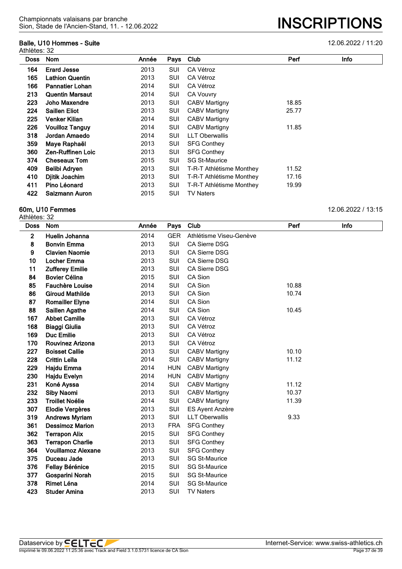# **Balle, U10 Hommes - Suite** 12.06.2022 / 11:20

| Athlètes: 32 | Dalle, UTV HUIHIIGS - OUILG |       |            |                          |       | 12.UU.ZUZZ / 11.ZU |
|--------------|-----------------------------|-------|------------|--------------------------|-------|--------------------|
| Doss         | Nom                         | Année | Pays       | Club                     | Perf  | Info               |
| 164          | <b>Erard Jesse</b>          | 2013  | SUI        | CA Vétroz                |       |                    |
| 165          | <b>Lathion Quentin</b>      | 2013  | SUI        | CA Vétroz                |       |                    |
| 166          | <b>Pannatier Lohan</b>      | 2014  | SUI        | CA Vétroz                |       |                    |
| 213          | <b>Quentin Marsaut</b>      | 2014  | SUI        | <b>CA Vouvry</b>         |       |                    |
| 223          | Joho Maxendre               | 2013  | SUI        | <b>CABV Martigny</b>     | 18.85 |                    |
| 224          | <b>Saillen Eliot</b>        | 2013  | SUI        | <b>CABV Martigny</b>     | 25.77 |                    |
| 225          | <b>Venker Kilian</b>        | 2014  | SUI        | <b>CABV Martigny</b>     |       |                    |
| 226          | <b>Vouilloz Tanguy</b>      | 2014  | SUI        | <b>CABV Martigny</b>     | 11.85 |                    |
| 318          | Jordan Amaedo               | 2014  | SUI        | <b>LLT Oberwallis</b>    |       |                    |
| 359          | Maye Raphaël                | 2013  | SUI        | <b>SFG Conthey</b>       |       |                    |
| 360          | Zen-Ruffinen Loic           | 2013  | SUI        | <b>SFG Conthey</b>       |       |                    |
| 374          | <b>Cheseaux Tom</b>         | 2015  | <b>SUI</b> | <b>SG St-Maurice</b>     |       |                    |
| 409          | Belibi Adryen               | 2013  | <b>SUI</b> | T-R-T Athlétisme Monthey | 11.52 |                    |
| 410          | Djitik Joachim              | 2013  | SUI        | T-R-T Athlétisme Monthey | 17.16 |                    |
| 411          | Pino Léonard                | 2013  | SUI        | T-R-T Athlétisme Monthey | 19.99 |                    |
| 422          | Salzmann Auron              | 2015  | SUI        | <b>TV Naters</b>         |       |                    |

## **60m, U10 Femmes** 12.06.2022 / 13:15

| <b>Doss</b> | Nom                       | Année | Pays       | Club                    | Perf  | Info |
|-------------|---------------------------|-------|------------|-------------------------|-------|------|
| 2           | Huelin Johanna            | 2014  | <b>GER</b> | Athlétisme Viseu-Genève |       |      |
| 8           | <b>Bonvin Emma</b>        | 2013  | SUI        | <b>CA Sierre DSG</b>    |       |      |
| 9           | <b>Clavien Naomie</b>     | 2013  | SUI        | CA Sierre DSG           |       |      |
| 10          | <b>Locher Emma</b>        | 2013  | SUI        | <b>CA Sierre DSG</b>    |       |      |
| 11          | <b>Zufferey Emilie</b>    | 2013  | SUI        | CA Sierre DSG           |       |      |
| 84          | <b>Bovier Célina</b>      | 2015  | <b>SUI</b> | CA Sion                 |       |      |
| 85          | <b>Fauchère Louise</b>    | 2014  | SUI        | CA Sion                 | 10.88 |      |
| 86          | <b>Giroud Mathilde</b>    | 2013  | SUI        | CA Sion                 | 10.74 |      |
| 87          | <b>Romailler Elyne</b>    | 2014  | SUI        | CA Sion                 |       |      |
| 88          | <b>Saillen Agathe</b>     | 2014  | SUI        | CA Sion                 | 10.45 |      |
| 167         | <b>Abbet Camille</b>      | 2013  | SUI        | CA Vétroz               |       |      |
| 168         | <b>Biaggi Giulia</b>      | 2013  | <b>SUI</b> | CA Vétroz               |       |      |
| 169         | <b>Duc Emilie</b>         | 2013  | SUI        | CA Vétroz               |       |      |
| 170         | <b>Rouvinez Arizona</b>   | 2013  | <b>SUI</b> | CA Vétroz               |       |      |
| 227         | <b>Boisset Callie</b>     | 2013  | SUI        | <b>CABV Martigny</b>    | 10.10 |      |
| 228         | <b>Crittin Leïla</b>      | 2014  | SUI        | <b>CABV Martigny</b>    | 11.12 |      |
| 229         | Hajdu Emma                | 2014  | <b>HUN</b> | <b>CABV Martigny</b>    |       |      |
| 230         | Hajdu Evelyn              | 2014  | <b>HUN</b> | <b>CABV Martigny</b>    |       |      |
| 231         | Koné Ayssa                | 2014  | SUI        | <b>CABV Martigny</b>    | 11.12 |      |
| 232         | <b>Siby Naomi</b>         | 2013  | <b>SUI</b> | <b>CABV Martigny</b>    | 10.37 |      |
| 233         | <b>Troillet Noélie</b>    | 2014  | SUI        | <b>CABV Martigny</b>    | 11.39 |      |
| 307         | Elodie Vergères           | 2013  | <b>SUI</b> | ES Ayent Anzère         |       |      |
| 319         | <b>Andrews Myriam</b>     | 2013  | SUI        | <b>LLT Oberwallis</b>   | 9.33  |      |
| 361         | <b>Dessimoz Marion</b>    | 2013  | <b>FRA</b> | <b>SFG Conthey</b>      |       |      |
| 362         | <b>Terrapon Alix</b>      | 2015  | <b>SUI</b> | <b>SFG Conthey</b>      |       |      |
| 363         | <b>Terrapon Charlie</b>   | 2013  | <b>SUI</b> | <b>SFG Conthey</b>      |       |      |
| 364         | <b>Vouillamoz Alexane</b> | 2013  | SUI        | <b>SFG Conthey</b>      |       |      |
| 375         | Duceau Jade               | 2013  | SUI        | <b>SG St-Maurice</b>    |       |      |
| 376         | <b>Fellay Bérénice</b>    | 2015  | SUI        | <b>SG St-Maurice</b>    |       |      |
| 377         | Gosparini Norah           | 2015  | <b>SUI</b> | <b>SG St-Maurice</b>    |       |      |
| 378         | Rimet Léna                | 2014  | SUI        | <b>SG St-Maurice</b>    |       |      |
| 423         | <b>Studer Amina</b>       | 2013  | SUI        | <b>TV Naters</b>        |       |      |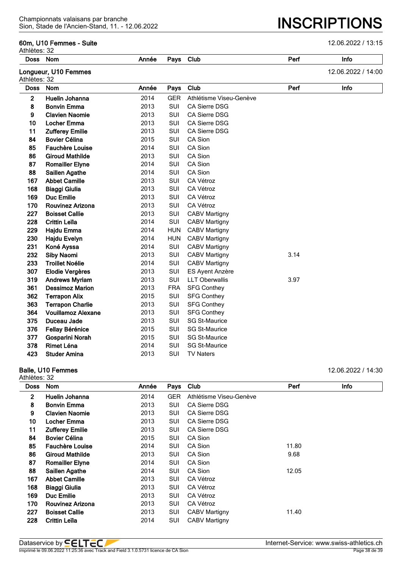## **60m, U10 Femmes - Suite** 12.06.2022 / 13:15

Sion, Stade de l'Ancien-Stand, 11. - 12.06.2022 **INSCRIPTIONS**

| Athlètes: 32 |                           |       |            |                         |      |                    |
|--------------|---------------------------|-------|------------|-------------------------|------|--------------------|
|              | Doss Nom                  | Année | Pays       | Club                    | Perf | Info               |
| Athlètes: 32 | Longueur, U10 Femmes      |       |            |                         |      | 12.06.2022 / 14:00 |
| Doss         | <b>Nom</b>                | Année | Pays       | Club                    | Perf | Info               |
| $\mathbf{2}$ | Huelin Johanna            | 2014  | <b>GER</b> | Athlétisme Viseu-Genève |      |                    |
| 8            | <b>Bonvin Emma</b>        | 2013  | SUI        | <b>CA Sierre DSG</b>    |      |                    |
| 9            | <b>Clavien Naomie</b>     | 2013  | SUI        | <b>CA Sierre DSG</b>    |      |                    |
| 10           | <b>Locher Emma</b>        | 2013  | SUI        | CA Sierre DSG           |      |                    |
| 11           | <b>Zufferey Emilie</b>    | 2013  | SUI        | <b>CA Sierre DSG</b>    |      |                    |
| 84           | <b>Bovier Célina</b>      | 2015  | <b>SUI</b> | CA Sion                 |      |                    |
| 85           | <b>Fauchère Louise</b>    | 2014  | SUI        | CA Sion                 |      |                    |
| 86           | <b>Giroud Mathilde</b>    | 2013  | SUI        | CA Sion                 |      |                    |
| 87           | <b>Romailler Elyne</b>    | 2014  | SUI        | CA Sion                 |      |                    |
| 88           | Saillen Agathe            | 2014  | SUI        | CA Sion                 |      |                    |
| 167          | <b>Abbet Camille</b>      | 2013  | SUI        | CA Vétroz               |      |                    |
| 168          | <b>Biaggi Giulia</b>      | 2013  | SUI        | CA Vétroz               |      |                    |
| 169          | <b>Duc Emilie</b>         | 2013  | SUI        | CA Vétroz               |      |                    |
| 170          | Rouvinez Arizona          | 2013  | <b>SUI</b> | CA Vétroz               |      |                    |
| 227          | <b>Boisset Callie</b>     | 2013  | SUI        | <b>CABV Martigny</b>    |      |                    |
| 228          | <b>Crittin Leïla</b>      | 2014  | SUI        | <b>CABV Martigny</b>    |      |                    |
| 229          | Hajdu Emma                | 2014  | <b>HUN</b> | <b>CABV Martigny</b>    |      |                    |
| 230          | Hajdu Evelyn              | 2014  | <b>HUN</b> | <b>CABV Martigny</b>    |      |                    |
| 231          | Koné Ayssa                | 2014  | SUI        | <b>CABV Martigny</b>    |      |                    |
| 232          | <b>Siby Naomi</b>         | 2013  | SUI        | <b>CABV Martigny</b>    | 3.14 |                    |
| 233          | <b>Troillet Noélie</b>    | 2014  | SUI        | <b>CABV Martigny</b>    |      |                    |
| 307          | Elodie Vergères           | 2013  | SUI        | <b>ES Ayent Anzère</b>  |      |                    |
| 319          | <b>Andrews Myriam</b>     | 2013  | SUI        | <b>LLT Oberwallis</b>   | 3.97 |                    |
| 361          | <b>Dessimoz Marion</b>    | 2013  | <b>FRA</b> | <b>SFG Conthey</b>      |      |                    |
| 362          | <b>Terrapon Alix</b>      | 2015  | SUI        | <b>SFG Conthey</b>      |      |                    |
| 363          | <b>Terrapon Charlie</b>   | 2013  | SUI        | <b>SFG Conthey</b>      |      |                    |
| 364          | <b>Vouillamoz Alexane</b> | 2013  | SUI        | <b>SFG Conthey</b>      |      |                    |
| 375          | Duceau Jade               | 2013  | SUI        | <b>SG St-Maurice</b>    |      |                    |
| 376          | <b>Fellay Bérénice</b>    | 2015  | SUI        | <b>SG St-Maurice</b>    |      |                    |
| 377          | Gosparini Norah           | 2015  | SUI        | <b>SG St-Maurice</b>    |      |                    |
| 378          | Rimet Léna                | 2014  | SUI        | <b>SG St-Maurice</b>    |      |                    |
| 423          | <b>Studer Amina</b>       | 2013  | SUI        | <b>TV Naters</b>        |      |                    |

Athlètes: 32

**Balle, U10 Femmes** 12.06.2022 / 14:30

| <b>Doss</b>  | <b>Nom</b>              | Année | Pays       | Club                    | Perf  | Info |
|--------------|-------------------------|-------|------------|-------------------------|-------|------|
| $\mathbf{2}$ | Huelin Johanna          | 2014  | <b>GER</b> | Athlétisme Viseu-Genève |       |      |
| 8            | <b>Bonvin Emma</b>      | 2013  | SUI        | <b>CA Sierre DSG</b>    |       |      |
| 9            | <b>Clavien Naomie</b>   | 2013  | SUI        | <b>CA Sierre DSG</b>    |       |      |
| 10           | Locher Emma             | 2013  | SUI        | <b>CA Sierre DSG</b>    |       |      |
| 11           | <b>Zufferey Emilie</b>  | 2013  | SUI        | <b>CA Sierre DSG</b>    |       |      |
| 84           | <b>Bovier Célina</b>    | 2015  | SUI        | CA Sion                 |       |      |
| 85           | Fauchère Louise         | 2014  | SUI        | CA Sion                 | 11.80 |      |
| 86           | <b>Giroud Mathilde</b>  | 2013  | SUI        | CA Sion                 | 9.68  |      |
| 87           | <b>Romailler Elyne</b>  | 2014  | SUI        | CA Sion                 |       |      |
| 88           | Saillen Agathe          | 2014  | SUI        | CA Sion                 | 12.05 |      |
| 167          | <b>Abbet Camille</b>    | 2013  | SUI        | CA Vétroz               |       |      |
| 168          | <b>Biaggi Giulia</b>    | 2013  | SUI        | CA Vétroz               |       |      |
| 169          | Duc Emilie              | 2013  | SUI        | CA Vétroz               |       |      |
| 170          | <b>Rouvinez Arizona</b> | 2013  | SUI        | CA Vétroz               |       |      |
| 227          | <b>Boisset Callie</b>   | 2013  | SUI        | <b>CABV Martigny</b>    | 11.40 |      |
| 228          | Crittin Leïla           | 2014  | SUI        | <b>CABV Martigny</b>    |       |      |